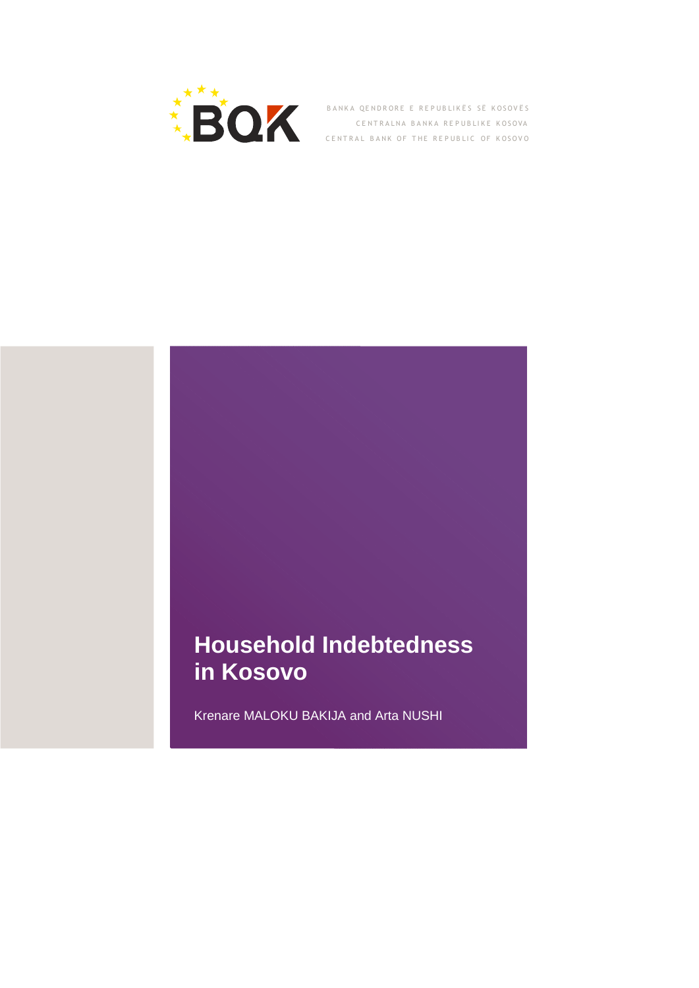

BANKA QENDRORE E REPUBLIKËS SË KOSOVËS CENTRALNA BANKA REPUBLIKE KOSOVA CENTRAL BANK OF THE REPUBLIC OF KOSOVO

## **Household Indebtedness in Kosovo**

Krenare MALOKU BAKIJA and Arta NUSHI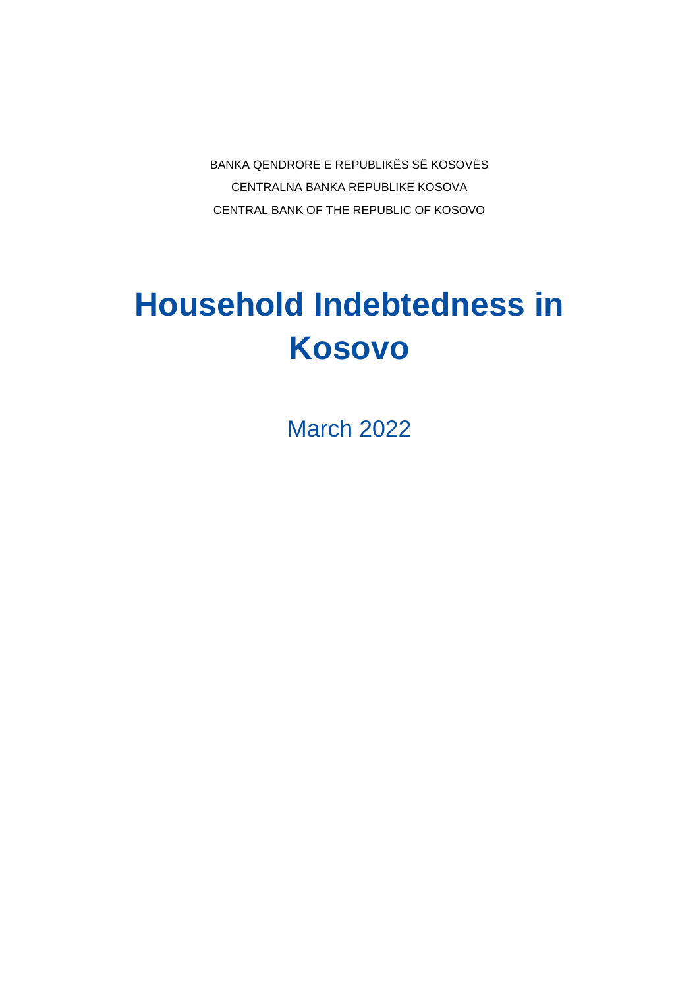BANKA QENDRORE E REPUBLIKËS SË KOSOVËS CENTRALNA BANKA REPUBLIKE KOSOVA CENTRAL BANK OF THE REPUBLIC OF KOSOVO

# **Household Indebtedness in Kosovo**

March 2022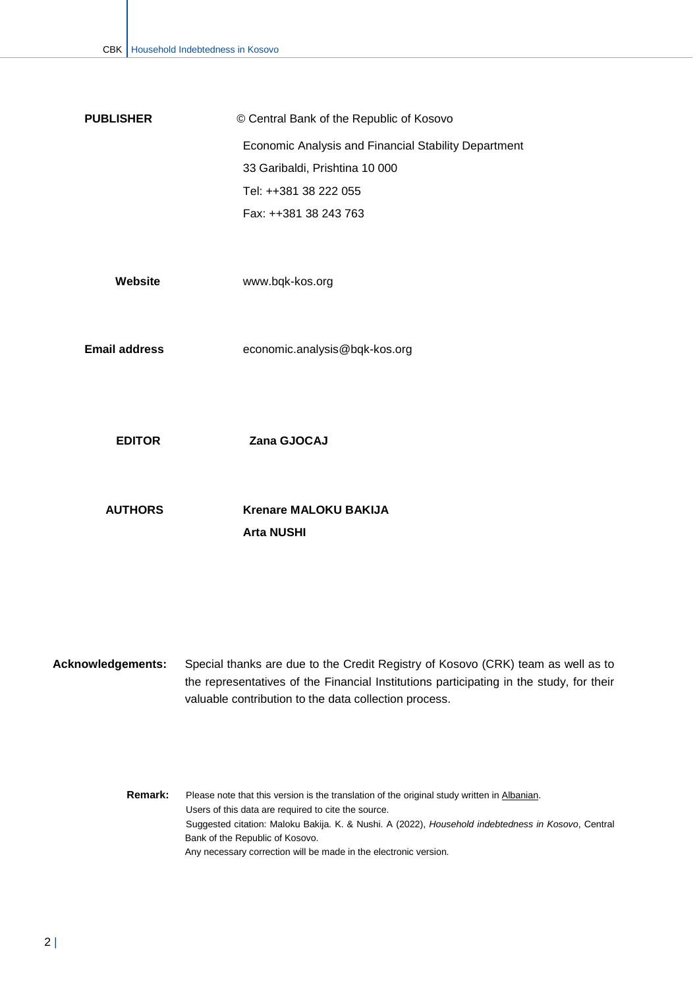| <b>PUBLISHER</b> | © Central Bank of the Republic of Kosovo             |
|------------------|------------------------------------------------------|
|                  | Economic Analysis and Financial Stability Department |
|                  | 33 Garibaldi, Prishtina 10 000                       |
|                  | Tel: ++381 38 222 055                                |
|                  | Fax: ++381 38 243 763                                |

| Website | www.bqk-kos.org |
|---------|-----------------|
|---------|-----------------|

**Email address** [economic.analysis@bqk-kos.org](mailto:economicanalysis@bqk-kos.org)

**EDITOR Zana GJOCAJ**

**AUTHORS Krenare MALOKU BAKIJA Arta NUSHI**

**Acknowledgements:** Special thanks are due to the Credit Registry of Kosovo (CRK) team as well as to the representatives of the Financial Institutions participating in the study, for their valuable contribution to the data collection process.

> **Remark:** Please note that this version is the translation of the original study written i[n Albanian.](https://bqk-kos.org/wp-content/uploads/2022/03/01BQK_NBEF-1.pdf) Users of this data are required to cite the source. Suggested citation: Maloku Bakija. K. & Nushi. A (2022), *Household indebtedness in Kosovo*, Central Bank of the Republic of Kosovo. Any necessary correction will be made in the electronic version.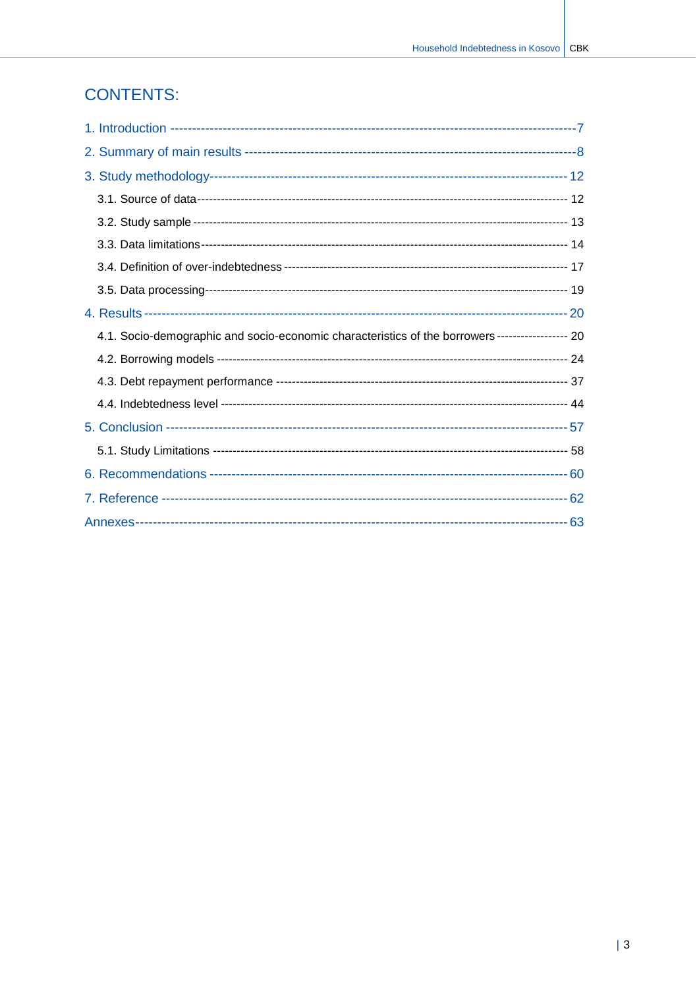## **CONTENTS:**

| 4.1. Socio-demographic and socio-economic characteristics of the borrowers------------------ 20 |  |
|-------------------------------------------------------------------------------------------------|--|
|                                                                                                 |  |
|                                                                                                 |  |
|                                                                                                 |  |
|                                                                                                 |  |
|                                                                                                 |  |
|                                                                                                 |  |
|                                                                                                 |  |
|                                                                                                 |  |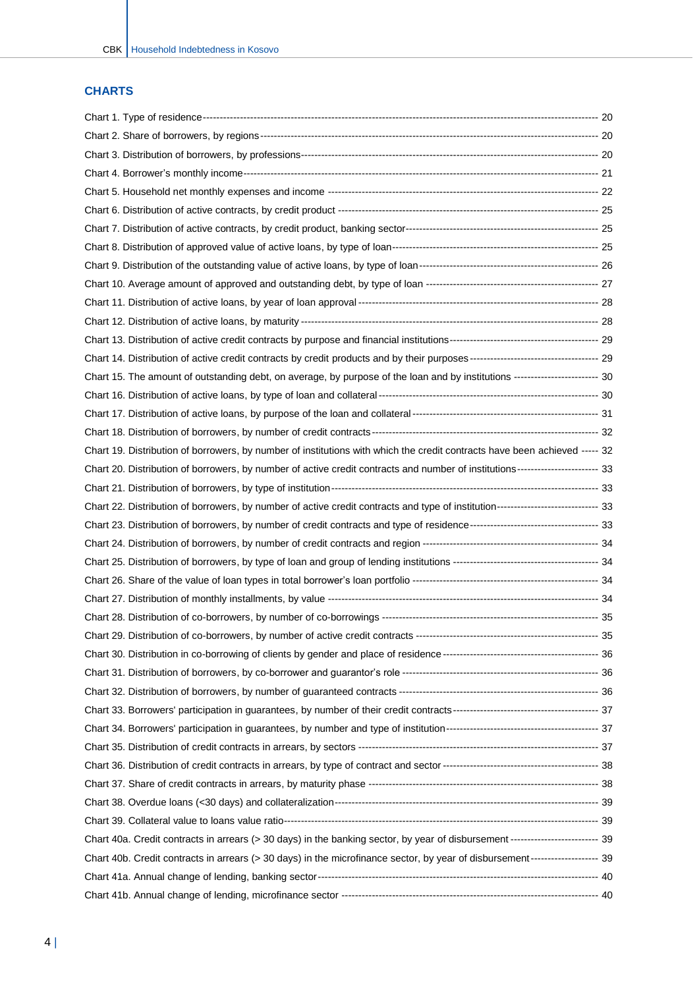### **CHARTS**

| Chart 15. The amount of outstanding debt, on average, by purpose of the loan and by institutions ------------------------ 30     |  |
|----------------------------------------------------------------------------------------------------------------------------------|--|
|                                                                                                                                  |  |
|                                                                                                                                  |  |
|                                                                                                                                  |  |
| Chart 19. Distribution of borrowers, by number of institutions with which the credit contracts have been achieved ----- 32       |  |
| Chart 20. Distribution of borrowers, by number of active credit contracts and number of institutions----------------------- 33   |  |
|                                                                                                                                  |  |
| Chart 22. Distribution of borrowers, by number of active credit contracts and type of institution---------------------------- 33 |  |
|                                                                                                                                  |  |
|                                                                                                                                  |  |
|                                                                                                                                  |  |
|                                                                                                                                  |  |
|                                                                                                                                  |  |
|                                                                                                                                  |  |
|                                                                                                                                  |  |
|                                                                                                                                  |  |
|                                                                                                                                  |  |
|                                                                                                                                  |  |
|                                                                                                                                  |  |
|                                                                                                                                  |  |
|                                                                                                                                  |  |
|                                                                                                                                  |  |
|                                                                                                                                  |  |
|                                                                                                                                  |  |
|                                                                                                                                  |  |
| Chart 40a. Credit contracts in arrears (> 30 days) in the banking sector, by year of disbursement ------------------------- 39   |  |
| Chart 40b. Credit contracts in arrears (> 30 days) in the microfinance sector, by year of disbursement ------------------- 39    |  |
|                                                                                                                                  |  |
|                                                                                                                                  |  |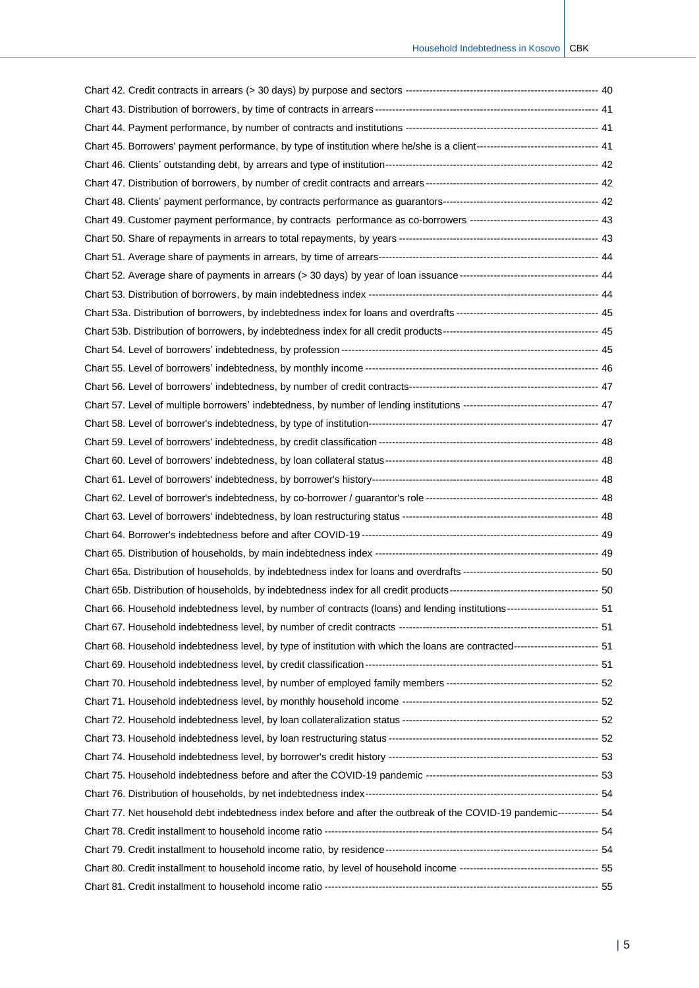| Chart 45. Borrowers' payment performance, by type of institution where he/she is a client--------------------------------- 41 |  |
|-------------------------------------------------------------------------------------------------------------------------------|--|
|                                                                                                                               |  |
|                                                                                                                               |  |
|                                                                                                                               |  |
| Chart 49. Customer payment performance, by contracts performance as co-borrowers ----------------------------------- 43       |  |
|                                                                                                                               |  |
|                                                                                                                               |  |
|                                                                                                                               |  |
|                                                                                                                               |  |
|                                                                                                                               |  |
|                                                                                                                               |  |
|                                                                                                                               |  |
|                                                                                                                               |  |
|                                                                                                                               |  |
|                                                                                                                               |  |
|                                                                                                                               |  |
|                                                                                                                               |  |
|                                                                                                                               |  |
|                                                                                                                               |  |
|                                                                                                                               |  |
|                                                                                                                               |  |
|                                                                                                                               |  |
|                                                                                                                               |  |
|                                                                                                                               |  |
|                                                                                                                               |  |
| Chart 66. Household indebtedness level, by number of contracts (loans) and lending institutions------------------------- 51   |  |
|                                                                                                                               |  |
| Chart 68. Household indebtedness level, by type of institution with which the loans are contracted------------------------ 51 |  |
|                                                                                                                               |  |
|                                                                                                                               |  |
|                                                                                                                               |  |
|                                                                                                                               |  |
|                                                                                                                               |  |
|                                                                                                                               |  |
|                                                                                                                               |  |
|                                                                                                                               |  |
| Chart 77. Net household debt indebtedness index before and after the outbreak of the COVID-19 pandemic------------ 54         |  |
|                                                                                                                               |  |
|                                                                                                                               |  |
|                                                                                                                               |  |
|                                                                                                                               |  |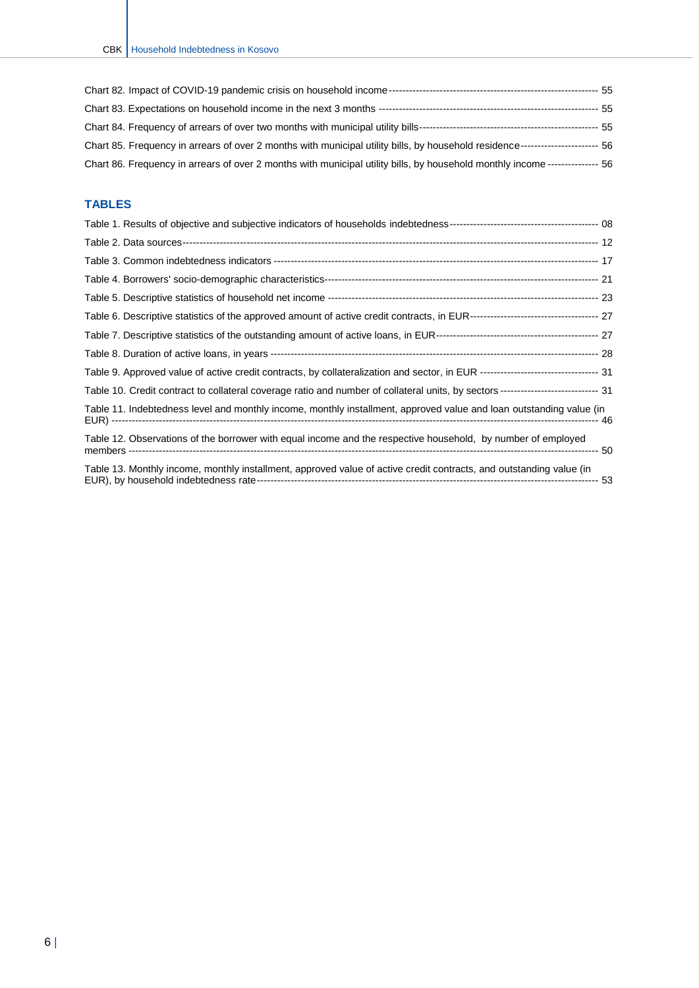| Chart 85. Frequency in arrears of over 2 months with municipal utility bills, by household residence----------------------- 56 |  |
|--------------------------------------------------------------------------------------------------------------------------------|--|
| Chart 86. Frequency in arrears of over 2 months with municipal utility bills, by household monthly income -------------- 56    |  |

#### **TABLES**

| Table 10. Credit contract to collateral coverage ratio and number of collateral units, by sectors ---------------------------- 31 |
|-----------------------------------------------------------------------------------------------------------------------------------|
| Table 11. Indebtedness level and monthly income, monthly installment, approved value and loan outstanding value (in               |
| Table 12. Observations of the borrower with equal income and the respective household, by number of employed                      |
| Table 13. Monthly income, monthly installment, approved value of active credit contracts, and outstanding value (in               |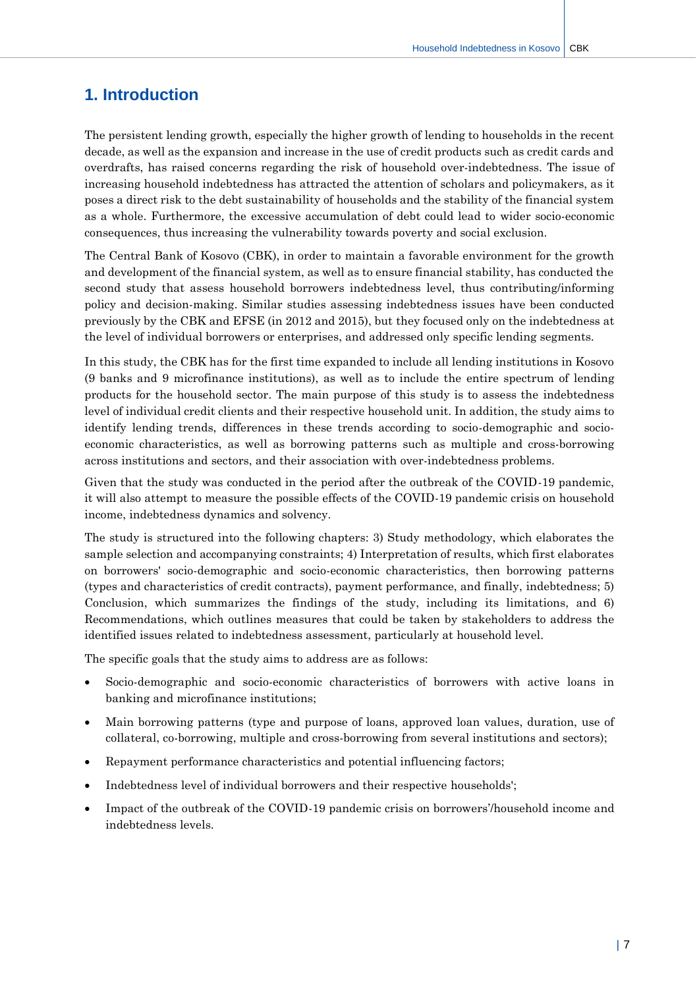## <span id="page-7-0"></span>**1. Introduction**

The persistent lending growth, especially the higher growth of lending to households in the recent decade, as well as the expansion and increase in the use of credit products such as credit cards and overdrafts, has raised concerns regarding the risk of household over-indebtedness. The issue of increasing household indebtedness has attracted the attention of scholars and policymakers, as it poses a direct risk to the debt sustainability of households and the stability of the financial system as a whole. Furthermore, the excessive accumulation of debt could lead to wider socio-economic consequences, thus increasing the vulnerability towards poverty and social exclusion.

The Central Bank of Kosovo (CBK), in order to maintain a favorable environment for the growth and development of the financial system, as well as to ensure financial stability, has conducted the second study that assess household borrowers indebtedness level, thus contributing/informing policy and decision-making. Similar studies assessing indebtedness issues have been conducted previously by the CBK and EFSE (in 2012 and 2015), but they focused only on the indebtedness at the level of individual borrowers or enterprises, and addressed only specific lending segments.

In this study, the CBK has for the first time expanded to include all lending institutions in Kosovo (9 banks and 9 microfinance institutions), as well as to include the entire spectrum of lending products for the household sector. The main purpose of this study is to assess the indebtedness level of individual credit clients and their respective household unit. In addition, the study aims to identify lending trends, differences in these trends according to socio-demographic and socioeconomic characteristics, as well as borrowing patterns such as multiple and cross-borrowing across institutions and sectors, and their association with over-indebtedness problems.

Given that the study was conducted in the period after the outbreak of the COVID-19 pandemic, it will also attempt to measure the possible effects of the COVID-19 pandemic crisis on household income, indebtedness dynamics and solvency.

The study is structured into the following chapters: 3) Study methodology, which elaborates the sample selection and accompanying constraints; 4) Interpretation of results, which first elaborates on borrowers' socio-demographic and socio-economic characteristics, then borrowing patterns (types and characteristics of credit contracts), payment performance, and finally, indebtedness; 5) Conclusion, which summarizes the findings of the study, including its limitations, and 6) Recommendations, which outlines measures that could be taken by stakeholders to address the identified issues related to indebtedness assessment, particularly at household level.

The specific goals that the study aims to address are as follows:

- Socio-demographic and socio-economic characteristics of borrowers with active loans in banking and microfinance institutions;
- Main borrowing patterns (type and purpose of loans, approved loan values, duration, use of collateral, co-borrowing, multiple and cross-borrowing from several institutions and sectors);
- Repayment performance characteristics and potential influencing factors;
- Indebtedness level of individual borrowers and their respective households';
- Impact of the outbreak of the COVID-19 pandemic crisis on borrowers'/household income and indebtedness levels.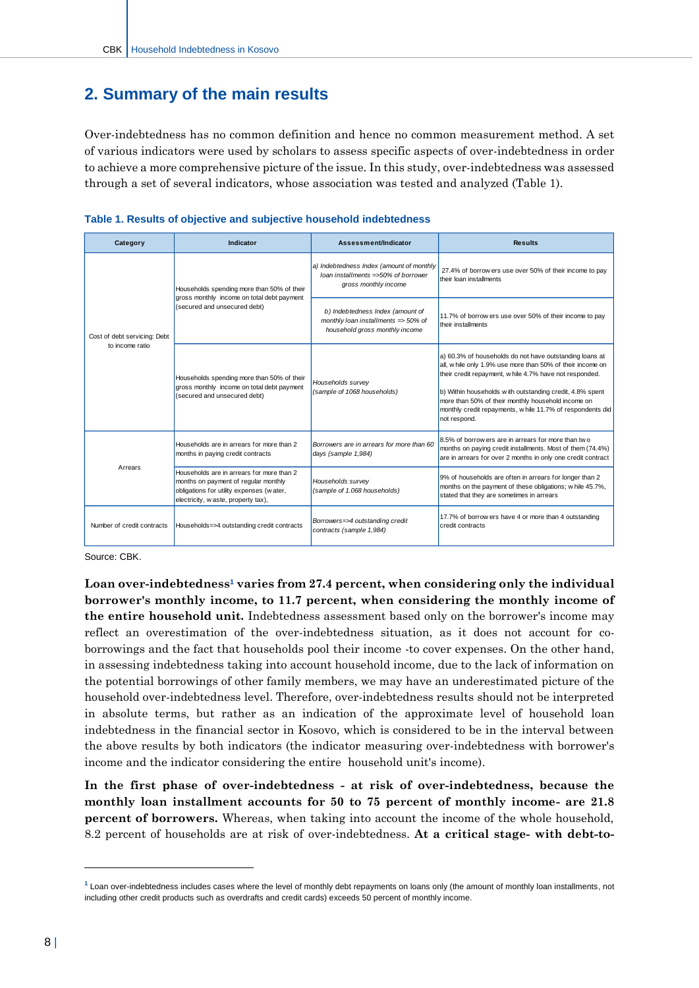## <span id="page-8-0"></span>**2. Summary of the main results**

Over-indebtedness has no common definition and hence no common measurement method. A set of various indicators were used by scholars to assess specific aspects of over-indebtedness in order to achieve a more comprehensive picture of the issue. In this study, over-indebtedness was assessed through a set of several indicators, whose association was tested and analyzed (Table 1).



| Category                                                                                                                                                    | Indicator                                                                                                                                                            | Assessment/Indicator                                                                                         | <b>Results</b>                                                                                                                                                                                                                                                                                                                                                                  |
|-------------------------------------------------------------------------------------------------------------------------------------------------------------|----------------------------------------------------------------------------------------------------------------------------------------------------------------------|--------------------------------------------------------------------------------------------------------------|---------------------------------------------------------------------------------------------------------------------------------------------------------------------------------------------------------------------------------------------------------------------------------------------------------------------------------------------------------------------------------|
| Cost of debt servicing: Debt<br>to income ratio                                                                                                             | Households spending more than 50% of their                                                                                                                           | a) Indebtedness Index (amount of monthly<br>loan installments =>50% of borrower<br>gross monthly income      | 27.4% of borrow ers use over 50% of their income to pay<br>their loan installments                                                                                                                                                                                                                                                                                              |
|                                                                                                                                                             | gross monthly income on total debt payment<br>(secured and unsecured debt)                                                                                           | b) Indebtedness Index (amount of<br>monthly loan installments => $50\%$ of<br>household gross monthly income | 11.7% of borrow ers use over 50% of their income to pay<br>their installments                                                                                                                                                                                                                                                                                                   |
|                                                                                                                                                             | Households spending more than 50% of their<br>gross monthly income on total debt payment<br>(secured and unsecured debt)                                             | Households survey<br>(sample of 1068 households)                                                             | a) 60.3% of households do not have outstanding loans at<br>all, w hile only 1.9% use more than 50% of their income on<br>their credit repayment, w hile 4.7% have not responded.<br>b) Within households with outstanding credit, 4.8% spent<br>more than 50% of their monthly household income on<br>monthly credit repayments, while 11.7% of respondents did<br>not respond. |
| Arrears                                                                                                                                                     | Households are in arrears for more than 2<br>months in paying credit contracts                                                                                       | Borrowers are in arrears for more than 60<br>days (sample 1,984)                                             | 8.5% of borrow ers are in arrears for more than two<br>months on paying credit installments. Most of them (74.4%)<br>are in arrears for over 2 months in only one credit contract                                                                                                                                                                                               |
|                                                                                                                                                             | Households are in arrears for more than 2<br>months on payment of regular monthly<br>obligations for utility expenses (water,<br>electricity, w aste, property tax), | Households survey<br>(sample of 1.068 households)                                                            | 9% of households are often in arrears for longer than 2<br>months on the payment of these obligations; while 45.7%,<br>stated that they are sometimes in arrears                                                                                                                                                                                                                |
| Borrowers=>4 outstanding credit<br>Number of credit contracts<br>Households=>4 outstanding credit contracts<br>credit contracts<br>contracts (sample 1,984) |                                                                                                                                                                      | 17.7% of borrow ers have 4 or more than 4 outstanding                                                        |                                                                                                                                                                                                                                                                                                                                                                                 |

Source: CBK.

**Loan over-indebtedness<sup>1</sup> varies from 27.4 percent, when considering only the individual borrower's monthly income, to 11.7 percent, when considering the monthly income of the entire household unit.** Indebtedness assessment based only on the borrower's income may reflect an overestimation of the over-indebtedness situation, as it does not account for coborrowings and the fact that households pool their income -to cover expenses. On the other hand, in assessing indebtedness taking into account household income, due to the lack of information on the potential borrowings of other family members, we may have an underestimated picture of the household over-indebtedness level. Therefore, over-indebtedness results should not be interpreted in absolute terms, but rather as an indication of the approximate level of household loan indebtedness in the financial sector in Kosovo, which is considered to be in the interval between the above results by both indicators (the indicator measuring over-indebtedness with borrower's income and the indicator considering the entire household unit's income).

**In the first phase of over-indebtedness - at risk of over-indebtedness, because the monthly loan installment accounts for 50 to 75 percent of monthly income- are 21.8 percent of borrowers.** Whereas, when taking into account the income of the whole household, 8.2 percent of households are at risk of over-indebtedness. **At a critical stage- with debt-to-**

-

**<sup>1</sup>** Loan over-indebtedness includes cases where the level of monthly debt repayments on loans only (the amount of monthly loan installments, not including other credit products such as overdrafts and credit cards) exceeds 50 percent of monthly income.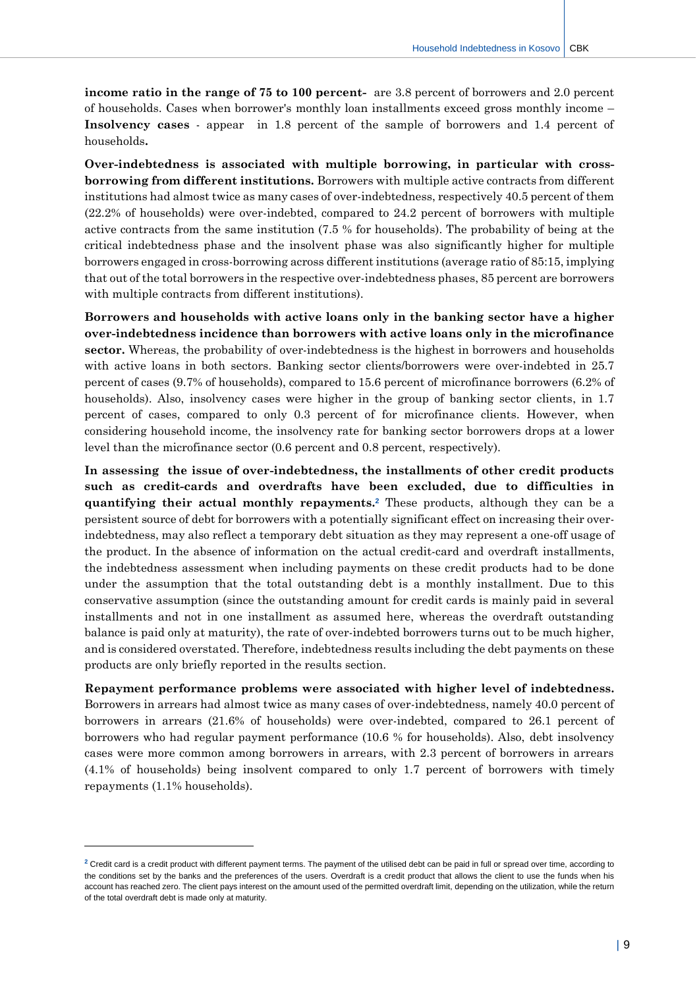**income ratio in the range of 75 to 100 percent-** are 3.8 percent of borrowers and 2.0 percent of households. Cases when borrower's monthly loan installments exceed gross monthly income – **Insolvency cases** - appear in 1.8 percent of the sample of borrowers and 1.4 percent of households**.** 

**Over-indebtedness is associated with multiple borrowing, in particular with crossborrowing from different institutions.** Borrowers with multiple active contracts from different institutions had almost twice as many cases of over-indebtedness, respectively 40.5 percent of them (22.2% of households) were over-indebted, compared to 24.2 percent of borrowers with multiple active contracts from the same institution (7.5 % for households). The probability of being at the critical indebtedness phase and the insolvent phase was also significantly higher for multiple borrowers engaged in cross-borrowing across different institutions (average ratio of 85:15, implying that out of the total borrowers in the respective over-indebtedness phases, 85 percent are borrowers with multiple contracts from different institutions).

**Borrowers and households with active loans only in the banking sector have a higher over-indebtedness incidence than borrowers with active loans only in the microfinance sector.** Whereas, the probability of over-indebtedness is the highest in borrowers and households with active loans in both sectors. Banking sector clients/borrowers were over-indebted in 25.7 percent of cases (9.7% of households), compared to 15.6 percent of microfinance borrowers (6.2% of households). Also, insolvency cases were higher in the group of banking sector clients, in 1.7 percent of cases, compared to only 0.3 percent of for microfinance clients. However, when considering household income, the insolvency rate for banking sector borrowers drops at a lower level than the microfinance sector (0.6 percent and 0.8 percent, respectively).

**In assessing the issue of over-indebtedness, the installments of other credit products such as credit-cards and overdrafts have been excluded, due to difficulties in quantifying their actual monthly repayments. <sup>2</sup>** These products, although they can be a persistent source of debt for borrowers with a potentially significant effect on increasing their overindebtedness, may also reflect a temporary debt situation as they may represent a one-off usage of the product. In the absence of information on the actual credit-card and overdraft installments, the indebtedness assessment when including payments on these credit products had to be done under the assumption that the total outstanding debt is a monthly installment. Due to this conservative assumption (since the outstanding amount for credit cards is mainly paid in several installments and not in one installment as assumed here, whereas the overdraft outstanding balance is paid only at maturity), the rate of over-indebted borrowers turns out to be much higher, and is considered overstated. Therefore, indebtedness results including the debt payments on these products are only briefly reported in the results section.

**Repayment performance problems were associated with higher level of indebtedness.** Borrowers in arrears had almost twice as many cases of over-indebtedness, namely 40.0 percent of borrowers in arrears (21.6% of households) were over-indebted, compared to 26.1 percent of borrowers who had regular payment performance (10.6 % for households). Also, debt insolvency cases were more common among borrowers in arrears, with 2.3 percent of borrowers in arrears (4.1% of households) being insolvent compared to only 1.7 percent of borrowers with timely repayments (1.1% households).

 $\overline{a}$ 

**<sup>2</sup>** Credit card is a credit product with different payment terms. The payment of the utilised debt can be paid in full or spread over time, according to the conditions set by the banks and the preferences of the users. Overdraft is a credit product that allows the client to use the funds when his account has reached zero. The client pays interest on the amount used of the permitted overdraft limit, depending on the utilization, while the return of the total overdraft debt is made only at maturity.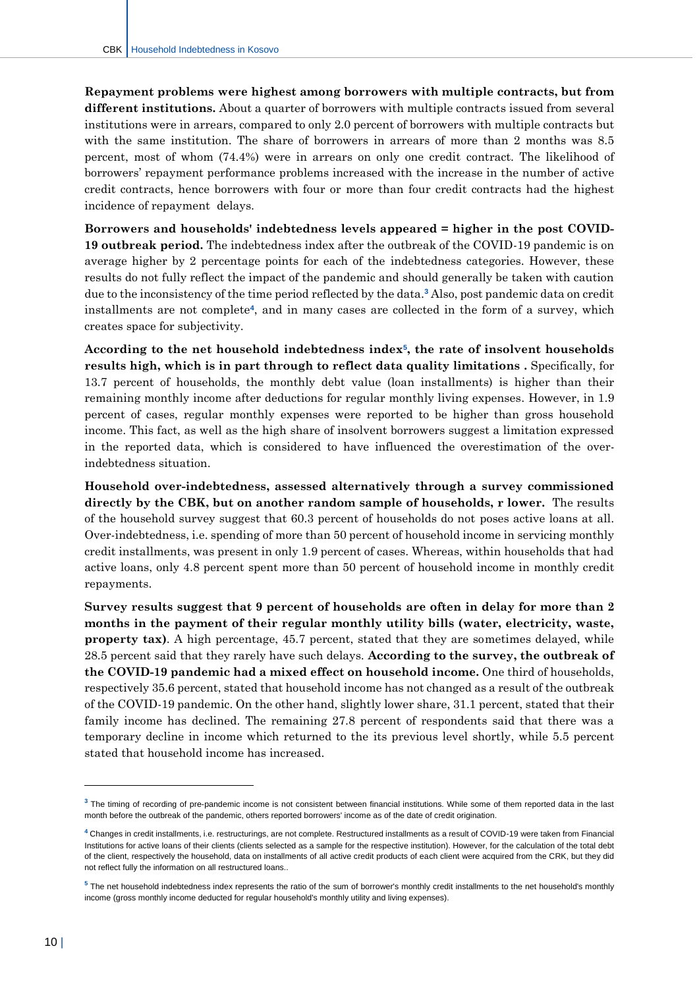**Repayment problems were highest among borrowers with multiple contracts, but from different institutions.** About a quarter of borrowers with multiple contracts issued from several institutions were in arrears, compared to only 2.0 percent of borrowers with multiple contracts but with the same institution. The share of borrowers in arrears of more than 2 months was 8.5 percent, most of whom (74.4%) were in arrears on only one credit contract. The likelihood of borrowers' repayment performance problems increased with the increase in the number of active credit contracts, hence borrowers with four or more than four credit contracts had the highest incidence of repayment delays.

**Borrowers and households' indebtedness levels appeared = higher in the post COVID-19 outbreak period.** The indebtedness index after the outbreak of the COVID-19 pandemic is on average higher by 2 percentage points for each of the indebtedness categories. However, these results do not fully reflect the impact of the pandemic and should generally be taken with caution due to the inconsistency of the time period reflected by the data.**<sup>3</sup>** Also, post pandemic data on credit installments are not complete**<sup>4</sup>** , and in many cases are collected in the form of a survey, which creates space for subjectivity.

**According to the net household indebtedness index<sup>5</sup> , the rate of insolvent households results high, which is in part through to reflect data quality limitations .** Specifically, for 13.7 percent of households, the monthly debt value (loan installments) is higher than their remaining monthly income after deductions for regular monthly living expenses. However, in 1.9 percent of cases, regular monthly expenses were reported to be higher than gross household income. This fact, as well as the high share of insolvent borrowers suggest a limitation expressed in the reported data, which is considered to have influenced the overestimation of the overindebtedness situation.

**Household over-indebtedness, assessed alternatively through a survey commissioned directly by the CBK, but on another random sample of households, r lower.** The results of the household survey suggest that 60.3 percent of households do not poses active loans at all. Over-indebtedness, i.e. spending of more than 50 percent of household income in servicing monthly credit installments, was present in only 1.9 percent of cases. Whereas, within households that had active loans, only 4.8 percent spent more than 50 percent of household income in monthly credit repayments.

**Survey results suggest that 9 percent of households are often in delay for more than 2 months in the payment of their regular monthly utility bills (water, electricity, waste,**  property tax). A high percentage, 45.7 percent, stated that they are sometimes delayed, while 28.5 percent said that they rarely have such delays. **According to the survey, the outbreak of the COVID-19 pandemic had a mixed effect on household income.** One third of households, respectively 35.6 percent, stated that household income has not changed as a result of the outbreak of the COVID-19 pandemic. On the other hand, slightly lower share, 31.1 percent, stated that their family income has declined. The remaining 27.8 percent of respondents said that there was a temporary decline in income which returned to the its previous level shortly, while 5.5 percent stated that household income has increased.

 $\overline{a}$ 

**<sup>3</sup>** The timing of recording of pre-pandemic income is not consistent between financial institutions. While some of them reported data in the last month before the outbreak of the pandemic, others reported borrowers' income as of the date of credit origination.

**<sup>4</sup>** Changes in credit installments, i.e. restructurings, are not complete. Restructured installments as a result of COVID-19 were taken from Financial Institutions for active loans of their clients (clients selected as a sample for the respective institution). However, for the calculation of the total debt of the client, respectively the household, data on installments of all active credit products of each client were acquired from the CRK, but they did not reflect fully the information on all restructured loans..

**<sup>5</sup>** The net household indebtedness index represents the ratio of the sum of borrower's monthly credit installments to the net household's monthly income (gross monthly income deducted for regular household's monthly utility and living expenses).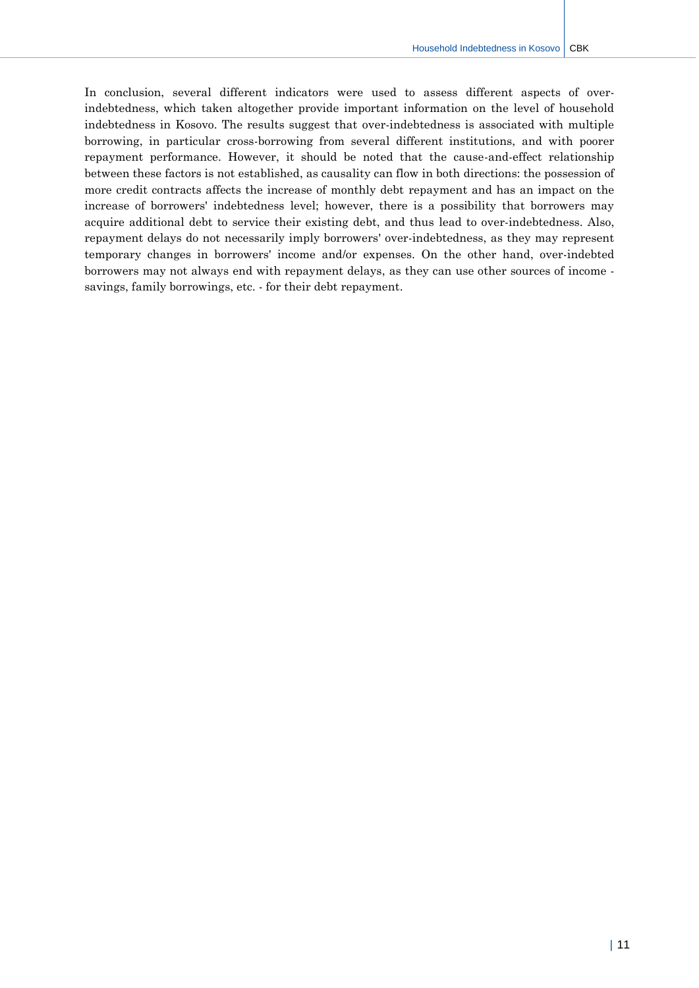In conclusion, several different indicators were used to assess different aspects of overindebtedness, which taken altogether provide important information on the level of household indebtedness in Kosovo. The results suggest that over-indebtedness is associated with multiple borrowing, in particular cross-borrowing from several different institutions, and with poorer repayment performance. However, it should be noted that the cause-and-effect relationship between these factors is not established, as causality can flow in both directions: the possession of more credit contracts affects the increase of monthly debt repayment and has an impact on the increase of borrowers' indebtedness level; however, there is a possibility that borrowers may acquire additional debt to service their existing debt, and thus lead to over-indebtedness. Also, repayment delays do not necessarily imply borrowers' over-indebtedness, as they may represent temporary changes in borrowers' income and/or expenses. On the other hand, over-indebted borrowers may not always end with repayment delays, as they can use other sources of income savings, family borrowings, etc. - for their debt repayment.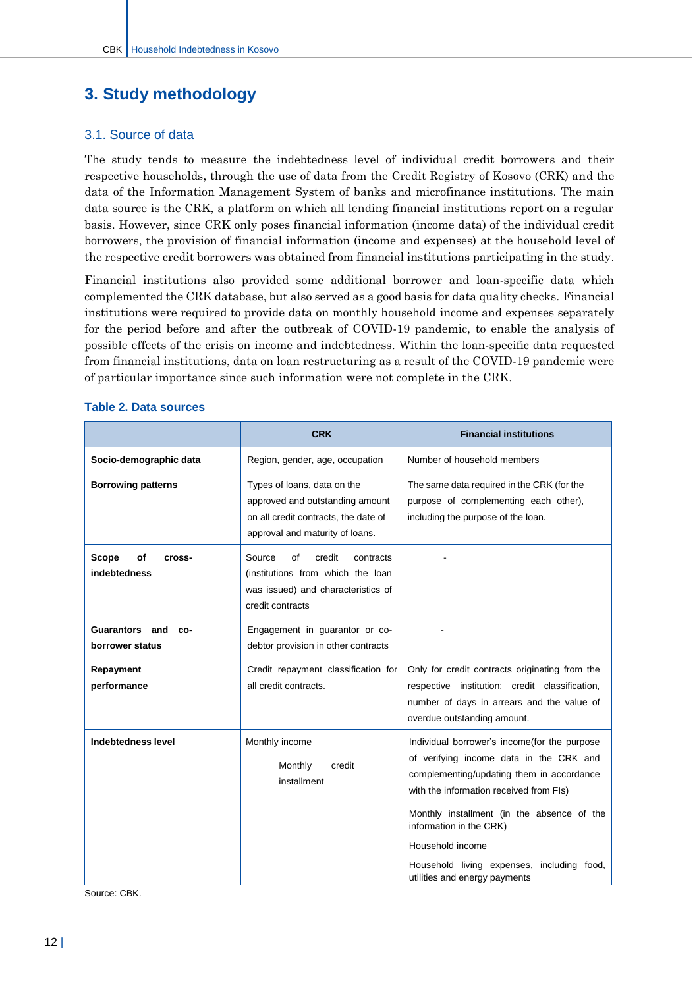## <span id="page-12-0"></span>**3. Study methodology**

#### <span id="page-12-1"></span>3.1. Source of data

The study tends to measure the indebtedness level of individual credit borrowers and their respective households, through the use of data from the Credit Registry of Kosovo (CRK) and the data of the Information Management System of banks and microfinance institutions. The main data source is the CRK, a platform on which all lending financial institutions report on a regular basis. However, since CRK only poses financial information (income data) of the individual credit borrowers, the provision of financial information (income and expenses) at the household level of the respective credit borrowers was obtained from financial institutions participating in the study.

Financial institutions also provided some additional borrower and loan-specific data which complemented the CRK database, but also served as a good basis for data quality checks. Financial institutions were required to provide data on monthly household income and expenses separately for the period before and after the outbreak of COVID-19 pandemic, to enable the analysis of possible effects of the crisis on income and indebtedness. Within the loan-specific data requested from financial institutions, data on loan restructuring as a result of the COVID-19 pandemic were of particular importance since such information were not complete in the CRK.

|                                          | <b>CRK</b>                                                                                                                                | <b>Financial institutions</b>                                                                                                                                                                                                                                                                                                                               |  |  |
|------------------------------------------|-------------------------------------------------------------------------------------------------------------------------------------------|-------------------------------------------------------------------------------------------------------------------------------------------------------------------------------------------------------------------------------------------------------------------------------------------------------------------------------------------------------------|--|--|
| Socio-demographic data                   | Region, gender, age, occupation                                                                                                           | Number of household members                                                                                                                                                                                                                                                                                                                                 |  |  |
| <b>Borrowing patterns</b>                | Types of loans, data on the<br>approved and outstanding amount<br>on all credit contracts, the date of<br>approval and maturity of loans. | The same data required in the CRK (for the<br>purpose of complementing each other),<br>including the purpose of the loan.                                                                                                                                                                                                                                   |  |  |
| Scope<br>of<br>cross-<br>indebtedness    | credit<br>Source<br>οf<br>contracts<br>(institutions from which the loan<br>was issued) and characteristics of<br>credit contracts        |                                                                                                                                                                                                                                                                                                                                                             |  |  |
| Guarantors and<br>CO-<br>borrower status | Engagement in guarantor or co-<br>debtor provision in other contracts                                                                     |                                                                                                                                                                                                                                                                                                                                                             |  |  |
| Repayment<br>performance                 | Credit repayment classification for<br>all credit contracts.                                                                              | Only for credit contracts originating from the<br>respective institution: credit classification,<br>number of days in arrears and the value of<br>overdue outstanding amount.                                                                                                                                                                               |  |  |
| <b>Indebtedness level</b>                | Monthly income<br>Monthly<br>credit<br>installment                                                                                        | Individual borrower's income(for the purpose<br>of verifying income data in the CRK and<br>complementing/updating them in accordance<br>with the information received from FIs)<br>Monthly installment (in the absence of the<br>information in the CRK)<br>Household income<br>Household living expenses, including food,<br>utilities and energy payments |  |  |

#### **Table 2. Data sources**

Source: CBK.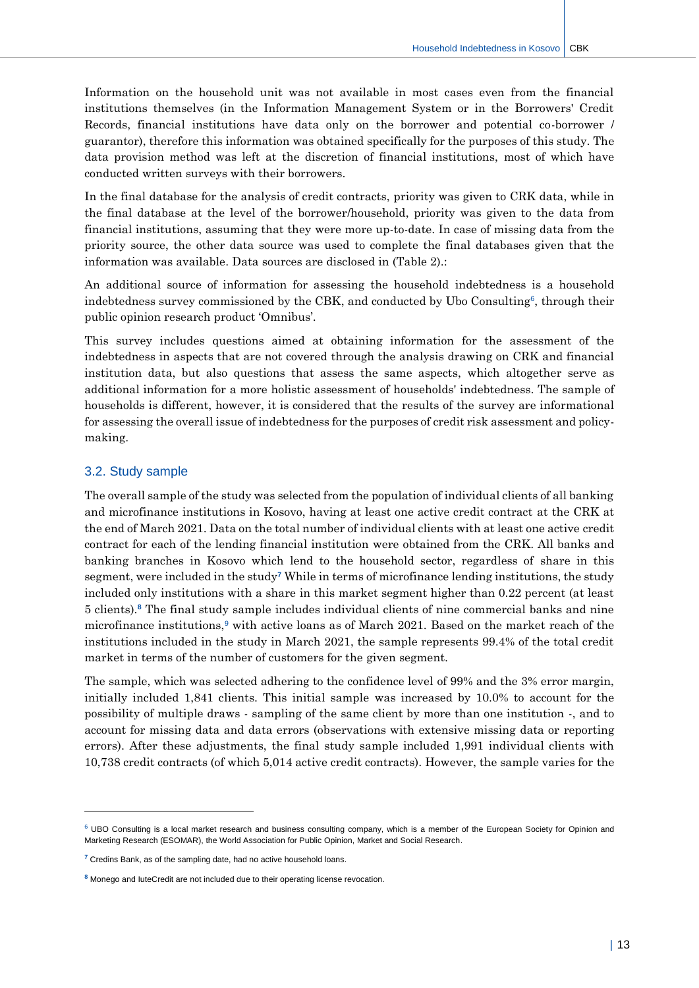Information on the household unit was not available in most cases even from the financial institutions themselves (in the Information Management System or in the Borrowers' Credit Records, financial institutions have data only on the borrower and potential co-borrower / guarantor), therefore this information was obtained specifically for the purposes of this study. The data provision method was left at the discretion of financial institutions, most of which have conducted written surveys with their borrowers.

In the final database for the analysis of credit contracts, priority was given to CRK data, while in the final database at the level of the borrower/household, priority was given to the data from financial institutions, assuming that they were more up-to-date. In case of missing data from the priority source, the other data source was used to complete the final databases given that the information was available. Data sources are disclosed in (Table 2).:

An additional source of information for assessing the household indebtedness is a household indebtedness survey commissioned by the CBK, and conducted by Ubo Consulting<sup>6</sup>, through their public opinion research product 'Omnibus'.

This survey includes questions aimed at obtaining information for the assessment of the indebtedness in aspects that are not covered through the analysis drawing on CRK and financial institution data, but also questions that assess the same aspects, which altogether serve as additional information for a more holistic assessment of households' indebtedness. The sample of households is different, however, it is considered that the results of the survey are informational for assessing the overall issue of indebtedness for the purposes of credit risk assessment and policymaking.

#### <span id="page-13-0"></span>3.2. Study sample

-

The overall sample of the study was selected from the population of individual clients of all banking and microfinance institutions in Kosovo, having at least one active credit contract at the CRK at the end of March 2021. Data on the total number of individual clients with at least one active credit contract for each of the lending financial institution were obtained from the CRK. All banks and banking branches in Kosovo which lend to the household sector, regardless of share in this segment, were included in the study**<sup>7</sup>** While in terms of microfinance lending institutions, the study included only institutions with a share in this market segment higher than 0.22 percent (at least 5 clients).**<sup>8</sup>** The final study sample includes individual clients of nine commercial banks and nine microfinance institutions,<sup>9</sup> with active loans as of March 2021. Based on the market reach of the institutions included in the study in March 2021, the sample represents 99.4% of the total credit market in terms of the number of customers for the given segment.

The sample, which was selected adhering to the confidence level of 99% and the 3% error margin, initially included 1,841 clients. This initial sample was increased by 10.0% to account for the possibility of multiple draws - sampling of the same client by more than one institution -, and to account for missing data and data errors (observations with extensive missing data or reporting errors). After these adjustments, the final study sample included 1,991 individual clients with 10,738 credit contracts (of which 5,014 active credit contracts). However, the sample varies for the

 $6$  UBO Consulting is a local market research and business consulting company, which is a member of the European Society for Opinion and Marketing Research (ESOMAR), the World Association for Public Opinion, Market and Social Research.

**<sup>7</sup>** Credins Bank, as of the sampling date, had no active household loans.

**<sup>8</sup>** Monego and IuteCredit are not included due to their operating license revocation.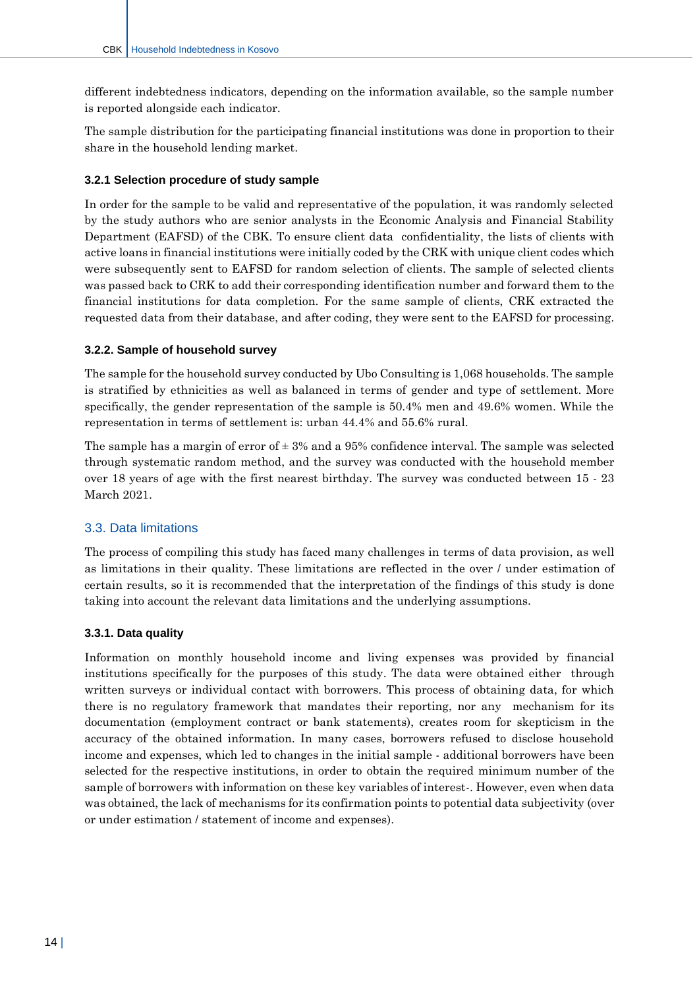different indebtedness indicators, depending on the information available, so the sample number is reported alongside each indicator.

The sample distribution for the participating financial institutions was done in proportion to their share in the household lending market.

#### **3.2.1 Selection procedure of study sample**

In order for the sample to be valid and representative of the population, it was randomly selected by the study authors who are senior analysts in the Economic Analysis and Financial Stability Department (EAFSD) of the CBK. To ensure client data confidentiality, the lists of clients with active loans in financial institutions were initially coded by the CRK with unique client codes which were subsequently sent to EAFSD for random selection of clients. The sample of selected clients was passed back to CRK to add their corresponding identification number and forward them to the financial institutions for data completion. For the same sample of clients, CRK extracted the requested data from their database, and after coding, they were sent to the EAFSD for processing.

#### **3.2.2. Sample of household survey**

The sample for the household survey conducted by Ubo Consulting is 1,068 households. The sample is stratified by ethnicities as well as balanced in terms of gender and type of settlement. More specifically, the gender representation of the sample is 50.4% men and 49.6% women. While the representation in terms of settlement is: urban 44.4% and 55.6% rural.

The sample has a margin of error of  $\pm 3%$  and a 95% confidence interval. The sample was selected through systematic random method, and the survey was conducted with the household member over 18 years of age with the first nearest birthday. The survey was conducted between 15 - 23 March 2021.

#### <span id="page-14-0"></span>3.3. Data limitations

The process of compiling this study has faced many challenges in terms of data provision, as well as limitations in their quality. These limitations are reflected in the over / under estimation of certain results, so it is recommended that the interpretation of the findings of this study is done taking into account the relevant data limitations and the underlying assumptions.

#### **3.3.1. Data quality**

Information on monthly household income and living expenses was provided by financial institutions specifically for the purposes of this study. The data were obtained either through written surveys or individual contact with borrowers. This process of obtaining data, for which there is no regulatory framework that mandates their reporting, nor any mechanism for its documentation (employment contract or bank statements), creates room for skepticism in the accuracy of the obtained information. In many cases, borrowers refused to disclose household income and expenses, which led to changes in the initial sample - additional borrowers have been selected for the respective institutions, in order to obtain the required minimum number of the sample of borrowers with information on these key variables of interest-. However, even when data was obtained, the lack of mechanisms for its confirmation points to potential data subjectivity (over or under estimation / statement of income and expenses).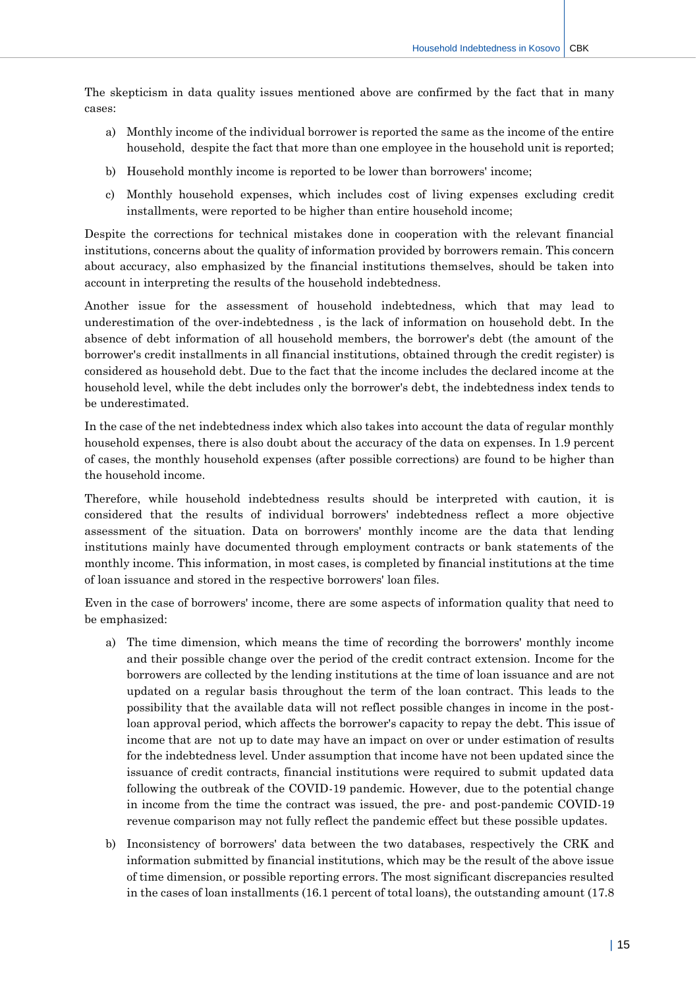The skepticism in data quality issues mentioned above are confirmed by the fact that in many cases:

- a) Monthly income of the individual borrower is reported the same as the income of the entire household, despite the fact that more than one employee in the household unit is reported;
- b) Household monthly income is reported to be lower than borrowers' income;
- c) Monthly household expenses, which includes cost of living expenses excluding credit installments, were reported to be higher than entire household income;

Despite the corrections for technical mistakes done in cooperation with the relevant financial institutions, concerns about the quality of information provided by borrowers remain. This concern about accuracy, also emphasized by the financial institutions themselves, should be taken into account in interpreting the results of the household indebtedness.

Another issue for the assessment of household indebtedness, which that may lead to underestimation of the over-indebtedness , is the lack of information on household debt. In the absence of debt information of all household members, the borrower's debt (the amount of the borrower's credit installments in all financial institutions, obtained through the credit register) is considered as household debt. Due to the fact that the income includes the declared income at the household level, while the debt includes only the borrower's debt, the indebtedness index tends to be underestimated.

In the case of the net indebtedness index which also takes into account the data of regular monthly household expenses, there is also doubt about the accuracy of the data on expenses. In 1.9 percent of cases, the monthly household expenses (after possible corrections) are found to be higher than the household income.

Therefore, while household indebtedness results should be interpreted with caution, it is considered that the results of individual borrowers' indebtedness reflect a more objective assessment of the situation. Data on borrowers' monthly income are the data that lending institutions mainly have documented through employment contracts or bank statements of the monthly income. This information, in most cases, is completed by financial institutions at the time of loan issuance and stored in the respective borrowers' loan files.

Even in the case of borrowers' income, there are some aspects of information quality that need to be emphasized:

- a) The time dimension, which means the time of recording the borrowers' monthly income and their possible change over the period of the credit contract extension. Income for the borrowers are collected by the lending institutions at the time of loan issuance and are not updated on a regular basis throughout the term of the loan contract. This leads to the possibility that the available data will not reflect possible changes in income in the postloan approval period, which affects the borrower's capacity to repay the debt. This issue of income that are not up to date may have an impact on over or under estimation of results for the indebtedness level. Under assumption that income have not been updated since the issuance of credit contracts, financial institutions were required to submit updated data following the outbreak of the COVID-19 pandemic. However, due to the potential change in income from the time the contract was issued, the pre- and post-pandemic COVID-19 revenue comparison may not fully reflect the pandemic effect but these possible updates.
- b) Inconsistency of borrowers' data between the two databases, respectively the CRK and information submitted by financial institutions, which may be the result of the above issue of time dimension, or possible reporting errors. The most significant discrepancies resulted in the cases of loan installments (16.1 percent of total loans), the outstanding amount (17.8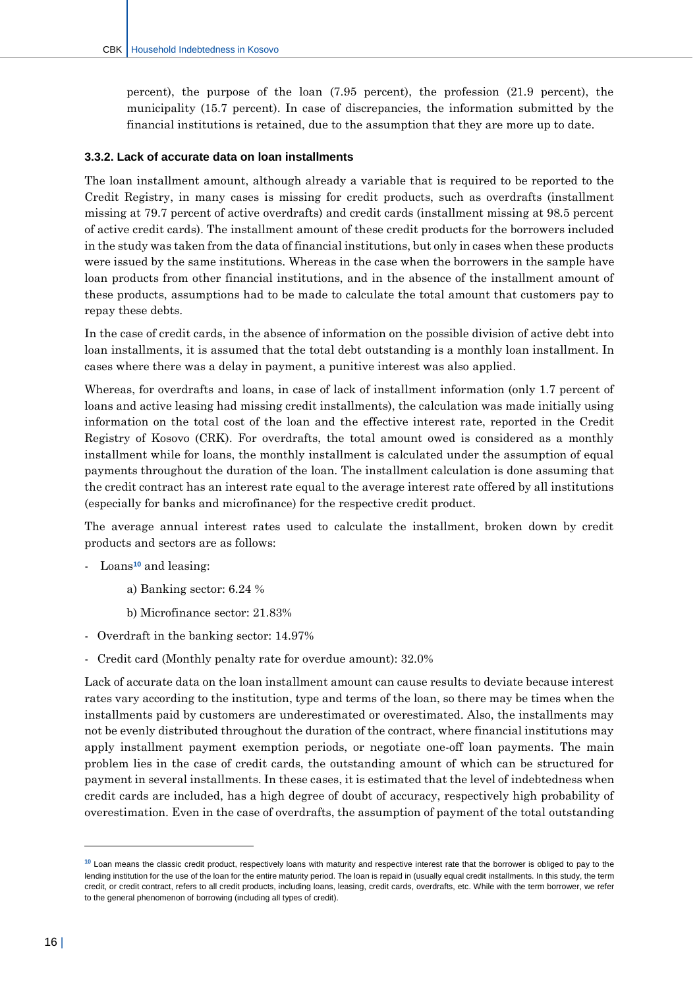percent), the purpose of the loan (7.95 percent), the profession (21.9 percent), the municipality (15.7 percent). In case of discrepancies, the information submitted by the financial institutions is retained, due to the assumption that they are more up to date.

#### **3.3.2. Lack of accurate data on loan installments**

The loan installment amount, although already a variable that is required to be reported to the Credit Registry, in many cases is missing for credit products, such as overdrafts (installment missing at 79.7 percent of active overdrafts) and credit cards (installment missing at 98.5 percent of active credit cards). The installment amount of these credit products for the borrowers included in the study was taken from the data of financial institutions, but only in cases when these products were issued by the same institutions. Whereas in the case when the borrowers in the sample have loan products from other financial institutions, and in the absence of the installment amount of these products, assumptions had to be made to calculate the total amount that customers pay to repay these debts.

In the case of credit cards, in the absence of information on the possible division of active debt into loan installments, it is assumed that the total debt outstanding is a monthly loan installment. In cases where there was a delay in payment, a punitive interest was also applied.

Whereas, for overdrafts and loans, in case of lack of installment information (only 1.7 percent of loans and active leasing had missing credit installments), the calculation was made initially using information on the total cost of the loan and the effective interest rate, reported in the Credit Registry of Kosovo (CRK). For overdrafts, the total amount owed is considered as a monthly installment while for loans, the monthly installment is calculated under the assumption of equal payments throughout the duration of the loan. The installment calculation is done assuming that the credit contract has an interest rate equal to the average interest rate offered by all institutions (especially for banks and microfinance) for the respective credit product.

The average annual interest rates used to calculate the installment, broken down by credit products and sectors are as follows:

- Loans**<sup>10</sup>** and leasing:
	- a) Banking sector: 6.24 %
	- b) Microfinance sector: 21.83%
- Overdraft in the banking sector: 14.97%
- Credit card (Monthly penalty rate for overdue amount): 32.0%

Lack of accurate data on the loan installment amount can cause results to deviate because interest rates vary according to the institution, type and terms of the loan, so there may be times when the installments paid by customers are underestimated or overestimated. Also, the installments may not be evenly distributed throughout the duration of the contract, where financial institutions may apply installment payment exemption periods, or negotiate one-off loan payments. The main problem lies in the case of credit cards, the outstanding amount of which can be structured for payment in several installments. In these cases, it is estimated that the level of indebtedness when credit cards are included, has a high degree of doubt of accuracy, respectively high probability of overestimation. Even in the case of overdrafts, the assumption of payment of the total outstanding

 $\overline{a}$ 

**<sup>10</sup>** Loan means the classic credit product, respectively loans with maturity and respective interest rate that the borrower is obliged to pay to the lending institution for the use of the loan for the entire maturity period. The loan is repaid in (usually equal credit installments. In this study, the term credit, or credit contract, refers to all credit products, including loans, leasing, credit cards, overdrafts, etc. While with the term borrower, we refer to the general phenomenon of borrowing (including all types of credit).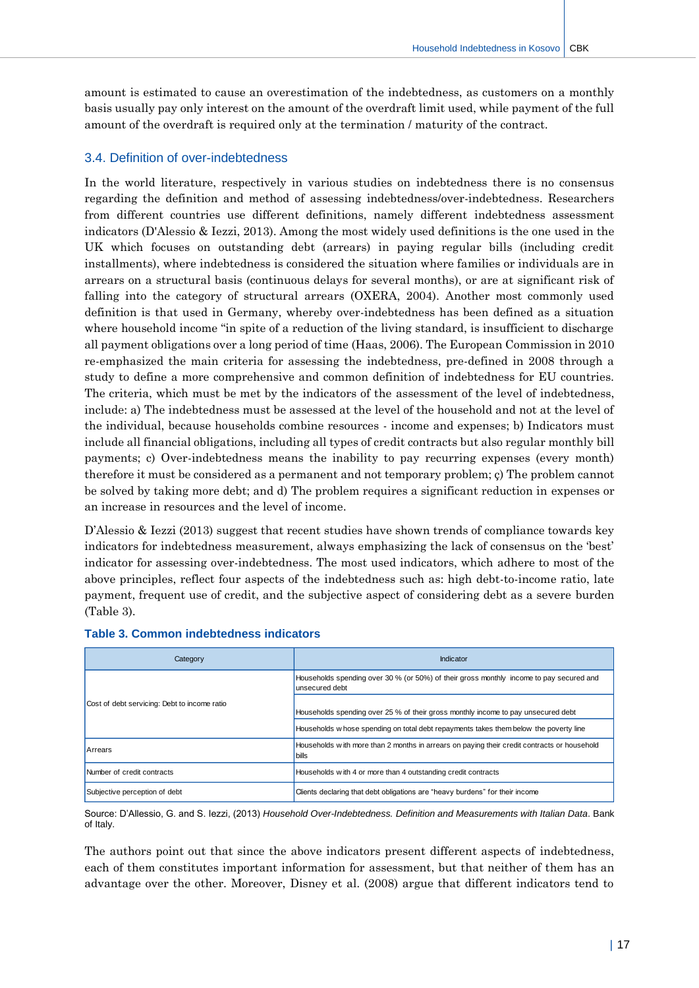amount is estimated to cause an overestimation of the indebtedness, as customers on a monthly basis usually pay only interest on the amount of the overdraft limit used, while payment of the full amount of the overdraft is required only at the termination / maturity of the contract.

#### <span id="page-17-0"></span>3.4. Definition of over-indebtedness

In the world literature, respectively in various studies on indebtedness there is no consensus regarding the definition and method of assessing indebtedness/over-indebtedness. Researchers from different countries use different definitions, namely different indebtedness assessment indicators (D'Alessio & Iezzi, 2013). Among the most widely used definitions is the one used in the UK which focuses on outstanding debt (arrears) in paying regular bills (including credit installments), where indebtedness is considered the situation where families or individuals are in arrears on a structural basis (continuous delays for several months), or are at significant risk of falling into the category of structural arrears (OXERA, 2004). Another most commonly used definition is that used in Germany, whereby over-indebtedness has been defined as a situation where household income "in spite of a reduction of the living standard, is insufficient to discharge all payment obligations over a long period of time (Haas, 2006). The European Commission in 2010 re-emphasized the main criteria for assessing the indebtedness, pre-defined in 2008 through a study to define a more comprehensive and common definition of indebtedness for EU countries. The criteria, which must be met by the indicators of the assessment of the level of indebtedness, include: a) The indebtedness must be assessed at the level of the household and not at the level of the individual, because households combine resources - income and expenses; b) Indicators must include all financial obligations, including all types of credit contracts but also regular monthly bill payments; c) Over-indebtedness means the inability to pay recurring expenses (every month) therefore it must be considered as a permanent and not temporary problem; ç) The problem cannot be solved by taking more debt; and d) The problem requires a significant reduction in expenses or an increase in resources and the level of income.

D'Alessio & Iezzi (2013) suggest that recent studies have shown trends of compliance towards key indicators for indebtedness measurement, always emphasizing the lack of consensus on the 'best' indicator for assessing over-indebtedness. The most used indicators, which adhere to most of the above principles, reflect four aspects of the indebtedness such as: high debt-to-income ratio, late payment, frequent use of credit, and the subjective aspect of considering debt as a severe burden (Table 3).

| Category                                     | Indicator                                                                                                   |  |  |
|----------------------------------------------|-------------------------------------------------------------------------------------------------------------|--|--|
|                                              | Households spending over 30 % (or 50%) of their gross monthly income to pay secured and<br>unsecured debt   |  |  |
| Cost of debt servicing: Debt to income ratio | Households spending over 25 % of their gross monthly income to pay unsecured debt                           |  |  |
|                                              | Households w hose spending on total debt repayments takes them below the poverty line                       |  |  |
| Arrears                                      | Households with more than 2 months in arrears on paying their credit contracts or household<br><b>bills</b> |  |  |
| Number of credit contracts                   | Households with 4 or more than 4 outstanding credit contracts                                               |  |  |
| Subjective perception of debt                | Clients declaring that debt obligations are "heavy burdens" for their income                                |  |  |

#### **Table 3. Common indebtedness indicators**

Source: D'Allessio, G. and S. Iezzi, (2013) *Household Over-Indebtedness. Definition and Measurements with Italian Data*. Bank of Italy.

The authors point out that since the above indicators present different aspects of indebtedness, each of them constitutes important information for assessment, but that neither of them has an advantage over the other. Moreover, Disney et al. (2008) argue that different indicators tend to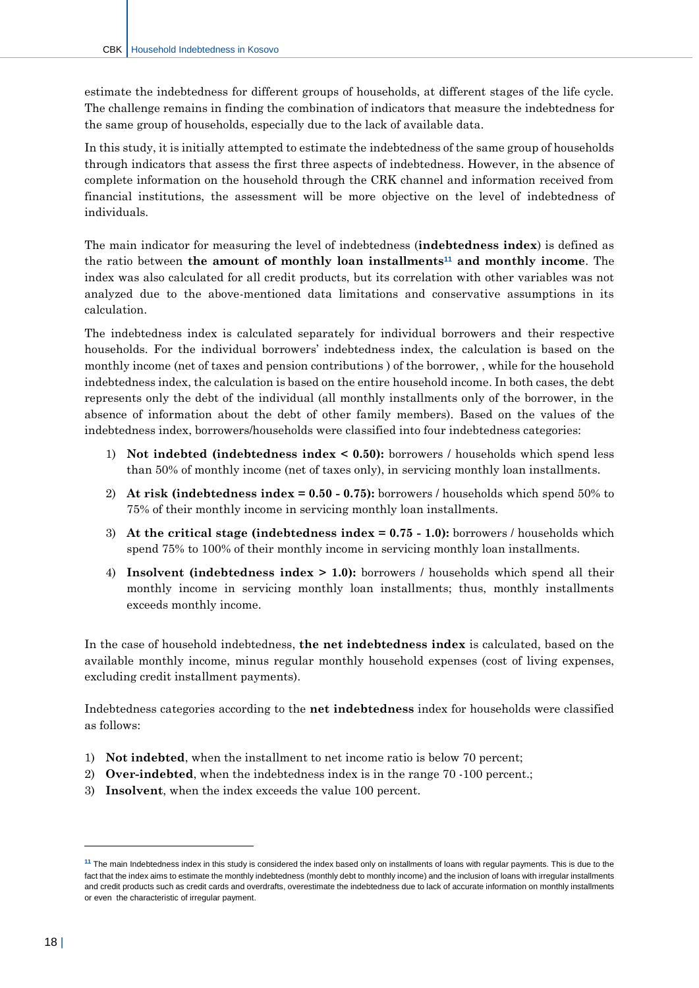estimate the indebtedness for different groups of households, at different stages of the life cycle. The challenge remains in finding the combination of indicators that measure the indebtedness for the same group of households, especially due to the lack of available data.

In this study, it is initially attempted to estimate the indebtedness of the same group of households through indicators that assess the first three aspects of indebtedness. However, in the absence of complete information on the household through the CRK channel and information received from financial institutions, the assessment will be more objective on the level of indebtedness of individuals.

The main indicator for measuring the level of indebtedness (**indebtedness index**) is defined as the ratio between **the amount of monthly loan installments<sup>11</sup> and monthly income**. The index was also calculated for all credit products, but its correlation with other variables was not analyzed due to the above-mentioned data limitations and conservative assumptions in its calculation.

The indebtedness index is calculated separately for individual borrowers and their respective households. For the individual borrowers' indebtedness index, the calculation is based on the monthly income (net of taxes and pension contributions ) of the borrower, , while for the household indebtedness index, the calculation is based on the entire household income. In both cases, the debt represents only the debt of the individual (all monthly installments only of the borrower, in the absence of information about the debt of other family members). Based on the values of the indebtedness index, borrowers/households were classified into four indebtedness categories:

- 1) **Not indebted (indebtedness index < 0.50):** borrowers / households which spend less than 50% of monthly income (net of taxes only), in servicing monthly loan installments.
- 2) **At risk (indebtedness index = 0.50 - 0.75):** borrowers / households which spend 50% to 75% of their monthly income in servicing monthly loan installments.
- 3) **At the critical stage (indebtedness index = 0.75 - 1.0):** borrowers / households which spend 75% to 100% of their monthly income in servicing monthly loan installments.
- 4) **Insolvent (indebtedness index > 1.0):** borrowers / households which spend all their monthly income in servicing monthly loan installments; thus, monthly installments exceeds monthly income.

In the case of household indebtedness, **the net indebtedness index** is calculated, based on the available monthly income, minus regular monthly household expenses (cost of living expenses, excluding credit installment payments).

Indebtedness categories according to the **net indebtedness** index for households were classified as follows:

- 1) **Not indebted**, when the installment to net income ratio is below 70 percent;
- 2) **Over-indebted**, when the indebtedness index is in the range 70 -100 percent.;
- 3) **Insolvent**, when the index exceeds the value 100 percent.

 $\overline{a}$ 

**<sup>11</sup>** The main Indebtedness index in this study is considered the index based only on installments of loans with regular payments. This is due to the fact that the index aims to estimate the monthly indebtedness (monthly debt to monthly income) and the inclusion of loans with irregular installments and credit products such as credit cards and overdrafts, overestimate the indebtedness due to lack of accurate information on monthly installments or even the characteristic of irregular payment.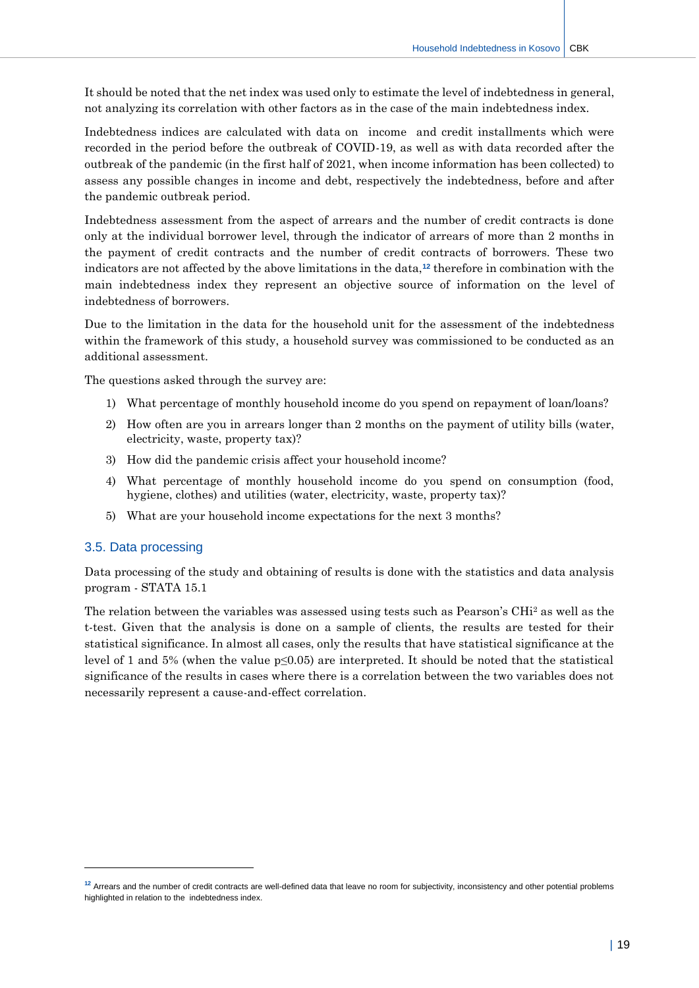It should be noted that the net index was used only to estimate the level of indebtedness in general, not analyzing its correlation with other factors as in the case of the main indebtedness index.

Indebtedness indices are calculated with data on income and credit installments which were recorded in the period before the outbreak of COVID-19, as well as with data recorded after the outbreak of the pandemic (in the first half of 2021, when income information has been collected) to assess any possible changes in income and debt, respectively the indebtedness, before and after the pandemic outbreak period.

Indebtedness assessment from the aspect of arrears and the number of credit contracts is done only at the individual borrower level, through the indicator of arrears of more than 2 months in the payment of credit contracts and the number of credit contracts of borrowers. These two indicators are not affected by the above limitations in the data,**<sup>12</sup>** therefore in combination with the main indebtedness index they represent an objective source of information on the level of indebtedness of borrowers.

Due to the limitation in the data for the household unit for the assessment of the indebtedness within the framework of this study, a household survey was commissioned to be conducted as an additional assessment.

The questions asked through the survey are:

- 1) What percentage of monthly household income do you spend on repayment of loan/loans?
- 2) How often are you in arrears longer than 2 months on the payment of utility bills (water, electricity, waste, property tax)?
- 3) How did the pandemic crisis affect your household income?
- 4) What percentage of monthly household income do you spend on consumption (food, hygiene, clothes) and utilities (water, electricity, waste, property tax)?
- 5) What are your household income expectations for the next 3 months?

#### <span id="page-19-0"></span>3.5. Data processing

-

Data processing of the study and obtaining of results is done with the statistics and data analysis program - STATA 15.1

The relation between the variables was assessed using tests such as Pearson's CHi<sup>2</sup> as well as the t-test. Given that the analysis is done on a sample of clients, the results are tested for their statistical significance. In almost all cases, only the results that have statistical significance at the level of 1 and 5% (when the value p≤0.05) are interpreted. It should be noted that the statistical significance of the results in cases where there is a correlation between the two variables does not necessarily represent a cause-and-effect correlation.

**<sup>12</sup>** Arrears and the number of credit contracts are well-defined data that leave no room for subjectivity, inconsistency and other potential problems highlighted in relation to the indebtedness index.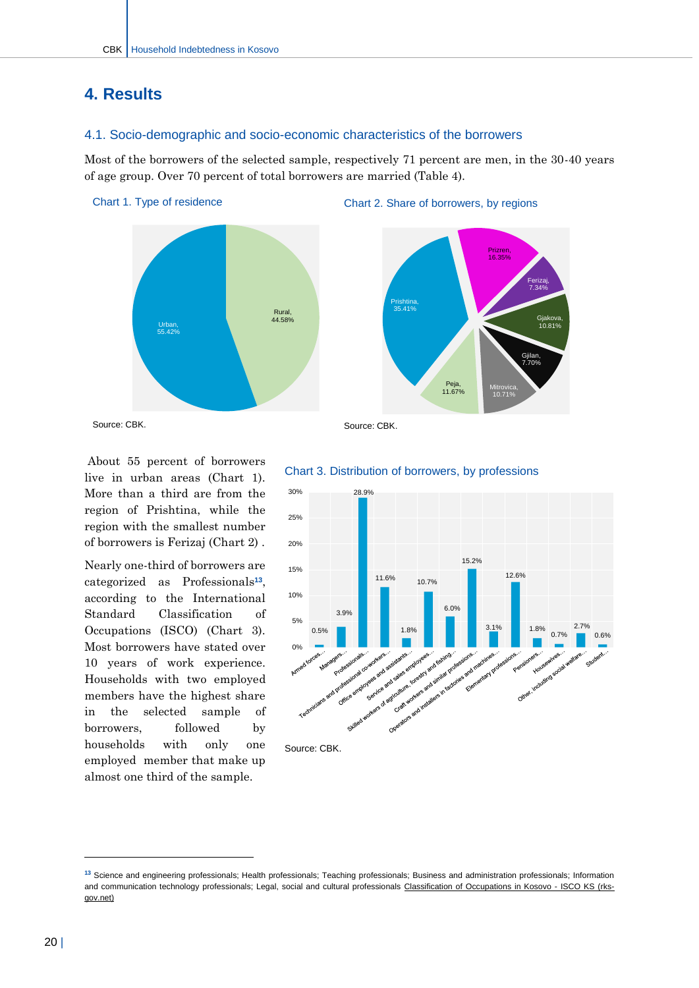## <span id="page-20-0"></span>**4. Results**

#### <span id="page-20-1"></span>4.1. Socio-demographic and socio-economic characteristics of the borrowers

Most of the borrowers of the selected sample, respectively 71 percent are men, in the 30-40 years of age group. Over 70 percent of total borrowers are married (Table 4).







Source: CBK.

About 55 percent of borrowers live in urban areas (Chart 1). More than a third are from the region of Prishtina, while the region with the smallest number of borrowers is Ferizaj (Chart 2) .

Nearly one-third of borrowers are categorized as Professionals **13** , according to the International Standard Classification of Occupations (ISCO) (Chart 3). Most borrowers have stated over 10 years of work experience. Households with two employed members have the highest share in the selected sample of borrowers, followed by households with only one employed member that make up almost one third of the sample.

#### Source: CBK.



#### Chart 3. Distribution of borrowers, by professions

 $\overline{a}$ 

**<sup>13</sup>** Science and engineering professionals; Health professionals; Teaching professionals; Business and administration professionals; Information and communication technology professionals; Legal, social and cultural professionals [Classification of Occupations in Kosovo -](https://kpk.rks-gov.net/) ISCO KS (rks[gov.net\)](https://kpk.rks-gov.net/)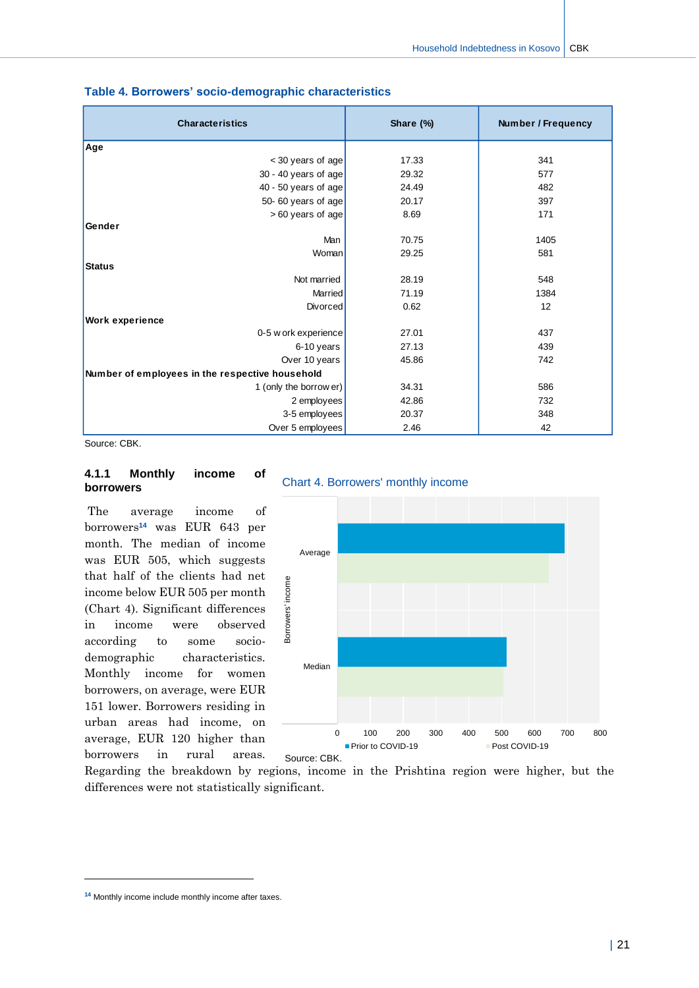| <b>Characteristics</b>                          | Share (%) | <b>Number / Frequency</b> |  |
|-------------------------------------------------|-----------|---------------------------|--|
| Age                                             |           |                           |  |
| < 30 years of age                               | 17.33     | 341                       |  |
| 30 - 40 years of age                            | 29.32     | 577                       |  |
| 40 - 50 years of age                            | 24.49     | 482                       |  |
| 50-60 years of age                              | 20.17     | 397                       |  |
| > 60 years of age                               | 8.69      | 171                       |  |
| Gender                                          |           |                           |  |
| Man                                             | 70.75     | 1405                      |  |
| Woman                                           | 29.25     | 581                       |  |
| <b>Status</b>                                   |           |                           |  |
| Not married                                     | 28.19     | 548                       |  |
| Married                                         | 71.19     | 1384                      |  |
| Divorced                                        | 0.62      | 12                        |  |
| <b>Work experience</b>                          |           |                           |  |
| 0-5 w ork experience                            | 27.01     | 437                       |  |
| 6-10 years                                      | 27.13     | 439                       |  |
| Over 10 years                                   | 45.86     | 742                       |  |
| Number of employees in the respective household |           |                           |  |
| 1 (only the borrow er)                          | 34.31     | 586                       |  |
| 2 employees                                     | 42.86     | 732                       |  |
| 3-5 employees                                   | 20.37     | 348                       |  |
| Over 5 employees                                | 2.46      | 42                        |  |

#### **Table 4. Borrowers' socio-demographic characteristics**

Source: CBK.

#### **4.1.1 Monthly income of borrowers**

The average income of borrowers**<sup>14</sup>** was EUR 643 per month. The median of income was EUR 505, which suggests that half of the clients had net income below EUR 505 per month (Chart 4). Significant differences in income were observed according to some sociodemographic characteristics. Monthly income for women borrowers, on average, were EUR 151 lower. Borrowers residing in urban areas had income, on average, EUR 120 higher than borrowers in rural areas.

#### Chart 4. Borrowers' monthly income



Regarding the breakdown by regions, income in the Prishtina region were higher, but the differences were not statistically significant.

 $\overline{a}$ 

**<sup>14</sup>** Monthly income include monthly income after taxes.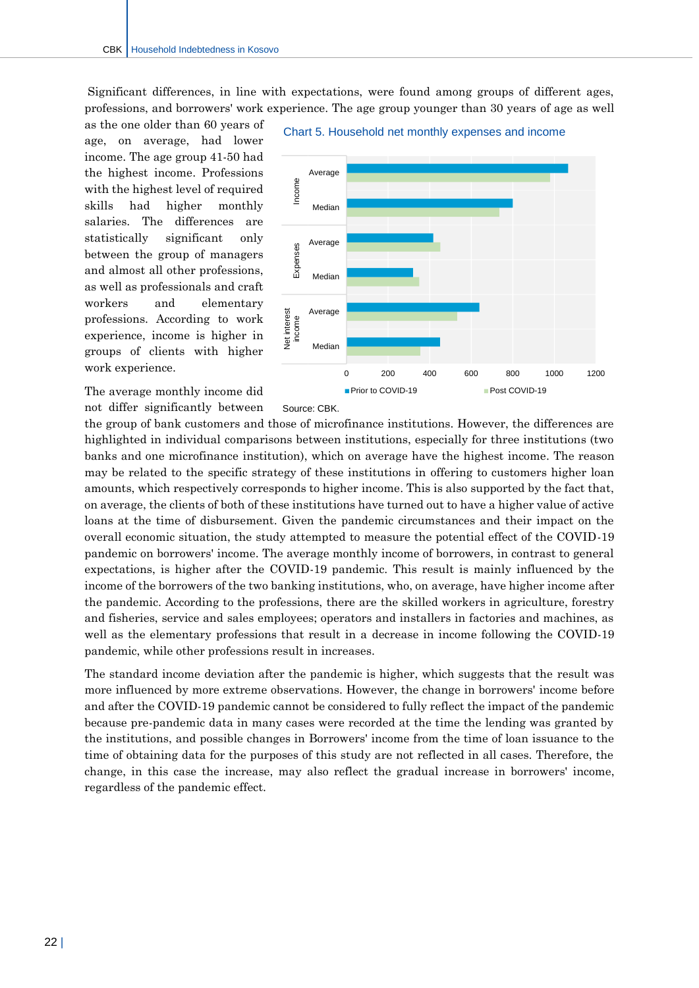Significant differences, in line with expectations, were found among groups of different ages, professions, and borrowers' work experience. The age group younger than 30 years of age as well

as the one older than 60 years of age, on average, had lower income. The age group 41-50 had the highest income. Professions with the highest level of required skills had higher monthly salaries. The differences are statistically significant only between the group of managers and almost all other professions, as well as professionals and craft workers and elementary professions. According to work experience, income is higher in groups of clients with higher work experience.

Average Income income Expenses Income Median Average Expenses Median Net interest<br>income Average Net interest Median

Chart 5. Household net monthly expenses and income

■ Prior to COVID-19 Post COVID-19

0 200 400 600 800 1000 1200

The average monthly income did

not differ significantly between Source: CBK.

the group of bank customers and those of microfinance institutions. However, the differences are highlighted in individual comparisons between institutions, especially for three institutions (two banks and one microfinance institution), which on average have the highest income. The reason may be related to the specific strategy of these institutions in offering to customers higher loan amounts, which respectively corresponds to higher income. This is also supported by the fact that, on average, the clients of both of these institutions have turned out to have a higher value of active loans at the time of disbursement. Given the pandemic circumstances and their impact on the overall economic situation, the study attempted to measure the potential effect of the COVID-19 pandemic on borrowers' income. The average monthly income of borrowers, in contrast to general expectations, is higher after the COVID-19 pandemic. This result is mainly influenced by the income of the borrowers of the two banking institutions, who, on average, have higher income after the pandemic. According to the professions, there are the skilled workers in agriculture, forestry and fisheries, service and sales employees; operators and installers in factories and machines, as well as the elementary professions that result in a decrease in income following the COVID-19 pandemic, while other professions result in increases.

The standard income deviation after the pandemic is higher, which suggests that the result was more influenced by more extreme observations. However, the change in borrowers' income before and after the COVID-19 pandemic cannot be considered to fully reflect the impact of the pandemic because pre-pandemic data in many cases were recorded at the time the lending was granted by the institutions, and possible changes in Borrowers' income from the time of loan issuance to the time of obtaining data for the purposes of this study are not reflected in all cases. Therefore, the change, in this case the increase, may also reflect the gradual increase in borrowers' income, regardless of the pandemic effect.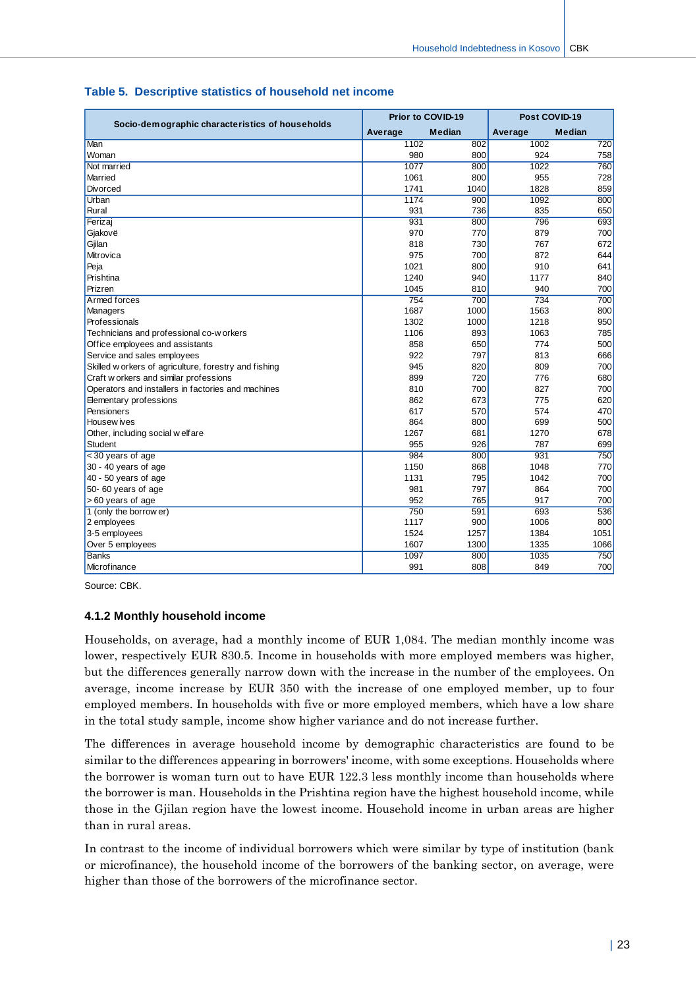|                                                       | Prior to COVID-19 |               | Post COVID-19 |               |
|-------------------------------------------------------|-------------------|---------------|---------------|---------------|
| Socio-demographic characteristics of households       | Average           | <b>Median</b> | Average       | <b>Median</b> |
| Man                                                   | 1102              | 802           | 1002          | 720           |
| Woman                                                 | 980               | 800           | 924           | 758           |
| Not married                                           | 1077              | 800           | 1022          | 760           |
| Married                                               | 1061              | 800           | 955           | 728           |
| <b>Divorced</b>                                       | 1741              | 1040          | 1828          | 859           |
| Urban                                                 | 1174              | 900           | 1092          | 800           |
| Rural                                                 | 931               | 736           | 835           | 650           |
| Ferizaj                                               | 931               | 800           | 796           | 693           |
| Gjakovë                                               | 970               | 770           | 879           | 700           |
| Gjilan                                                | 818               | 730           | 767           | 672           |
| Mitrovica                                             | 975               | 700           | 872           | 644           |
| Peja                                                  | 1021              | 800           | 910           | 641           |
| Prishtina                                             | 1240              | 940           | 1177          | 840           |
| Prizren                                               | 1045              | 810           | 940           | 700           |
| Armed forces                                          | 754               | 700           | 734           | 700           |
| Managers                                              | 1687              | 1000          | 1563          | 800           |
| Professionals                                         | 1302              | 1000          | 1218          | 950           |
| Technicians and professional co-w orkers              | 1106              | 893           | 1063          | 785           |
| Office employees and assistants                       | 858               | 650           | 774           | 500           |
| Service and sales employees                           | 922               | 797           | 813           | 666           |
| Skilled w orkers of agriculture, forestry and fishing | 945               | 820           | 809           | 700           |
| Craft w orkers and similar professions                | 899               | 720           | 776           | 680           |
| Operators and installers in factories and machines    | 810               | 700           | 827           | 700           |
| Elementary professions                                | 862               | 673           | 775           | 620           |
| Pensioners                                            | 617               | 570           | 574           | 470           |
| Housew ives                                           | 864               | 800           | 699           | 500           |
| Other, including social w elfare                      | 1267              | 681           | 1270          | 678           |
| <b>Student</b>                                        | 955               | 926           | 787           | 699           |
| < 30 years of age                                     | 984               | 800           | 931           | 750           |
| 30 - 40 years of age                                  | 1150              | 868           | 1048          | 770           |
| 40 - 50 years of age                                  | 1131              | 795           | 1042          | 700           |
| 50-60 years of age                                    | 981               | 797           | 864           | 700           |
| > 60 years of age                                     | 952               | 765           | 917           | 700           |
| 1 (only the borrow er)                                | 750               | 591           | 693           | 536           |
| 2 employees                                           | 1117              | 900           | 1006          | 800           |
| 3-5 employees                                         | 1524              | 1257          | 1384          | 1051          |
| Over 5 employees                                      | 1607              | 1300          | 1335          | 1066          |
| <b>Banks</b>                                          | 1097              | 800           | 1035          | 750           |
| Microfinance                                          | 991               | 808           | 849           | 700           |

#### **Table 5. Descriptive statistics of household net income**

Source: CBK.

#### **4.1.2 Monthly household income**

Households, on average, had a monthly income of EUR 1,084. The median monthly income was lower, respectively EUR 830.5. Income in households with more employed members was higher, but the differences generally narrow down with the increase in the number of the employees. On average, income increase by EUR 350 with the increase of one employed member, up to four employed members. In households with five or more employed members, which have a low share in the total study sample, income show higher variance and do not increase further.

The differences in average household income by demographic characteristics are found to be similar to the differences appearing in borrowers' income, with some exceptions. Households where the borrower is woman turn out to have EUR 122.3 less monthly income than households where the borrower is man. Households in the Prishtina region have the highest household income, while those in the Gjilan region have the lowest income. Household income in urban areas are higher than in rural areas.

In contrast to the income of individual borrowers which were similar by type of institution (bank or microfinance), the household income of the borrowers of the banking sector, on average, were higher than those of the borrowers of the microfinance sector.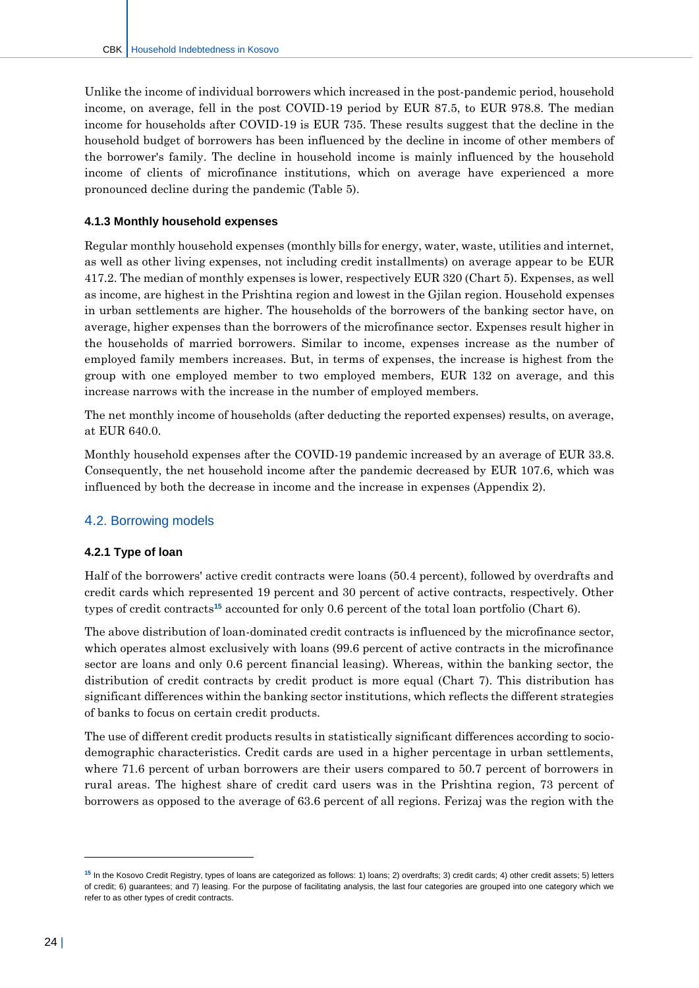Unlike the income of individual borrowers which increased in the post-pandemic period, household income, on average, fell in the post COVID-19 period by EUR 87.5, to EUR 978.8. The median income for households after COVID-19 is EUR 735. These results suggest that the decline in the household budget of borrowers has been influenced by the decline in income of other members of the borrower's family. The decline in household income is mainly influenced by the household income of clients of microfinance institutions, which on average have experienced a more pronounced decline during the pandemic (Table 5).

#### **4.1.3 Monthly household expenses**

Regular monthly household expenses (monthly bills for energy, water, waste, utilities and internet, as well as other living expenses, not including credit installments) on average appear to be EUR 417.2. The median of monthly expenses is lower, respectively EUR 320 (Chart 5). Expenses, as well as income, are highest in the Prishtina region and lowest in the Gjilan region. Household expenses in urban settlements are higher. The households of the borrowers of the banking sector have, on average, higher expenses than the borrowers of the microfinance sector. Expenses result higher in the households of married borrowers. Similar to income, expenses increase as the number of employed family members increases. But, in terms of expenses, the increase is highest from the group with one employed member to two employed members, EUR 132 on average, and this increase narrows with the increase in the number of employed members.

The net monthly income of households (after deducting the reported expenses) results, on average, at EUR 640.0.

Monthly household expenses after the COVID-19 pandemic increased by an average of EUR 33.8. Consequently, the net household income after the pandemic decreased by EUR 107.6, which was influenced by both the decrease in income and the increase in expenses (Appendix 2).

#### <span id="page-24-0"></span>4.2. Borrowing models

#### **4.2.1 Type of loan**

Half of the borrowers' active credit contracts were loans (50.4 percent), followed by overdrafts and credit cards which represented 19 percent and 30 percent of active contracts, respectively. Other types of credit contracts**<sup>15</sup>** accounted for only 0.6 percent of the total loan portfolio (Chart 6).

The above distribution of loan-dominated credit contracts is influenced by the microfinance sector, which operates almost exclusively with loans (99.6 percent of active contracts in the microfinance sector are loans and only 0.6 percent financial leasing). Whereas, within the banking sector, the distribution of credit contracts by credit product is more equal (Chart 7). This distribution has significant differences within the banking sector institutions, which reflects the different strategies of banks to focus on certain credit products.

The use of different credit products results in statistically significant differences according to sociodemographic characteristics. Credit cards are used in a higher percentage in urban settlements, where 71.6 percent of urban borrowers are their users compared to 50.7 percent of borrowers in rural areas. The highest share of credit card users was in the Prishtina region, 73 percent of borrowers as opposed to the average of 63.6 percent of all regions. Ferizaj was the region with the

 $\overline{a}$ 

**<sup>15</sup>** In the Kosovo Credit Registry, types of loans are categorized as follows: 1) loans; 2) overdrafts; 3) credit cards; 4) other credit assets; 5) letters of credit; 6) guarantees; and 7) leasing. For the purpose of facilitating analysis, the last four categories are grouped into one category which we refer to as other types of credit contracts.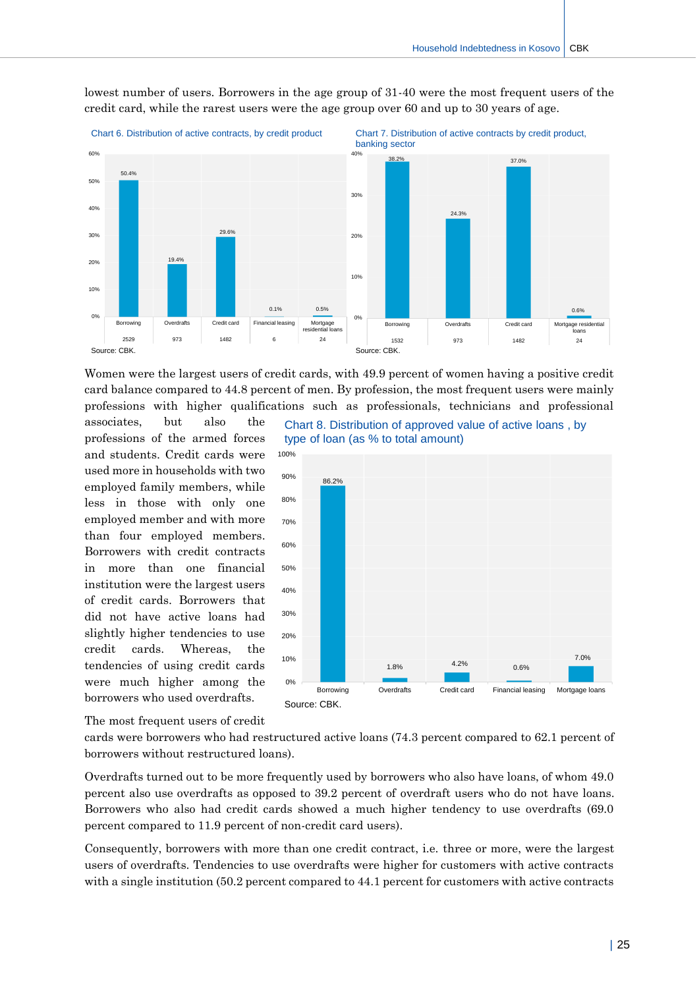

lowest number of users. Borrowers in the age group of 31-40 were the most frequent users of the credit card, while the rarest users were the age group over 60 and up to 30 years of age.

Women were the largest users of credit cards, with 49.9 percent of women having a positive credit card balance compared to 44.8 percent of men. By profession, the most frequent users were mainly professions with higher qualifications such as professionals, technicians and professional

associates, but also the professions of the armed forces and students. Credit cards were used more in households with two employed family members, while less in those with only one employed member and with more than four employed members. Borrowers with credit contracts in more than one financial institution were the largest users of credit cards. Borrowers that did not have active loans had slightly higher tendencies to use credit cards. Whereas, the tendencies of using credit cards were much higher among the borrowers who used overdrafts.

Chart 8. Distribution of approved value of active loans , by type of loan (as % to total amount)



The most frequent users of credit

cards were borrowers who had restructured active loans (74.3 percent compared to 62.1 percent of borrowers without restructured loans).

Overdrafts turned out to be more frequently used by borrowers who also have loans, of whom 49.0 percent also use overdrafts as opposed to 39.2 percent of overdraft users who do not have loans. Borrowers who also had credit cards showed a much higher tendency to use overdrafts (69.0 percent compared to 11.9 percent of non-credit card users).

Consequently, borrowers with more than one credit contract, i.e. three or more, were the largest users of overdrafts. Tendencies to use overdrafts were higher for customers with active contracts with a single institution (50.2 percent compared to 44.1 percent for customers with active contracts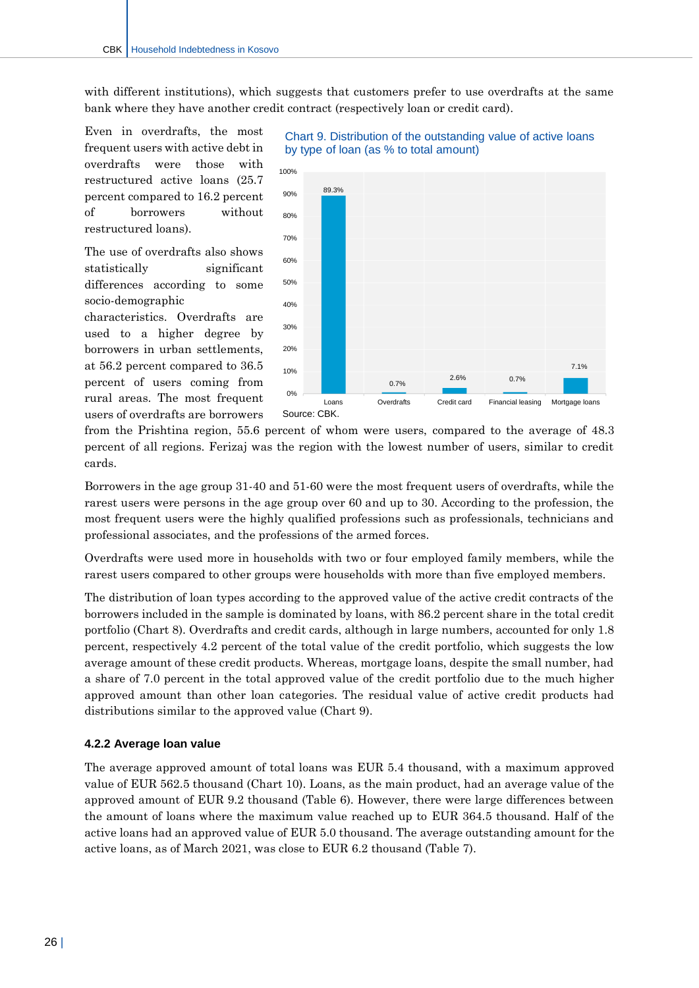with different institutions), which suggests that customers prefer to use overdrafts at the same bank where they have another credit contract (respectively loan or credit card).

Even in overdrafts, the most frequent users with active debt in overdrafts were those with restructured active loans (25.7 percent compared to 16.2 percent of borrowers without restructured loans).

The use of overdrafts also shows statistically significant differences according to some socio-demographic characteristics. Overdrafts are used to a higher degree by borrowers in urban settlements, at 56.2 percent compared to 36.5 percent of users coming from rural areas. The most frequent users of overdrafts are borrowers



#### Chart 9. Distribution of the outstanding value of active loans by type of loan (as % to total amount)

from the Prishtina region, 55.6 percent of whom were users, compared to the average of 48.3 percent of all regions. Ferizaj was the region with the lowest number of users, similar to credit cards.

Borrowers in the age group 31-40 and 51-60 were the most frequent users of overdrafts, while the rarest users were persons in the age group over 60 and up to 30. According to the profession, the most frequent users were the highly qualified professions such as professionals, technicians and professional associates, and the professions of the armed forces.

Overdrafts were used more in households with two or four employed family members, while the rarest users compared to other groups were households with more than five employed members.

The distribution of loan types according to the approved value of the active credit contracts of the borrowers included in the sample is dominated by loans, with 86.2 percent share in the total credit portfolio (Chart 8). Overdrafts and credit cards, although in large numbers, accounted for only 1.8 percent, respectively 4.2 percent of the total value of the credit portfolio, which suggests the low average amount of these credit products. Whereas, mortgage loans, despite the small number, had a share of 7.0 percent in the total approved value of the credit portfolio due to the much higher approved amount than other loan categories. The residual value of active credit products had distributions similar to the approved value (Chart 9).

#### **4.2.2 Average loan value**

The average approved amount of total loans was EUR 5.4 thousand, with a maximum approved value of EUR 562.5 thousand (Chart 10). Loans, as the main product, had an average value of the approved amount of EUR 9.2 thousand (Table 6). However, there were large differences between the amount of loans where the maximum value reached up to EUR 364.5 thousand. Half of the active loans had an approved value of EUR 5.0 thousand. The average outstanding amount for the active loans, as of March 2021, was close to EUR 6.2 thousand (Table 7).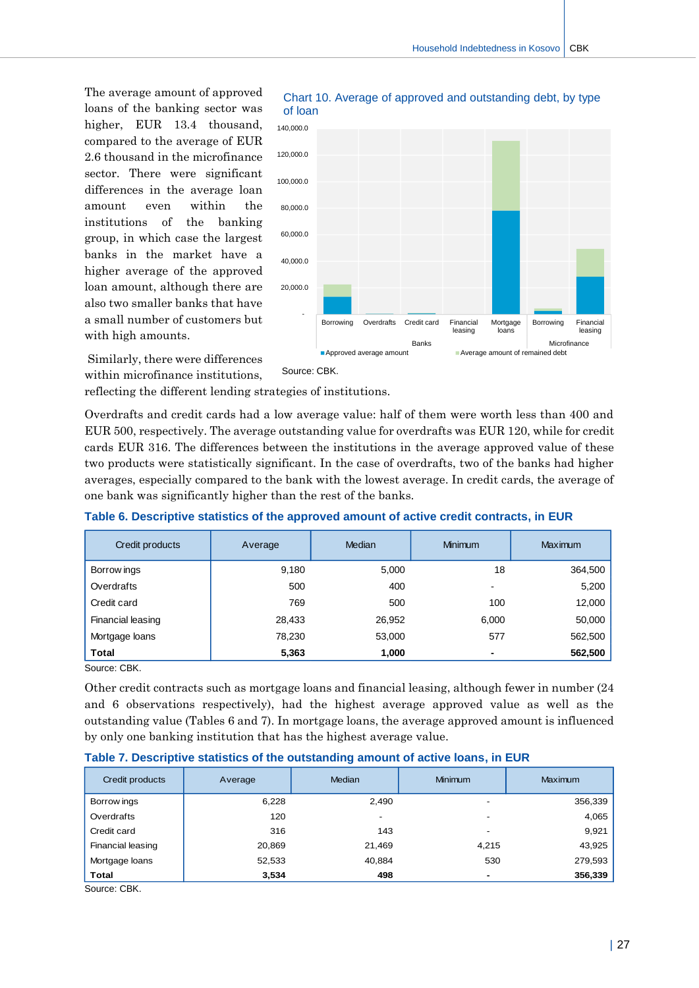The average amount of approved loans of the banking sector was higher, EUR 13.4 thousand, compared to the average of EUR 2.6 thousand in the microfinance sector. There were significant differences in the average loan amount even within the institutions of the banking group, in which case the largest banks in the market have a higher average of the approved loan amount, although there are also two smaller banks that have a small number of customers but with high amounts.



Similarly, there were differences within microfinance institutions,

reflecting the different lending strategies of institutions.

Overdrafts and credit cards had a low average value: half of them were worth less than 400 and EUR 500, respectively. The average outstanding value for overdrafts was EUR 120, while for credit cards EUR 316. The differences between the institutions in the average approved value of these two products were statistically significant. In the case of overdrafts, two of the banks had higher averages, especially compared to the bank with the lowest average. In credit cards, the average of one bank was significantly higher than the rest of the banks.

#### **Table 6. Descriptive statistics of the approved amount of active credit contracts, in EUR**

| Credit products   | Average | Median | <b>Minimum</b> | Maximum |
|-------------------|---------|--------|----------------|---------|
| Borrow ings       | 9,180   | 5,000  | 18             | 364,500 |
| Overdrafts        | 500     | 400    | -              | 5,200   |
| Credit card       | 769     | 500    | 100            | 12,000  |
| Financial leasing | 28,433  | 26,952 | 6,000          | 50,000  |
| Mortgage loans    | 78,230  | 53,000 | 577            | 562,500 |
| <b>Total</b>      | 5,363   | 1,000  | ٠              | 562,500 |

Source: CBK.

Other credit contracts such as mortgage loans and financial leasing, although fewer in number (24 and 6 observations respectively), had the highest average approved value as well as the outstanding value (Tables 6 and 7). In mortgage loans, the average approved amount is influenced by only one banking institution that has the highest average value.

| Credit products   | Average | <b>Median</b> | <b>Minimum</b>           | <b>Maximum</b> |
|-------------------|---------|---------------|--------------------------|----------------|
| Borrow ings       | 6,228   | 2,490         |                          | 356,339        |
| Overdrafts        | 120     |               | $\overline{\phantom{0}}$ | 4,065          |
| Credit card       | 316     | 143           | $\overline{\phantom{0}}$ | 9,921          |
| Financial leasing | 20,869  | 21,469        | 4,215                    | 43,925         |
| Mortgage loans    | 52,533  | 40,884        | 530                      | 279,593        |
| <b>Total</b>      | 3,534   | 498           |                          | 356,339        |

**Table 7. Descriptive statistics of the outstanding amount of active loans, in EUR**

Source: CBK.

Chart 10. Average of approved and outstanding debt, by type of loan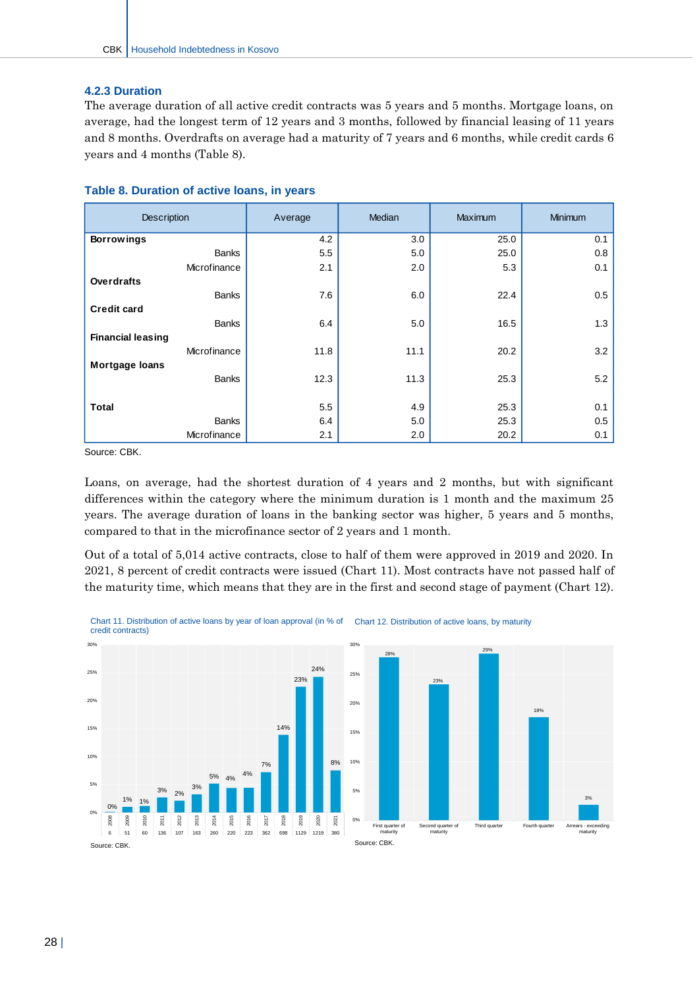#### **4.2.3 Duration**

The average duration of all active credit contracts was 5 years and 5 months. Mortgage loans, on average, had the longest term of 12 years and 3 months, followed by financial leasing of 11 years and 8 months. Overdrafts on average had a maturity of 7 years and 6 months, while credit cards 6 years and 4 months (Table 8).

| <b>Description</b>       | Average | Median | Maximum | <b>Minimum</b> |  |
|--------------------------|---------|--------|---------|----------------|--|
| <b>Borrowings</b>        | 4.2     | 3.0    | 25.0    | 0.1            |  |
| <b>Banks</b>             | 5.5     | 5.0    | 25.0    | 0.8            |  |
| Microfinance             | 2.1     | 2.0    | 5.3     | 0.1            |  |
| <b>Overdrafts</b>        |         |        |         |                |  |
| <b>Banks</b>             | 7.6     | 6.0    | 22.4    | 0.5            |  |
| <b>Credit card</b>       |         |        |         |                |  |
| <b>Banks</b>             | 6.4     | 5.0    | 16.5    | 1.3            |  |
| <b>Financial leasing</b> |         |        |         |                |  |
| Microfinance             | 11.8    | 11.1   | 20.2    | 3.2            |  |
| <b>Mortgage loans</b>    |         |        |         |                |  |
| <b>Banks</b>             | 12.3    | 11.3   | 25.3    | 5.2            |  |
|                          |         |        |         |                |  |
| <b>Total</b>             | 5.5     | 4.9    | 25.3    | 0.1            |  |
| <b>Banks</b>             | 6.4     | 5.0    | 25.3    | 0.5            |  |
| Microfinance             | 2.1     | 2.0    | 20.2    | 0.1            |  |

#### **Table 8. Duration of active loans, in years**

Source: CBK.

Loans, on average, had the shortest duration of 4 years and 2 months, but with significant differences within the category where the minimum duration is 1 month and the maximum 25 years. The average duration of loans in the banking sector was higher, 5 years and 5 months, compared to that in the microfinance sector of 2 years and 1 month.

Out of a total of 5,014 active contracts, close to half of them were approved in 2019 and 2020. In 2021, 8 percent of credit contracts were issued (Chart 11). Most contracts have not passed half of the maturity time, which means that they are in the first and second stage of payment (Chart 12).



Chart 11. Distribution of active loans by year of loan approval (in % of Chart 12. Distribution of active loans, by maturity credit contracts)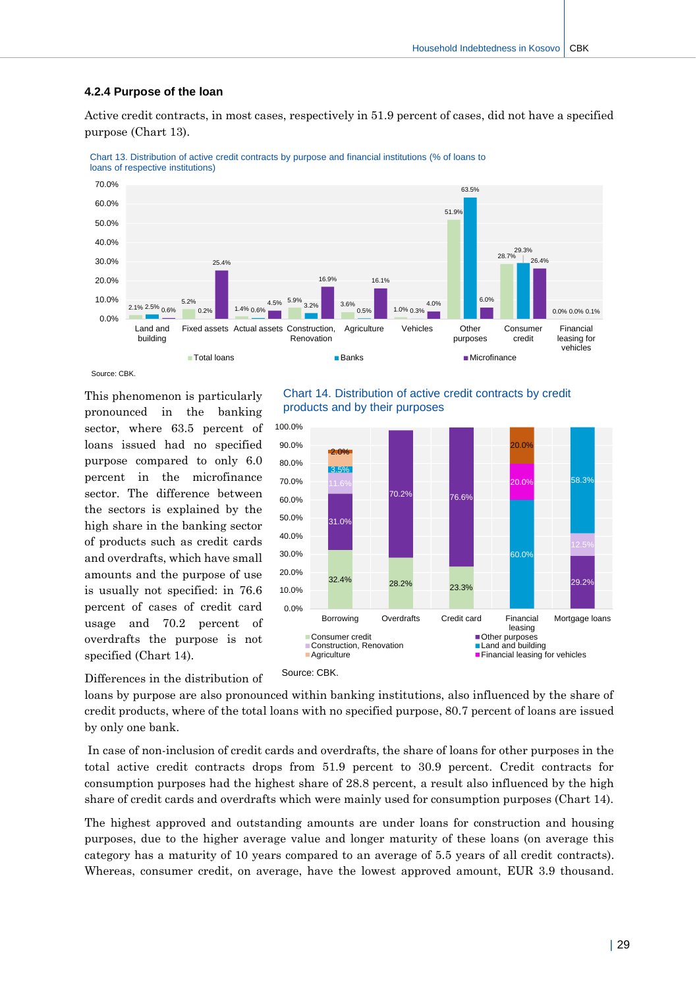#### **4.2.4 Purpose of the loan**

Active credit contracts, in most cases, respectively in 51.9 percent of cases, did not have a specified purpose (Chart 13).





Source: CBK.

This phenomenon is particularly pronounced in the banking sector, where 63.5 percent of loans issued had no specified purpose compared to only 6.0 percent in the microfinance sector. The difference between the sectors is explained by the high share in the banking sector of products such as credit cards and overdrafts, which have small amounts and the purpose of use is usually not specified: in 76.6 percent of cases of credit card usage and 70.2 percent of overdrafts the purpose is not specified (Chart 14).





Differences in the distribution of

loans by purpose are also pronounced within banking institutions, also influenced by the share of credit products, where of the total loans with no specified purpose, 80.7 percent of loans are issued by only one bank.

In case of non-inclusion of credit cards and overdrafts, the share of loans for other purposes in the total active credit contracts drops from 51.9 percent to 30.9 percent. Credit contracts for consumption purposes had the highest share of 28.8 percent, a result also influenced by the high share of credit cards and overdrafts which were mainly used for consumption purposes (Chart 14).

The highest approved and outstanding amounts are under loans for construction and housing purposes, due to the higher average value and longer maturity of these loans (on average this category has a maturity of 10 years compared to an average of 5.5 years of all credit contracts). Whereas, consumer credit, on average, have the lowest approved amount, EUR 3.9 thousand.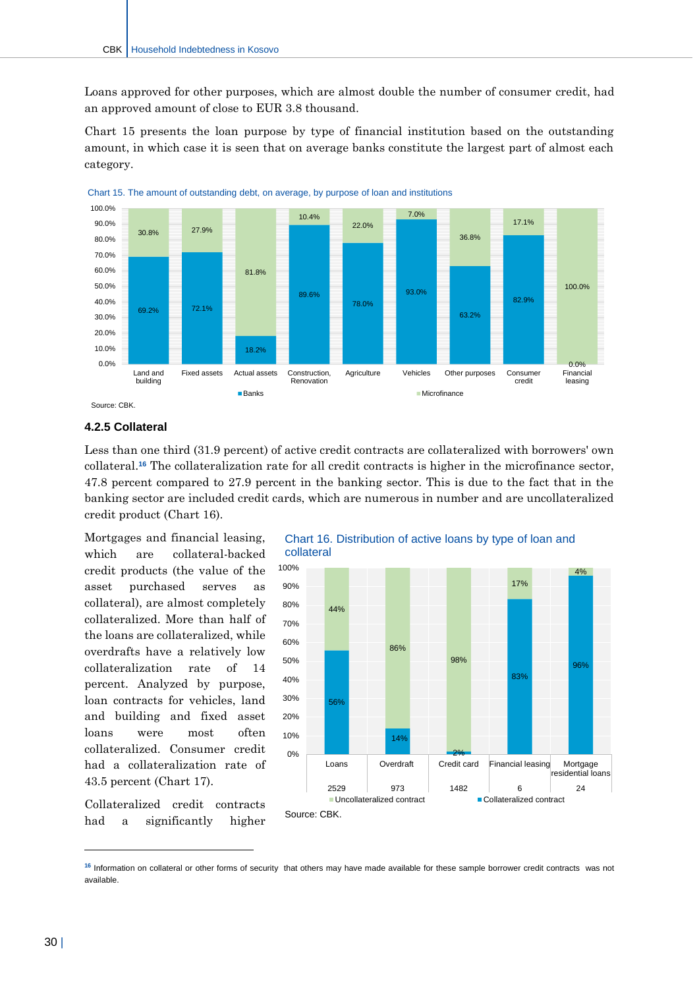Loans approved for other purposes, which are almost double the number of consumer credit, had an approved amount of close to EUR 3.8 thousand.

Chart 15 presents the loan purpose by type of financial institution based on the outstanding amount, in which case it is seen that on average banks constitute the largest part of almost each category.





#### **4.2.5 Collateral**

Less than one third (31.9 percent) of active credit contracts are collateralized with borrowers' own collateral.**<sup>16</sup>** The collateralization rate for all credit contracts is higher in the microfinance sector, 47.8 percent compared to 27.9 percent in the banking sector. This is due to the fact that in the banking sector are included credit cards, which are numerous in number and are uncollateralized credit product (Chart 16).

Mortgages and financial leasing, which are collateral-backed credit products (the value of the asset purchased serves as collateral), are almost completely collateralized. More than half of the loans are collateralized, while overdrafts have a relatively low collateralization rate of 14 percent. Analyzed by purpose, loan contracts for vehicles, land and building and fixed asset loans were most often collateralized. Consumer credit had a collateralization rate of 43.5 percent (Chart 17).

Collateralized credit contracts had a significantly higher





<sup>&</sup>lt;sup>16</sup> Information on collateral or other forms of security that others may have made available for these sample borrower credit contracts was not available.

 $\overline{a}$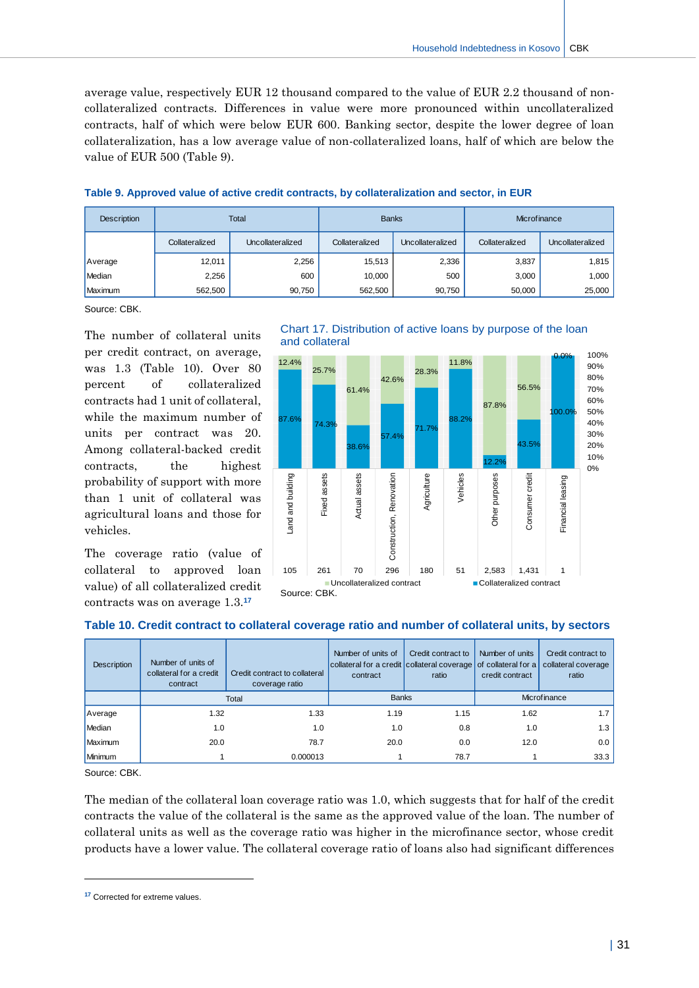average value, respectively EUR 12 thousand compared to the value of EUR 2.2 thousand of noncollateralized contracts. Differences in value were more pronounced within uncollateralized contracts, half of which were below EUR 600. Banking sector, despite the lower degree of loan collateralization, has a low average value of non-collateralized loans, half of which are below the value of EUR 500 (Table 9).

| <b>Description</b> | <b>Total</b>   |                  | <b>Banks</b>   |                  | Microfinance   |                  |  |
|--------------------|----------------|------------------|----------------|------------------|----------------|------------------|--|
|                    | Collateralized | Uncollateralized | Collateralized | Uncollateralized | Collateralized | Uncollateralized |  |
| Average            | 12,011         | 2,256            | 15,513         | 2,336            | 3,837          | 1,815            |  |
| Median             | 2,256          | 600              | 10,000         | 500              | 3,000          | 1,000            |  |
| Maximum            | 562.500        | 90.750           | 562,500        | 90,750           | 50,000         | 25,000           |  |

#### **Table 9. Approved value of active credit contracts, by collateralization and sector, in EUR**

Source: CBK.

The number of collateral units per credit contract, on average, was 1.3 (Table 10). Over 80 percent of collateralized contracts had 1 unit of collateral, while the maximum number of units per contract was 20. Among collateral-backed credit contracts, the highest probability of support with more than 1 unit of collateral was agricultural loans and those for vehicles.

The coverage ratio (value of collateral to approved loan value) of all collateralized credit contracts was on average 1.3.**<sup>17</sup>**



# Chart 17. Distribution of active loans by purpose of the loan



| <b>Description</b> | Number of units of<br>collateral for a credit<br>contract | Credit contract to collateral<br>coverage ratio | Number of units of<br>collateral for a credit collateral coverage of collateral for a<br>contract | Credit contract to<br>ratio | Number of units<br>credit contract | Credit contract to<br>collateral coverage<br>ratio |
|--------------------|-----------------------------------------------------------|-------------------------------------------------|---------------------------------------------------------------------------------------------------|-----------------------------|------------------------------------|----------------------------------------------------|
|                    | Total                                                     |                                                 | <b>Banks</b>                                                                                      |                             | Microfinance                       |                                                    |
| Average            | 1.32                                                      | 1.33                                            | 1.19                                                                                              | 1.15                        | 1.62                               | 1.7 <sub>1</sub>                                   |
| Median             | 1.0                                                       | 1.0                                             | 1.0                                                                                               | 0.8                         | 1.0                                | 1.3                                                |
| Maximum            | 20.0                                                      | 78.7                                            | 20.0                                                                                              | 0.0                         | 12.0                               | 0.0                                                |
| Minimum            |                                                           | 0.000013                                        |                                                                                                   | 78.7                        |                                    | 33.3                                               |

#### **Table 10. Credit contract to collateral coverage ratio and number of collateral units, by sectors**

Source: CBK.

 $\overline{a}$ 

The median of the collateral loan coverage ratio was 1.0, which suggests that for half of the credit contracts the value of the collateral is the same as the approved value of the loan. The number of collateral units as well as the coverage ratio was higher in the microfinance sector, whose credit products have a lower value. The collateral coverage ratio of loans also had significant differences

**<sup>17</sup>** Corrected for extreme values.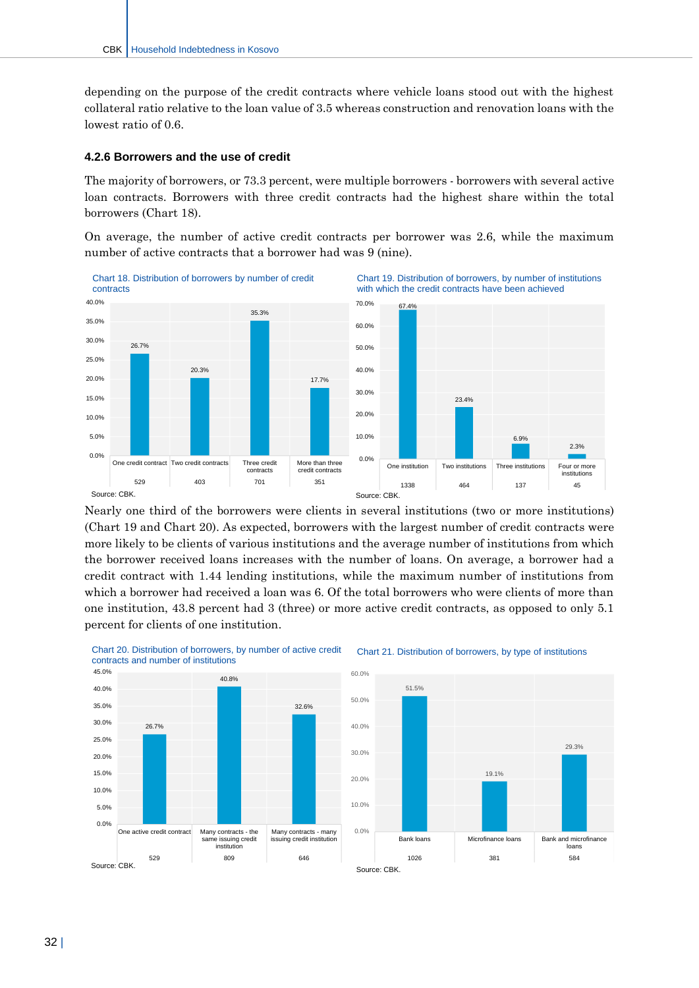depending on the purpose of the credit contracts where vehicle loans stood out with the highest collateral ratio relative to the loan value of 3.5 whereas construction and renovation loans with the lowest ratio of 0.6.

#### **4.2.6 Borrowers and the use of credit**

The majority of borrowers, or 73.3 percent, were multiple borrowers - borrowers with several active loan contracts. Borrowers with three credit contracts had the highest share within the total borrowers (Chart 18).

On average, the number of active credit contracts per borrower was 2.6, while the maximum number of active contracts that a borrower had was 9 (nine).



Nearly one third of the borrowers were clients in several institutions (two or more institutions) (Chart 19 and Chart 20). As expected, borrowers with the largest number of credit contracts were more likely to be clients of various institutions and the average number of institutions from which the borrower received loans increases with the number of loans. On average, a borrower had a credit contract with 1.44 lending institutions, while the maximum number of institutions from which a borrower had received a loan was 6. Of the total borrowers who were clients of more than one institution, 43.8 percent had 3 (three) or more active credit contracts, as opposed to only 5.1 percent for clients of one institution.



#### Chart 21. Distribution of borrowers, by type of institutions

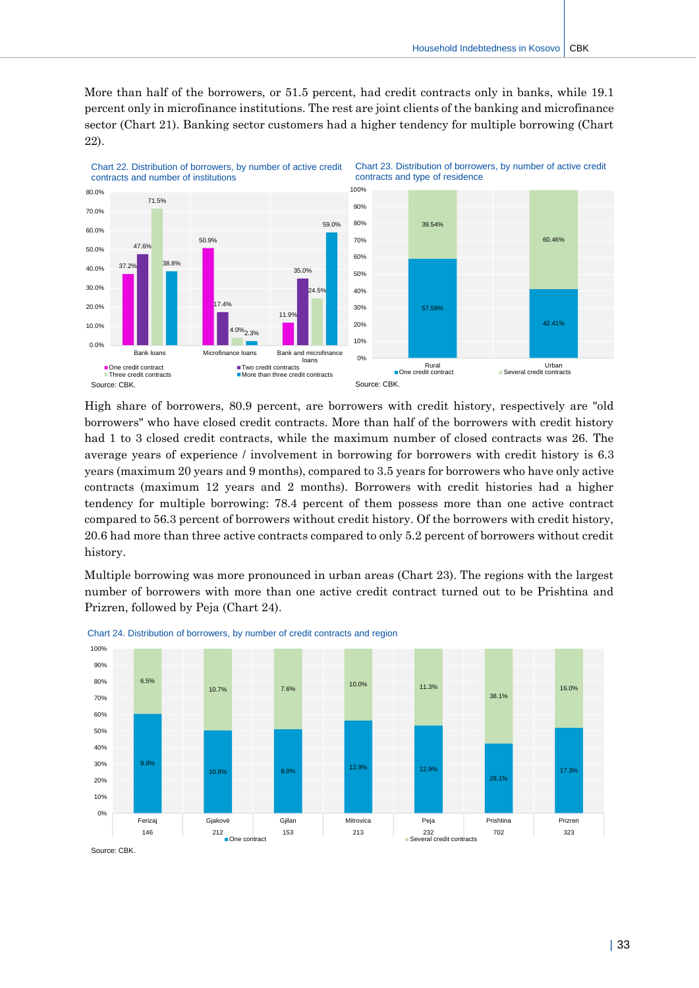More than half of the borrowers, or 51.5 percent, had credit contracts only in banks, while 19.1 percent only in microfinance institutions. The rest are joint clients of the banking and microfinance sector (Chart 21). Banking sector customers had a higher tendency for multiple borrowing (Chart 22).



High share of borrowers, 80.9 percent, are borrowers with credit history, respectively are "old borrowers" who have closed credit contracts. More than half of the borrowers with credit history had 1 to 3 closed credit contracts, while the maximum number of closed contracts was 26. The average years of experience / involvement in borrowing for borrowers with credit history is 6.3 years (maximum 20 years and 9 months), compared to 3.5 years for borrowers who have only active contracts (maximum 12 years and 2 months). Borrowers with credit histories had a higher tendency for multiple borrowing: 78.4 percent of them possess more than one active contract compared to 56.3 percent of borrowers without credit history. Of the borrowers with credit history, 20.6 had more than three active contracts compared to only 5.2 percent of borrowers without credit history.

Multiple borrowing was more pronounced in urban areas (Chart 23). The regions with the largest number of borrowers with more than one active credit contract turned out to be Prishtina and Prizren, followed by Peja (Chart 24).



Chart 24. Distribution of borrowers, by number of credit contracts and region

Source: CBK.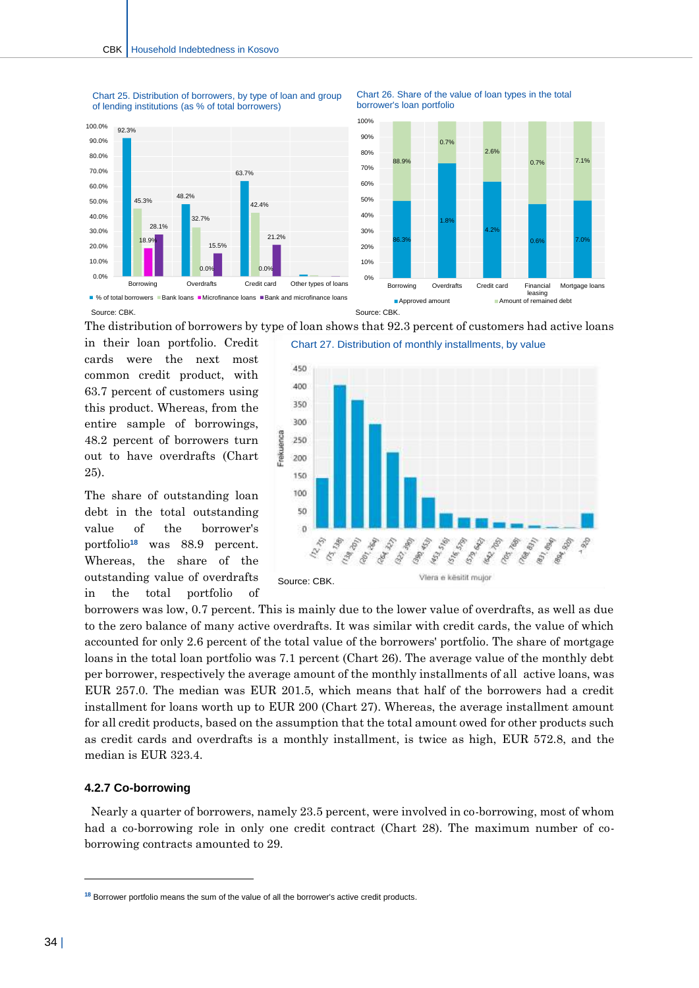Chart 25. Distribution of borrowers, by type of loan and group of lending institutions (as % of total borrowers)







 $\blacksquare$  % of total borrowers  $\blacksquare$  Bank loans  $\blacksquare$  Microfinance loans  $\blacksquare$  Bank and microfinance loans Source: CBK.

The distribution of borrowers by type of loan shows that 92.3 percent of customers had active loans

in their loan portfolio. Credit cards were the next most common credit product, with 63.7 percent of customers using this product. Whereas, from the entire sample of borrowings, 48.2 percent of borrowers turn out to have overdrafts (Chart 25).

The share of outstanding loan debt in the total outstanding value of the borrower's portfolio**<sup>18</sup>** was 88.9 percent. Whereas, the share of the outstanding value of overdrafts in the total portfolio of



borrowers was low, 0.7 percent. This is mainly due to the lower value of overdrafts, as well as due to the zero balance of many active overdrafts. It was similar with credit cards, the value of which accounted for only 2.6 percent of the total value of the borrowers' portfolio. The share of mortgage loans in the total loan portfolio was 7.1 percent (Chart 26). The average value of the monthly debt per borrower, respectively the average amount of the monthly installments of all active loans, was EUR 257.0. The median was EUR 201.5, which means that half of the borrowers had a credit installment for loans worth up to EUR 200 (Chart 27). Whereas, the average installment amount for all credit products, based on the assumption that the total amount owed for other products such as credit cards and overdrafts is a monthly installment, is twice as high, EUR 572.8, and the median is EUR 323.4.

#### **4.2.7 Co-borrowing**

 Nearly a quarter of borrowers, namely 23.5 percent, were involved in co-borrowing, most of whom had a co-borrowing role in only one credit contract (Chart 28). The maximum number of coborrowing contracts amounted to 29.

 $\overline{a}$ 

**<sup>18</sup>** Borrower portfolio means the sum of the value of all the borrower's active credit products.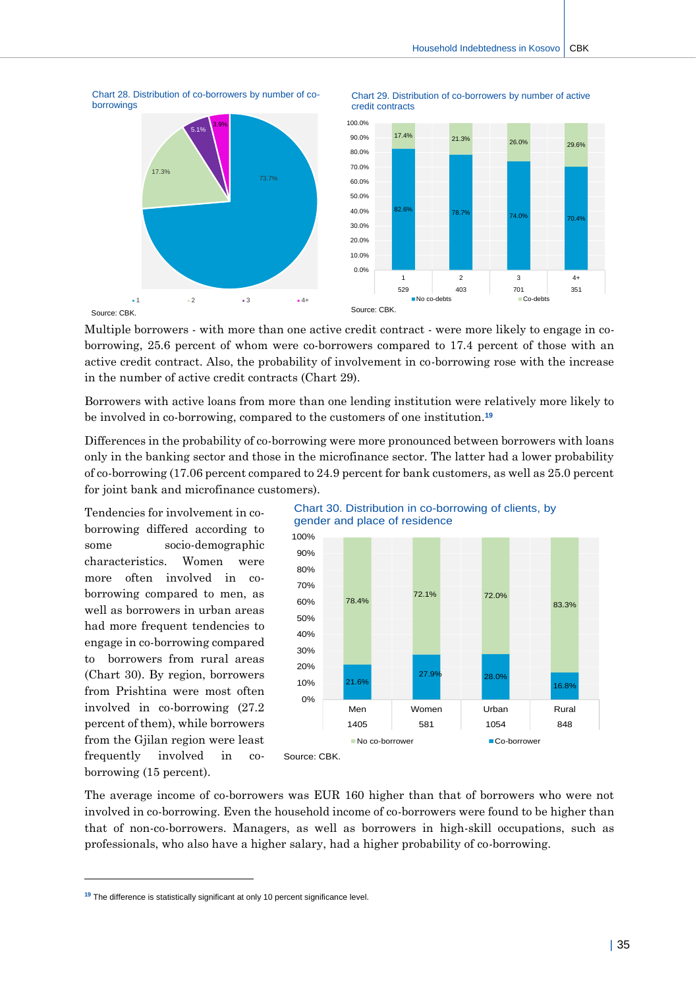

Chart 28. Distribution of co-borrowers by number of co-





Source: CBK.

borrowings

Multiple borrowers - with more than one active credit contract - were more likely to engage in coborrowing, 25.6 percent of whom were co-borrowers compared to 17.4 percent of those with an active credit contract. Also, the probability of involvement in co-borrowing rose with the increase in the number of active credit contracts (Chart 29).

Borrowers with active loans from more than one lending institution were relatively more likely to be involved in co-borrowing, compared to the customers of one institution.**<sup>19</sup>**

Differences in the probability of co-borrowing were more pronounced between borrowers with loans only in the banking sector and those in the microfinance sector. The latter had a lower probability of co-borrowing (17.06 percent compared to 24.9 percent for bank customers, as well as 25.0 percent for joint bank and microfinance customers).

Tendencies for involvement in coborrowing differed according to some socio-demographic characteristics. Women were more often involved in coborrowing compared to men, as well as borrowers in urban areas had more frequent tendencies to engage in co-borrowing compared to borrowers from rural areas (Chart 30). By region, borrowers from Prishtina were most often involved in co-borrowing (27.2 percent of them), while borrowers from the Gjilan region were least frequently involved in coborrowing (15 percent).

 $\overline{a}$ 



The average income of co-borrowers was EUR 160 higher than that of borrowers who were not involved in co-borrowing. Even the household income of co-borrowers were found to be higher than that of non-co-borrowers. Managers, as well as borrowers in high-skill occupations, such as professionals, who also have a higher salary, had a higher probability of co-borrowing.

**<sup>19</sup>** The difference is statistically significant at only 10 percent significance level.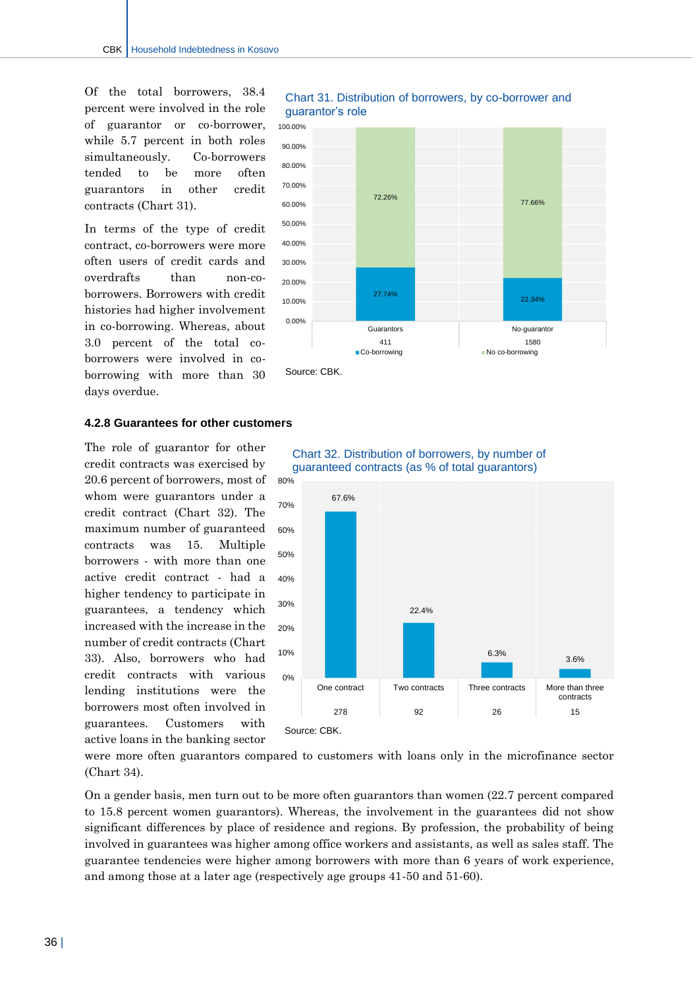Of the total borrowers, 38.4 percent were involved in the role of guarantor or co-borrower, while 5.7 percent in both roles simultaneously. Co-borrowers tended to be more often guarantors in other credit contracts (Chart 31).

In terms of the type of credit contract, co-borrowers were more often users of credit cards and overdrafts than non-coborrowers. Borrowers with credit histories had higher involvement in co-borrowing. Whereas, about 3.0 percent of the total coborrowers were involved in coborrowing with more than 30 days overdue.

#### **4.2.8 Guarantees for other customers**

The role of guarantor for other credit contracts was exercised by 20.6 percent of borrowers, most of whom were guarantors under a credit contract (Chart 32). The maximum number of guaranteed contracts was 15. Multiple borrowers - with more than one active credit contract - had a higher tendency to participate in guarantees, a tendency which increased with the increase in the number of credit contracts (Chart 33). Also, borrowers who had credit contracts with various lending institutions were the borrowers most often involved in guarantees. Customers with active loans in the banking sector

Chart 32. Distribution of borrowers, by number of guaranteed contracts (as % of total guarantors)



were more often guarantors compared to customers with loans only in the microfinance sector (Chart 34).

On a gender basis, men turn out to be more often guarantors than women (22.7 percent compared to 15.8 percent women guarantors). Whereas, the involvement in the guarantees did not show significant differences by place of residence and regions. By profession, the probability of being involved in guarantees was higher among office workers and assistants, as well as sales staff. The guarantee tendencies were higher among borrowers with more than 6 years of work experience, and among those at a later age (respectively age groups 41-50 and 51-60).



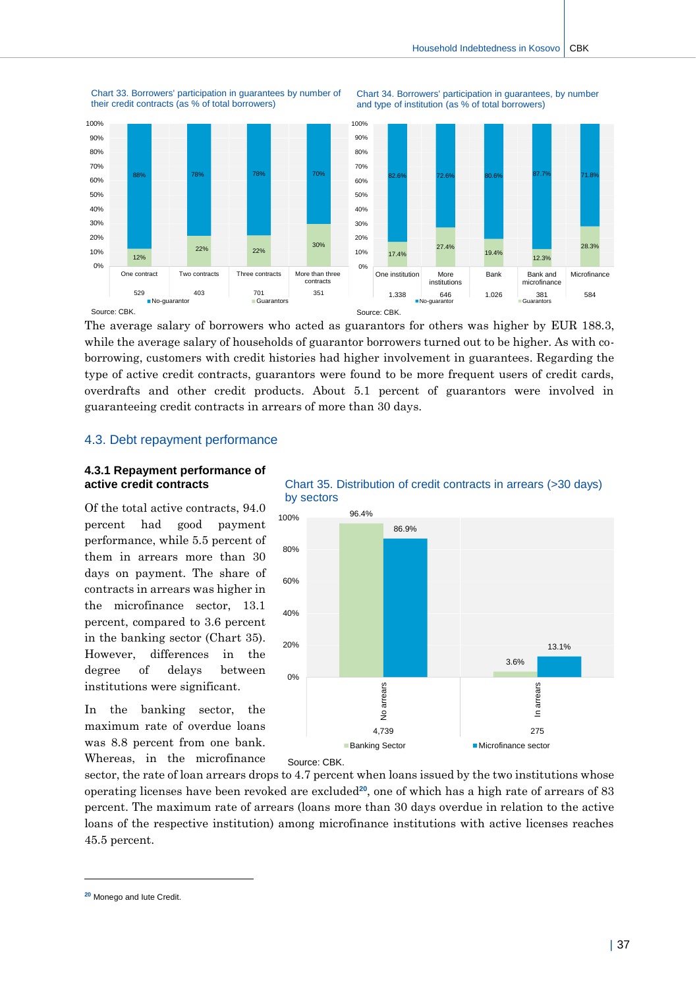

Chart 33. Borrowers' participation in guarantees by number of

their credit contracts (as % of total borrowers)





The average salary of borrowers who acted as guarantors for others was higher by EUR 188.3, while the average salary of households of guarantor borrowers turned out to be higher. As with coborrowing, customers with credit histories had higher involvement in guarantees. Regarding the type of active credit contracts, guarantors were found to be more frequent users of credit cards, overdrafts and other credit products. About 5.1 percent of guarantors were involved in guaranteeing credit contracts in arrears of more than 30 days.

#### <span id="page-37-0"></span>4.3. Debt repayment performance

#### **4.3.1 Repayment performance of active credit contracts**

Of the total active contracts, 94.0 percent had good payment performance, while 5.5 percent of them in arrears more than 30 days on payment. The share of contracts in arrears was higher in the microfinance sector, 13.1 percent, compared to 3.6 percent in the banking sector (Chart 35). However, differences in the degree of delays between institutions were significant.

In the banking sector, the maximum rate of overdue loans was 8.8 percent from one bank. Whereas, in the microfinance

Chart 35. Distribution of credit contracts in arrears (>30 days) by sectors



Source: CBK.

sector, the rate of loan arrears drops to 4.7 percent when loans issued by the two institutions whose operating licenses have been revoked are excluded**20**, one of which has a high rate of arrears of 83 percent. The maximum rate of arrears (loans more than 30 days overdue in relation to the active loans of the respective institution) among microfinance institutions with active licenses reaches 45.5 percent.

 $\overline{a}$ 

**<sup>20</sup>** Monego and Iute Credit.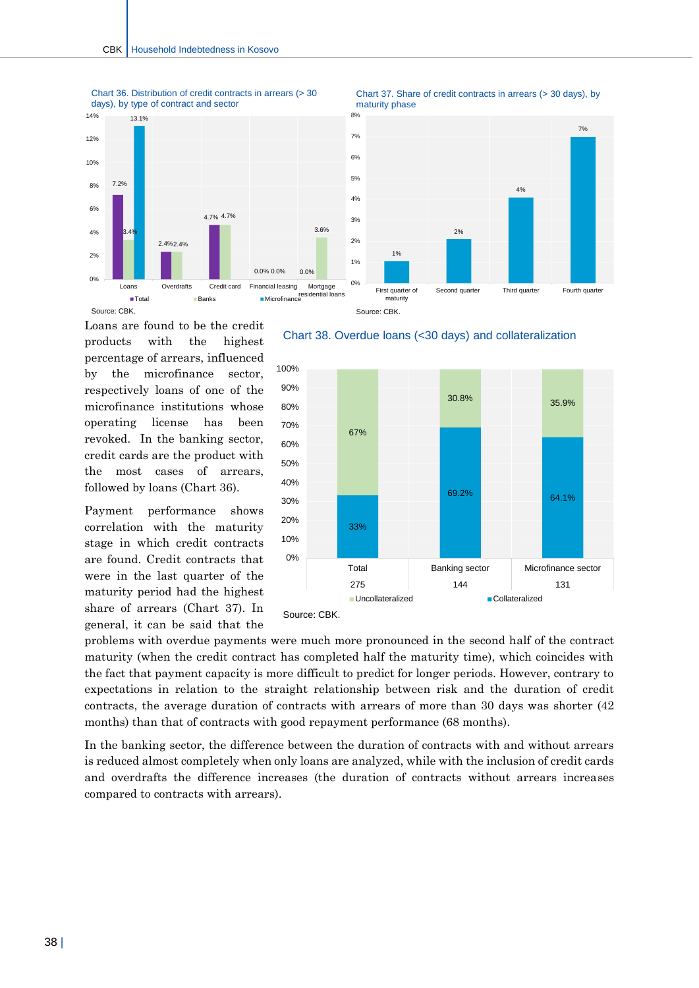Chart 36. Distribution of credit contracts in arrears (> 30





Loans are found to be the credit products with the highest percentage of arrears, influenced by the microfinance sector, respectively loans of one of the microfinance institutions whose operating license has been revoked. In the banking sector, credit cards are the product with the most cases of arrears, followed by loans (Chart 36).

Payment performance shows correlation with the maturity stage in which credit contracts are found. Credit contracts that were in the last quarter of the maturity period had the highest share of arrears (Chart 37). In general, it can be said that the





problems with overdue payments were much more pronounced in the second half of the contract maturity (when the credit contract has completed half the maturity time), which coincides with the fact that payment capacity is more difficult to predict for longer periods. However, contrary to expectations in relation to the straight relationship between risk and the duration of credit contracts, the average duration of contracts with arrears of more than 30 days was shorter (42 months) than that of contracts with good repayment performance (68 months).

In the banking sector, the difference between the duration of contracts with and without arrears is reduced almost completely when only loans are analyzed, while with the inclusion of credit cards and overdrafts the difference increases (the duration of contracts without arrears increases compared to contracts with arrears).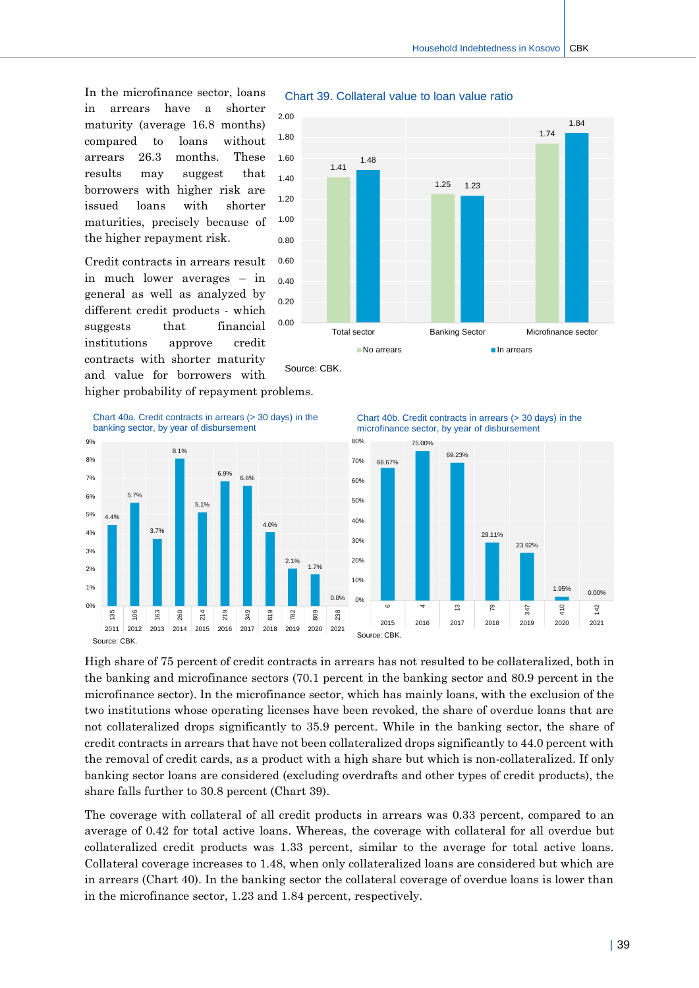In the microfinance sector, loans in arrears have a shorter maturity (average 16.8 months) compared to loans without arrears 26.3 months. These results may suggest that borrowers with higher risk are issued loans with shorter maturities, precisely because of the higher repayment risk.

Credit contracts in arrears result in much lower averages – in general as well as analyzed by different credit products - which suggests that financial institutions approve credit contracts with shorter maturity and value for borrowers with



#### Chart 39. Collateral value to loan value ratio

higher probability of repayment problems.





Chart 40b. Credit contracts in arrears (> 30 days) in the microfinance sector, by year of disbursement



High share of 75 percent of credit contracts in arrears has not resulted to be collateralized, both in the banking and microfinance sectors (70.1 percent in the banking sector and 80.9 percent in the microfinance sector). In the microfinance sector, which has mainly loans, with the exclusion of the two institutions whose operating licenses have been revoked, the share of overdue loans that are not collateralized drops significantly to 35.9 percent. While in the banking sector, the share of credit contracts in arrears that have not been collateralized drops significantly to 44.0 percent with the removal of credit cards, as a product with a high share but which is non-collateralized. If only banking sector loans are considered (excluding overdrafts and other types of credit products), the share falls further to 30.8 percent (Chart 39).

The coverage with collateral of all credit products in arrears was 0.33 percent, compared to an average of 0.42 for total active loans. Whereas, the coverage with collateral for all overdue but collateralized credit products was 1.33 percent, similar to the average for total active loans. Collateral coverage increases to 1.48, when only collateralized loans are considered but which are in arrears (Chart 40). In the banking sector the collateral coverage of overdue loans is lower than in the microfinance sector, 1.23 and 1.84 percent, respectively.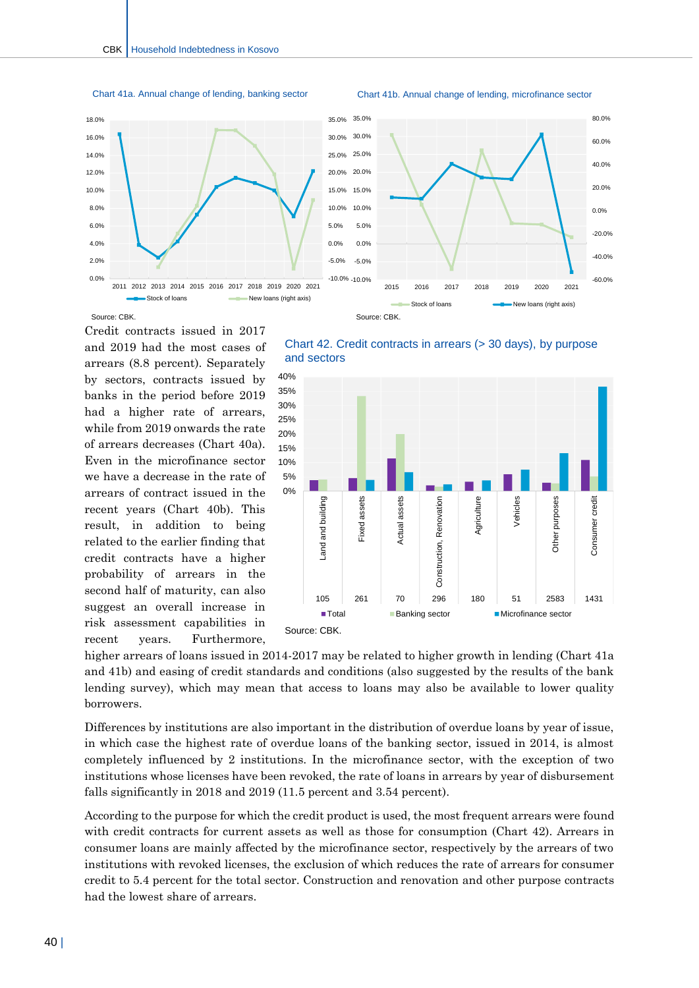

Chart 41b. Annual change of lending, microfinance sector





Source: CBK.

Credit contracts issued in 2017 and 2019 had the most cases of arrears (8.8 percent). Separately by sectors, contracts issued by banks in the period before 2019 had a higher rate of arrears, while from 2019 onwards the rate of arrears decreases (Chart 40a). Even in the microfinance sector we have a decrease in the rate of arrears of contract issued in the recent years (Chart 40b). This result, in addition to being related to the earlier finding that credit contracts have a higher probability of arrears in the second half of maturity, can also suggest an overall increase in risk assessment capabilities in recent years. Furthermore,

Chart 42. Credit contracts in arrears (> 30 days), by purpose and sectors



higher arrears of loans issued in 2014-2017 may be related to higher growth in lending (Chart 41a and 41b) and easing of credit standards and conditions (also suggested by the results of the bank lending survey), which may mean that access to loans may also be available to lower quality borrowers.

Differences by institutions are also important in the distribution of overdue loans by year of issue, in which case the highest rate of overdue loans of the banking sector, issued in 2014, is almost completely influenced by 2 institutions. In the microfinance sector, with the exception of two institutions whose licenses have been revoked, the rate of loans in arrears by year of disbursement falls significantly in 2018 and 2019 (11.5 percent and 3.54 percent).

According to the purpose for which the credit product is used, the most frequent arrears were found with credit contracts for current assets as well as those for consumption (Chart 42). Arrears in consumer loans are mainly affected by the microfinance sector, respectively by the arrears of two institutions with revoked licenses, the exclusion of which reduces the rate of arrears for consumer credit to 5.4 percent for the total sector. Construction and renovation and other purpose contracts had the lowest share of arrears.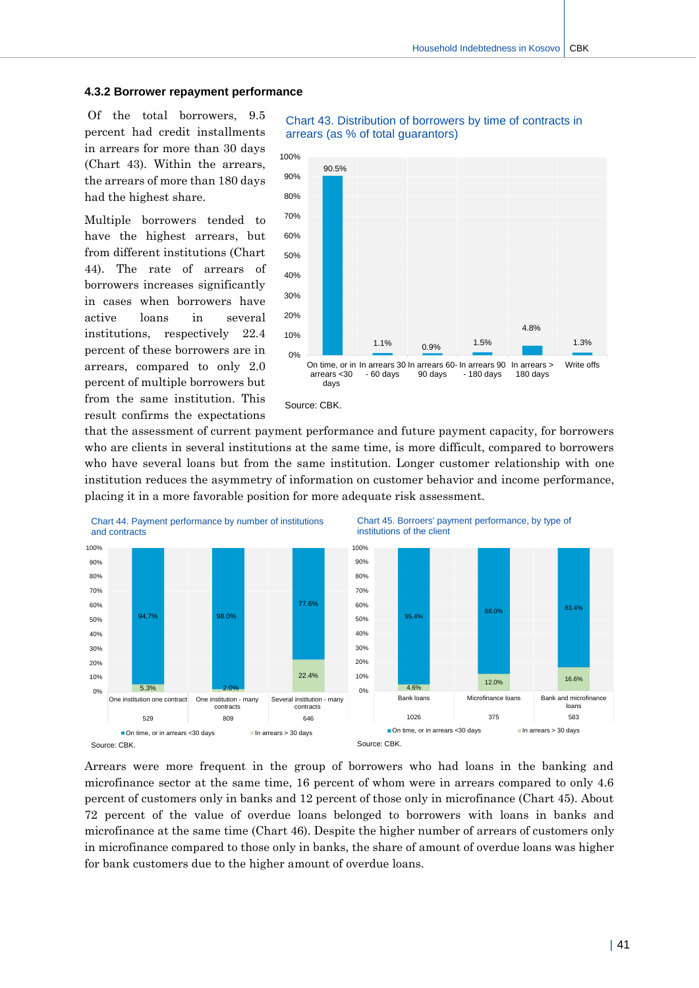#### **4.3.2 Borrower repayment performance**

Of the total borrowers, 9.5 percent had credit installments in arrears for more than 30 days (Chart 43). Within the arrears, the arrears of more than 180 days had the highest share.

Multiple borrowers tended to have the highest arrears, but from different institutions (Chart 44). The rate of arrears of borrowers increases significantly in cases when borrowers have active loans in several institutions, respectively 22.4 percent of these borrowers are in arrears, compared to only 2.0 percent of multiple borrowers but from the same institution. This result confirms the expectations



#### Chart 43. Distribution of borrowers by time of contracts in arrears (as % of total guarantors)

that the assessment of current payment performance and future payment capacity, for borrowers who are clients in several institutions at the same time, is more difficult, compared to borrowers who have several loans but from the same institution. Longer customer relationship with one institution reduces the asymmetry of information on customer behavior and income performance, placing it in a more favorable position for more adequate risk assessment.



Arrears were more frequent in the group of borrowers who had loans in the banking and microfinance sector at the same time, 16 percent of whom were in arrears compared to only 4.6 percent of customers only in banks and 12 percent of those only in microfinance (Chart 45). About 72 percent of the value of overdue loans belonged to borrowers with loans in banks and microfinance at the same time (Chart 46). Despite the higher number of arrears of customers only in microfinance compared to those only in banks, the share of amount of overdue loans was higher for bank customers due to the higher amount of overdue loans.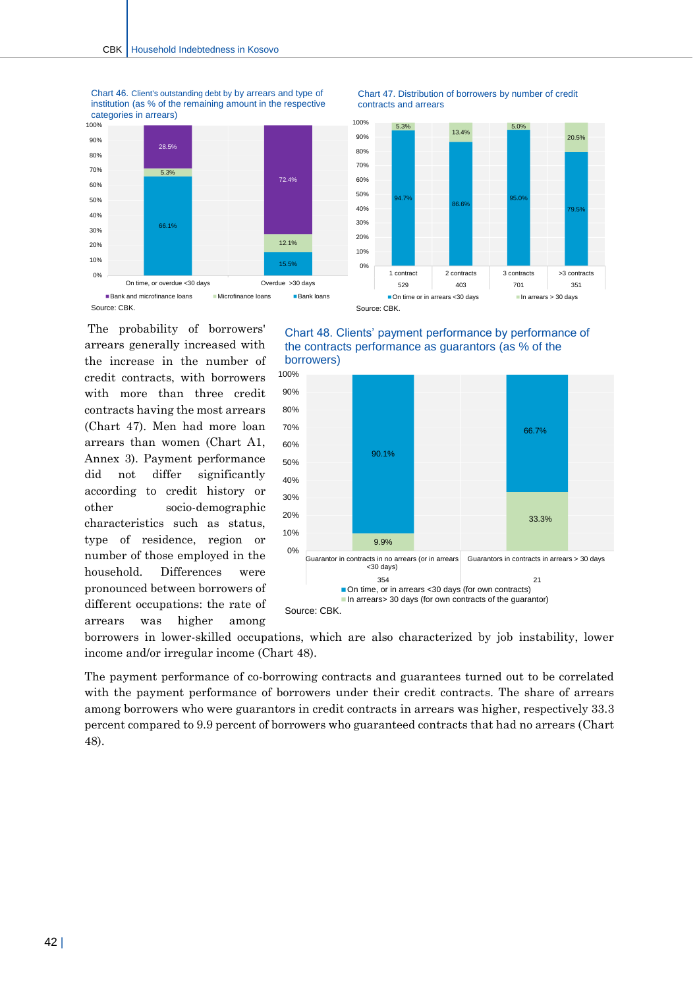

Chart 46. Client's outstanding debt by by arrears and type of institution (as % of the remaining amount in the respective categories in arrears)

The probability of borrowers' arrears generally increased with the increase in the number of credit contracts, with borrowers with more than three credit contracts having the most arrears (Chart 47). Men had more loan arrears than women (Chart A1, Annex 3). Payment performance did not differ significantly according to credit history or other socio-demographic characteristics such as status, type of residence, region or number of those employed in the household. Differences were pronounced between borrowers of different occupations: the rate of arrears was higher among









borrowers in lower-skilled occupations, which are also characterized by job instability, lower income and/or irregular income (Chart 48).

The payment performance of co-borrowing contracts and guarantees turned out to be correlated with the payment performance of borrowers under their credit contracts. The share of arrears among borrowers who were guarantors in credit contracts in arrears was higher, respectively 33.3 percent compared to 9.9 percent of borrowers who guaranteed contracts that had no arrears (Chart 48).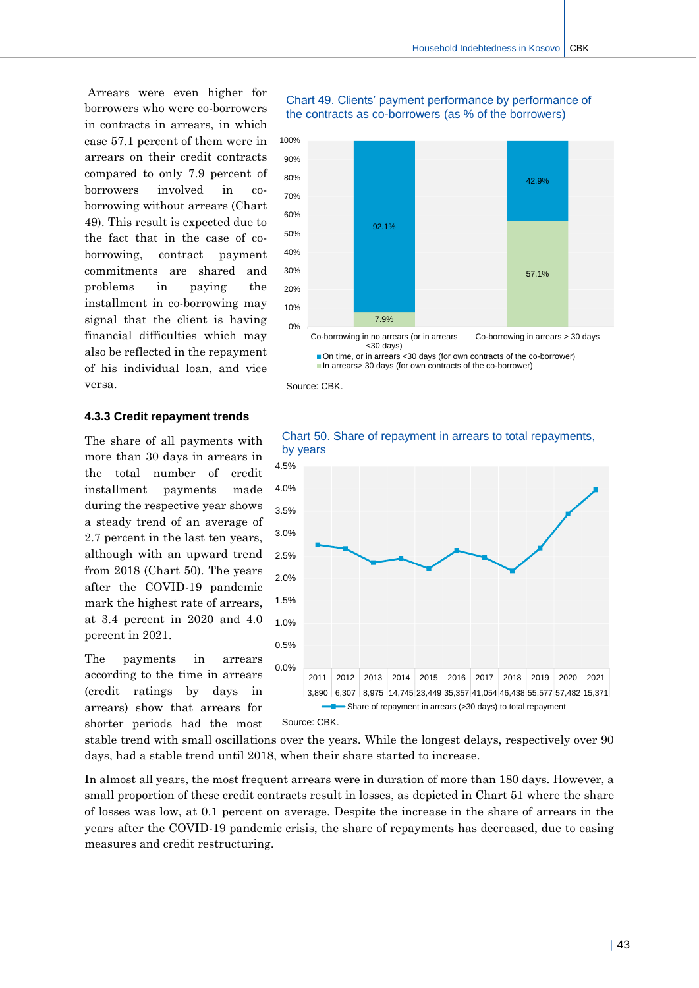Arrears were even higher for borrowers who were co-borrowers in contracts in arrears, in which case 57.1 percent of them were in arrears on their credit contracts compared to only 7.9 percent of borrowers involved in coborrowing without arrears (Chart 49). This result is expected due to the fact that in the case of coborrowing, contract payment commitments are shared and problems in paying the installment in co-borrowing may signal that the client is having financial difficulties which may also be reflected in the repayment of his individual loan, and vice versa.

#### **4.3.3 Credit repayment trends**

The share of all payments with more than 30 days in arrears in the total number of credit installment payments made during the respective year shows a steady trend of an average of 2.7 percent in the last ten years, although with an upward trend from 2018 (Chart 50). The years after the COVID-19 pandemic mark the highest rate of arrears, at 3.4 percent in 2020 and 4.0 percent in 2021.

The payments in arrears according to the time in arrears (credit ratings by days in arrears) show that arrears for shorter periods had the most

#### Chart 49. Clients' payment performance by performance of the contracts as co-borrowers (as % of the borrowers)



On time, or in arrears <30 days (for own contracts of the co-borrower) ■In arrears> 30 days (for own contracts of the co-borrower)

Source: CBK.



Chart 50. Share of repayment in arrears to total repayments, by years

stable trend with small oscillations over the years. While the longest delays, respectively over 90 days, had a stable trend until 2018, when their share started to increase.

In almost all years, the most frequent arrears were in duration of more than 180 days. However, a small proportion of these credit contracts result in losses, as depicted in Chart 51 where the share of losses was low, at 0.1 percent on average. Despite the increase in the share of arrears in the years after the COVID-19 pandemic crisis, the share of repayments has decreased, due to easing measures and credit restructuring.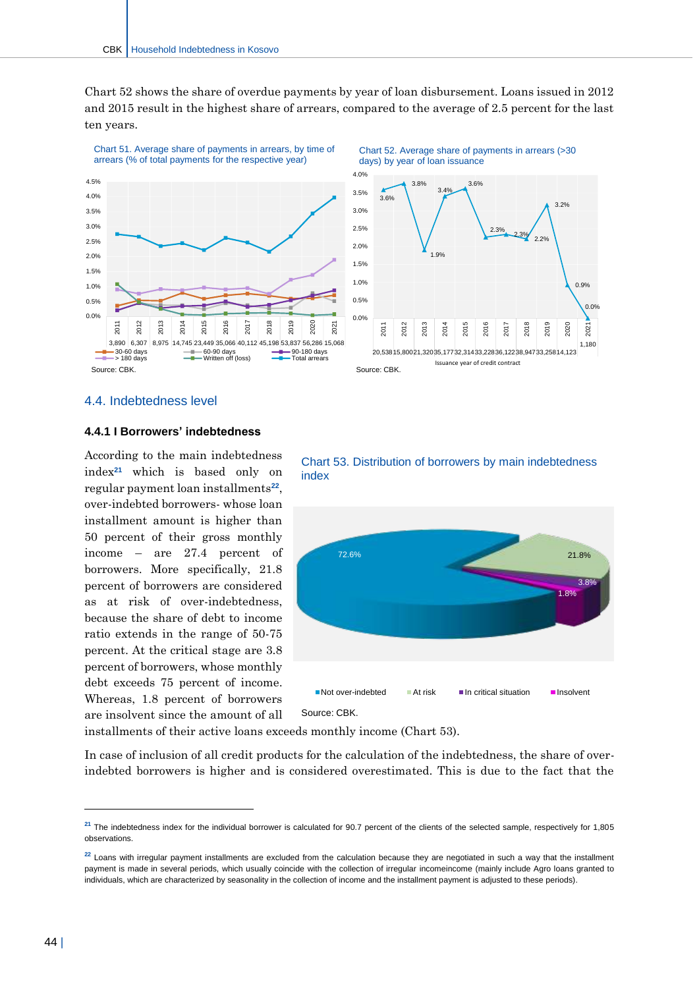Chart 52 shows the share of overdue payments by year of loan disbursement. Loans issued in 2012 and 2015 result in the highest share of arrears, compared to the average of 2.5 percent for the last ten years.



#### <span id="page-44-0"></span>4.4. Indebtedness level

#### **4.4.1 I Borrowers' indebtedness**

According to the main indebtedness index**<sup>21</sup>** which is based only on regular payment loan installments**<sup>22</sup>** , over-indebted borrowers- whose loan installment amount is higher than 50 percent of their gross monthly income – are 27.4 percent of borrowers. More specifically, 21.8 percent of borrowers are considered as at risk of over-indebtedness, because the share of debt to income ratio extends in the range of 50-75 percent. At the critical stage are 3.8 percent of borrowers, whose monthly debt exceeds 75 percent of income. Whereas, 1.8 percent of borrowers are insolvent since the amount of all





Source: CBK.

installments of their active loans exceeds monthly income (Chart 53).

In case of inclusion of all credit products for the calculation of the indebtedness, the share of overindebted borrowers is higher and is considered overestimated. This is due to the fact that the

-

<sup>&</sup>lt;sup>21</sup> The indebtedness index for the individual borrower is calculated for 90.7 percent of the clients of the selected sample, respectively for 1,805 observations.

<sup>&</sup>lt;sup>22</sup> Loans with irregular payment installments are excluded from the calculation because they are negotiated in such a way that the installment payment is made in several periods, which usually coincide with the collection of irregular incomeincome (mainly include Agro loans granted to individuals, which are characterized by seasonality in the collection of income and the installment payment is adjusted to these periods).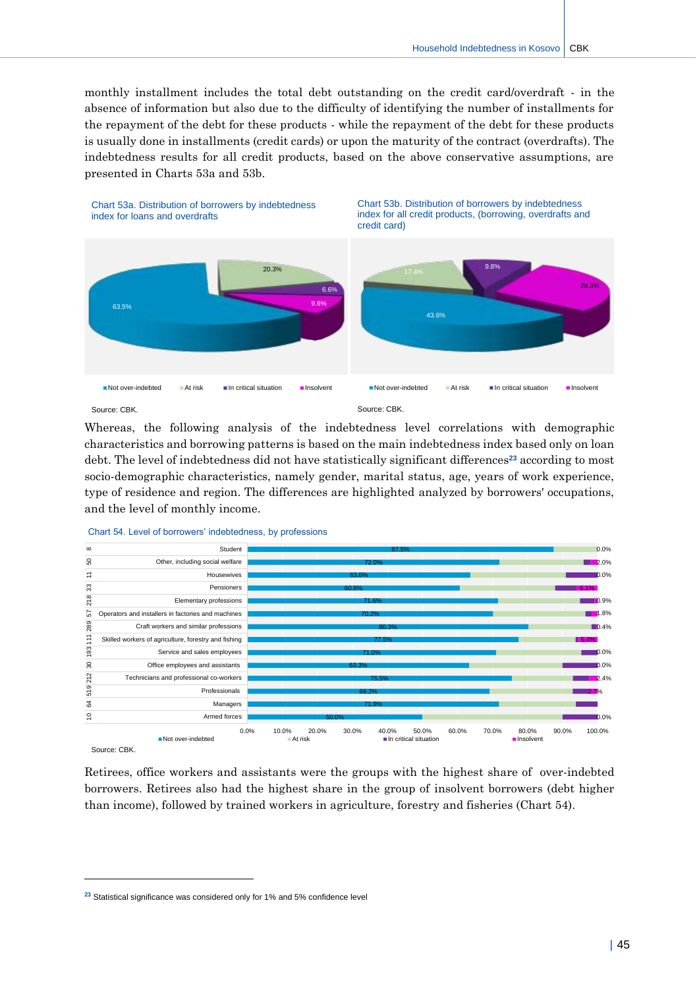monthly installment includes the total debt outstanding on the credit card/overdraft - in the absence of information but also due to the difficulty of identifying the number of installments for the repayment of the debt for these products - while the repayment of the debt for these products is usually done in installments (credit cards) or upon the maturity of the contract (overdrafts). The indebtedness results for all credit products, based on the above conservative assumptions, are presented in Charts 53a and 53b.



Whereas, the following analysis of the indebtedness level correlations with demographic characteristics and borrowing patterns is based on the main indebtedness index based only on loan debt. The level of indebtedness did not have statistically significant differences**<sup>23</sup>** according to most socio-demographic characteristics, namely gender, marital status, age, years of work experience, type of residence and region. The differences are highlighted analyzed by borrowers' occupations, and the level of monthly income.



Source: CBK.

 $\overline{a}$ 

Retirees, office workers and assistants were the groups with the highest share of over-indebted borrowers. Retirees also had the highest share in the group of insolvent borrowers (debt higher than income), followed by trained workers in agriculture, forestry and fisheries (Chart 54).

**<sup>23</sup>** Statistical significance was considered only for 1% and 5% confidence level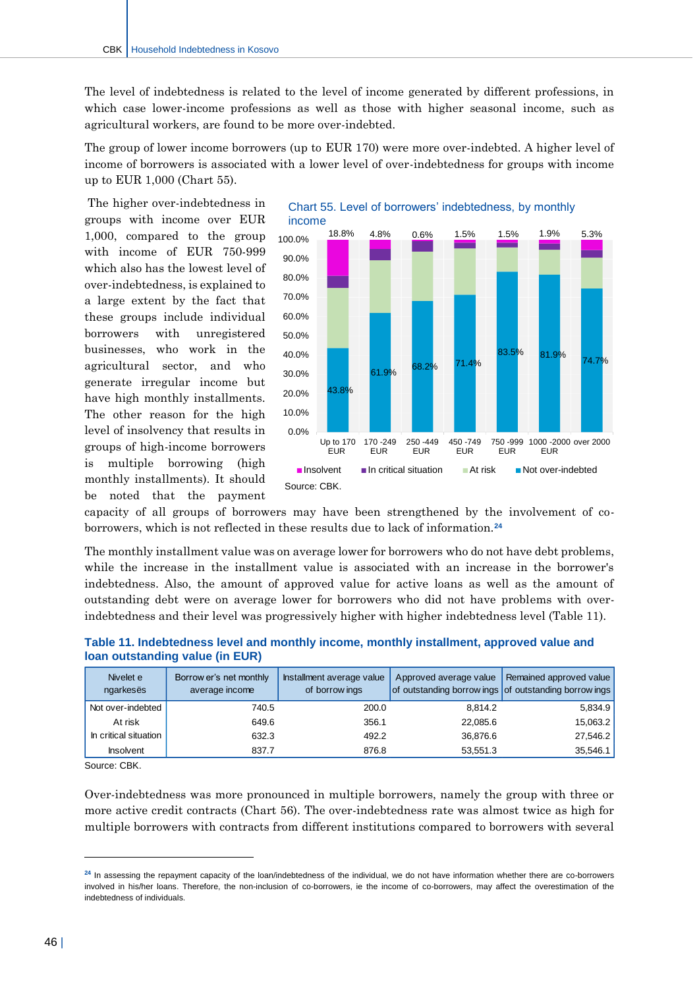The level of indebtedness is related to the level of income generated by different professions, in which case lower-income professions as well as those with higher seasonal income, such as agricultural workers, are found to be more over-indebted.

The group of lower income borrowers (up to EUR 170) were more over-indebted. A higher level of income of borrowers is associated with a lower level of over-indebtedness for groups with income up to EUR 1,000 (Chart 55).

The higher over-indebtedness in groups with income over EUR 1,000, compared to the group with income of EUR 750-999 which also has the lowest level of over-indebtedness, is explained to a large extent by the fact that these groups include individual borrowers with unregistered businesses, who work in the agricultural sector, and who generate irregular income but have high monthly installments. The other reason for the high level of insolvency that results in groups of high-income borrowers is multiple borrowing (high monthly installments). It should be noted that the payment



capacity of all groups of borrowers may have been strengthened by the involvement of coborrowers, which is not reflected in these results due to lack of information.**<sup>24</sup>**

The monthly installment value was on average lower for borrowers who do not have debt problems, while the increase in the installment value is associated with an increase in the borrower's indebtedness. Also, the amount of approved value for active loans as well as the amount of outstanding debt were on average lower for borrowers who did not have problems with overindebtedness and their level was progressively higher with higher indebtedness level (Table 11).

| Nivelet e<br>ngarkesës | Borrow er's net monthly<br>average income | Installment average value<br>of borrow ings | Approved average value<br>of outstanding borrow ings of outstanding borrow ings | Remained approved value |
|------------------------|-------------------------------------------|---------------------------------------------|---------------------------------------------------------------------------------|-------------------------|
| Not over-indebted      | 740.5                                     | 200.0                                       | 8.814.2                                                                         | 5,834.9                 |
| At risk                | 649.6                                     | 356.1                                       | 22,085.6                                                                        | 15,063.2                |
| In critical situation  | 632.3                                     | 492.2                                       | 36,876.6                                                                        | 27,546.2                |
| <b>Insolvent</b>       | 837.7                                     | 876.8                                       | 53.551.3                                                                        | 35,546.1                |

#### **Table 11. Indebtedness level and monthly income, monthly installment, approved value and loan outstanding value (in EUR)**

Source: CBK.

 $\overline{a}$ 

Over-indebtedness was more pronounced in multiple borrowers, namely the group with three or more active credit contracts (Chart 56). The over-indebtedness rate was almost twice as high for multiple borrowers with contracts from different institutions compared to borrowers with several

<sup>&</sup>lt;sup>24</sup> In assessing the repayment capacity of the loan/indebtedness of the individual, we do not have information whether there are co-borrowers involved in his/her loans. Therefore, the non-inclusion of co-borrowers, ie the income of co-borrowers, may affect the overestimation of the indebtedness of individuals.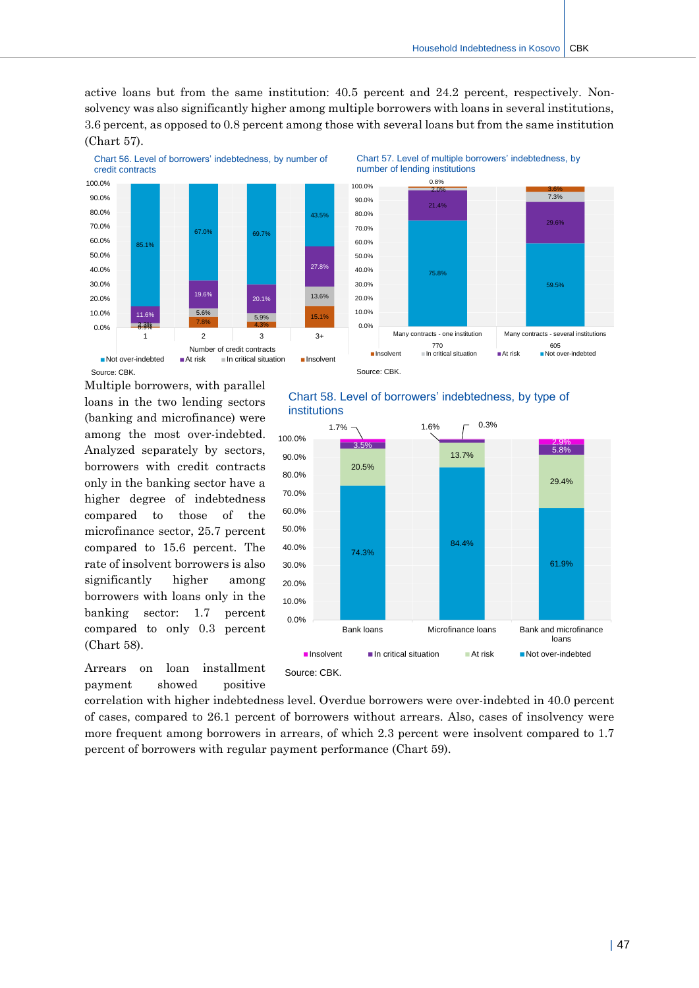59.5%

29.6%

 $\frac{3.6\%}{7.3\%}$ 

active loans but from the same institution: 40.5 percent and 24.2 percent, respectively. Nonsolvency was also significantly higher among multiple borrowers with loans in several institutions, 3.6 percent, as opposed to 0.8 percent among those with several loans but from the same institution (Chart 57).



Multiple borrowers, with parallel loans in the two lending sectors (banking and microfinance) were among the most over-indebted. Analyzed separately by sectors, borrowers with credit contracts only in the banking sector have a higher degree of indebtedness compared to those of the microfinance sector, 25.7 percent compared to 15.6 percent. The rate of insolvent borrowers is also significantly higher among borrowers with loans only in the banking sector: 1.7 percent compared to only 0.3 percent (Chart 58).



#### Chart 58. Level of borrowers' indebtedness, by type of institutions



correlation with higher indebtedness level. Overdue borrowers were over-indebted in 40.0 percent of cases, compared to 26.1 percent of borrowers without arrears. Also, cases of insolvency were more frequent among borrowers in arrears, of which 2.3 percent were insolvent compared to 1.7 percent of borrowers with regular payment performance (Chart 59).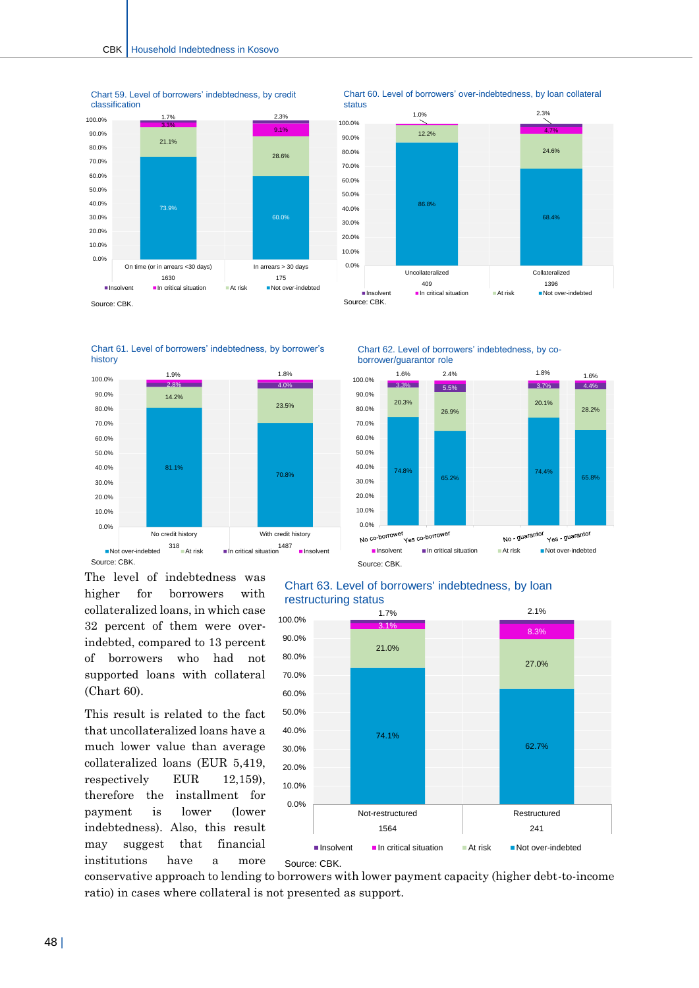

Chart 59. Level of borrowers' indebtedness, by credit classification

Chart 60. Level of borrowers' over-indebtedness, by loan collateral status







The level of indebtedness was higher for borrowers with collateralized loans, in which case 32 percent of them were overindebted, compared to 13 percent of borrowers who had not supported loans with collateral (Chart 60).

This result is related to the fact that uncollateralized loans have a much lower value than average collateralized loans (EUR 5,419, respectively EUR 12,159), therefore the installment for payment is lower (lower indebtedness). Also, this result may suggest that financial institutions have a more





Source: CBK.

#### Chart 63. Level of borrowers' indebtedness, by loan restructuring status



conservative approach to lending to borrowers with lower payment capacity (higher debt-to-income ratio) in cases where collateral is not presented as support.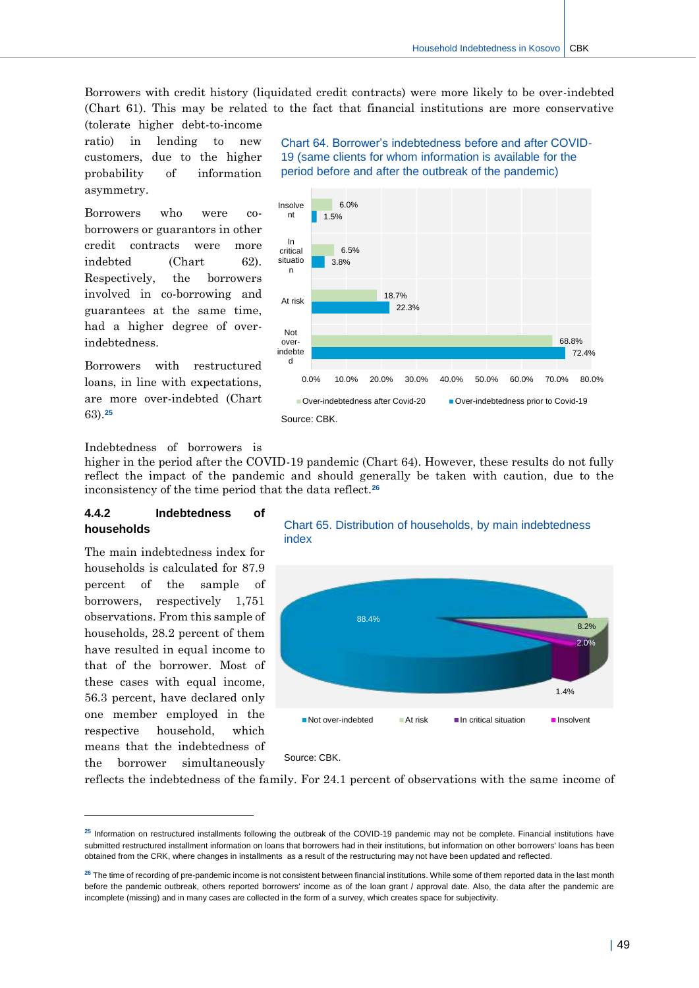Borrowers with credit history (liquidated credit contracts) were more likely to be over-indebted (Chart 61). This may be related to the fact that financial institutions are more conservative

(tolerate higher debt-to-income ratio) in lending to new customers, due to the higher probability of information asymmetry.

Borrowers who were coborrowers or guarantors in other credit contracts were more indebted (Chart 62). Respectively, the borrowers involved in co-borrowing and guarantees at the same time, had a higher degree of overindebtedness.

Borrowers with restructured loans, in line with expectations, are more over-indebted (Chart 63).**<sup>25</sup>**

Chart 64. Borrower's indebtedness before and after COVID-19 (same clients for whom information is available for the period before and after the outbreak of the pandemic)



Indebtedness of borrowers is

higher in the period after the COVID-19 pandemic (Chart 64). However, these results do not fully reflect the impact of the pandemic and should generally be taken with caution, due to the inconsistency of the time period that the data reflect.**<sup>26</sup>**

#### **4.4.2 Indebtedness of households**

The main indebtedness index for households is calculated for 87.9 percent of the sample of borrowers, respectively 1,751 observations. From this sample of households, 28.2 percent of them have resulted in equal income to that of the borrower. Most of these cases with equal income, 56.3 percent, have declared only one member employed in the respective household, which means that the indebtedness of the borrower simultaneously

-





#### Source: CBK.

reflects the indebtedness of the family. For 24.1 percent of observations with the same income of

**<sup>25</sup>** Information on restructured installments following the outbreak of the COVID-19 pandemic may not be complete. Financial institutions have submitted restructured installment information on loans that borrowers had in their institutions, but information on other borrowers' loans has been obtained from the CRK, where changes in installments as a result of the restructuring may not have been updated and reflected.

<sup>&</sup>lt;sup>26</sup> The time of recording of pre-pandemic income is not consistent between financial institutions. While some of them reported data in the last month before the pandemic outbreak, others reported borrowers' income as of the loan grant / approval date. Also, the data after the pandemic are incomplete (missing) and in many cases are collected in the form of a survey, which creates space for subjectivity.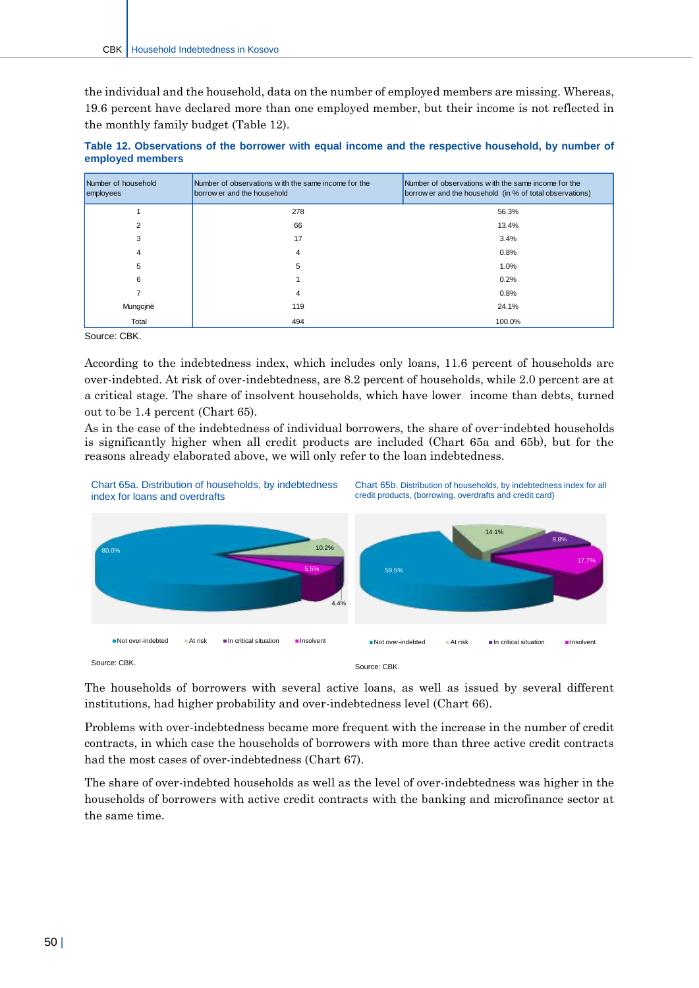the individual and the household, data on the number of employed members are missing. Whereas, 19.6 percent have declared more than one employed member, but their income is not reflected in the monthly family budget (Table 12).

| Table 12. Observations of the borrower with equal income and the respective household, by number of |  |  |  |  |  |  |
|-----------------------------------------------------------------------------------------------------|--|--|--|--|--|--|
| employed members                                                                                    |  |  |  |  |  |  |

| Number of household<br>employees | Number of observations with the same income for the<br>borrow er and the household | Number of observations with the same income for the<br>borrow er and the household (in % of total observations) |
|----------------------------------|------------------------------------------------------------------------------------|-----------------------------------------------------------------------------------------------------------------|
|                                  | 278                                                                                | 56.3%                                                                                                           |
|                                  | 66                                                                                 | 13.4%                                                                                                           |
| 3                                | 17                                                                                 | 3.4%                                                                                                            |
| 4                                | 4                                                                                  | 0.8%                                                                                                            |
| 5                                | 5                                                                                  | 1.0%                                                                                                            |
| 6                                |                                                                                    | 0.2%                                                                                                            |
|                                  | 4                                                                                  | 0.8%                                                                                                            |
| Mungojnë                         | 119                                                                                | 24.1%                                                                                                           |
| Total                            | 494                                                                                | 100.0%                                                                                                          |

Source: CBK.

According to the indebtedness index, which includes only loans, 11.6 percent of households are over-indebted. At risk of over-indebtedness, are 8.2 percent of households, while 2.0 percent are at a critical stage. The share of insolvent households, which have lower income than debts, turned out to be 1.4 percent (Chart 65).

As in the case of the indebtedness of individual borrowers, the share of over-indebted households is significantly higher when all credit products are included (Chart 65a and 65b), but for the reasons already elaborated above, we will only refer to the loan indebtedness.



The households of borrowers with several active loans, as well as issued by several different institutions, had higher probability and over-indebtedness level (Chart 66).

Problems with over-indebtedness became more frequent with the increase in the number of credit contracts, in which case the households of borrowers with more than three active credit contracts had the most cases of over-indebtedness (Chart 67).

The share of over-indebted households as well as the level of over-indebtedness was higher in the households of borrowers with active credit contracts with the banking and microfinance sector at the same time.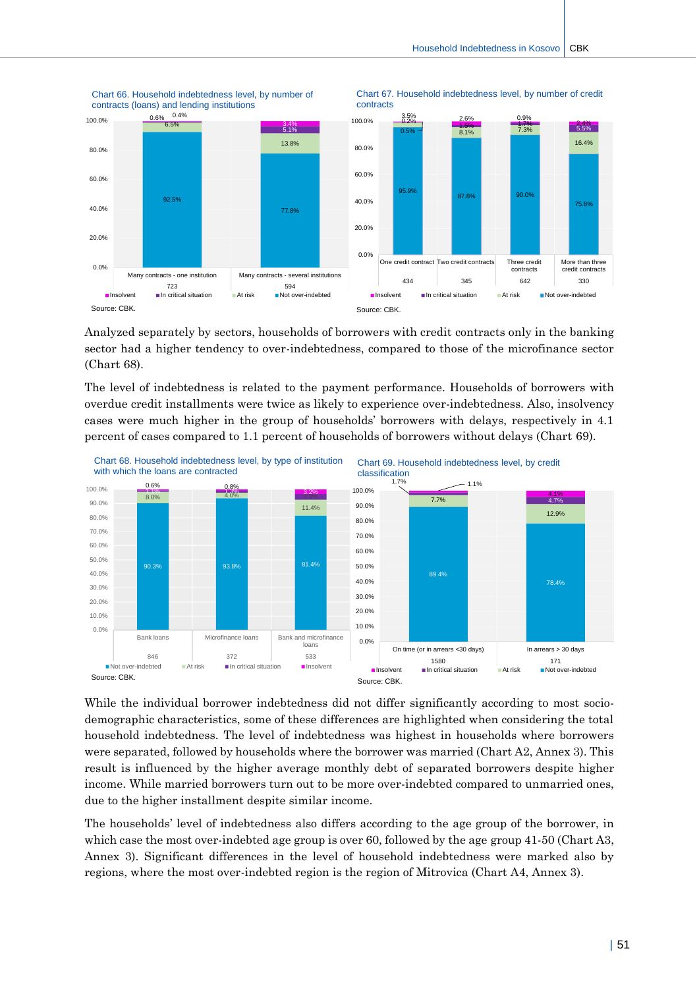Chart 67. Household indebtedness level, by number of credit



Chart 66. Household indebtedness level, by number of contracts (loans) and lending institutions

Analyzed separately by sectors, households of borrowers with credit contracts only in the banking sector had a higher tendency to over-indebtedness, compared to those of the microfinance sector (Chart 68).

The level of indebtedness is related to the payment performance. Households of borrowers with overdue credit installments were twice as likely to experience over-indebtedness. Also, insolvency cases were much higher in the group of households' borrowers with delays, respectively in 4.1 percent of cases compared to 1.1 percent of households of borrowers without delays (Chart 69).



While the individual borrower indebtedness did not differ significantly according to most sociodemographic characteristics, some of these differences are highlighted when considering the total household indebtedness. The level of indebtedness was highest in households where borrowers were separated, followed by households where the borrower was married (Chart A2, Annex 3). This result is influenced by the higher average monthly debt of separated borrowers despite higher income. While married borrowers turn out to be more over-indebted compared to unmarried ones, due to the higher installment despite similar income.

The households' level of indebtedness also differs according to the age group of the borrower, in which case the most over-indebted age group is over 60, followed by the age group 41-50 (Chart A3, Annex 3). Significant differences in the level of household indebtedness were marked also by regions, where the most over-indebted region is the region of Mitrovica (Chart A4, Annex 3).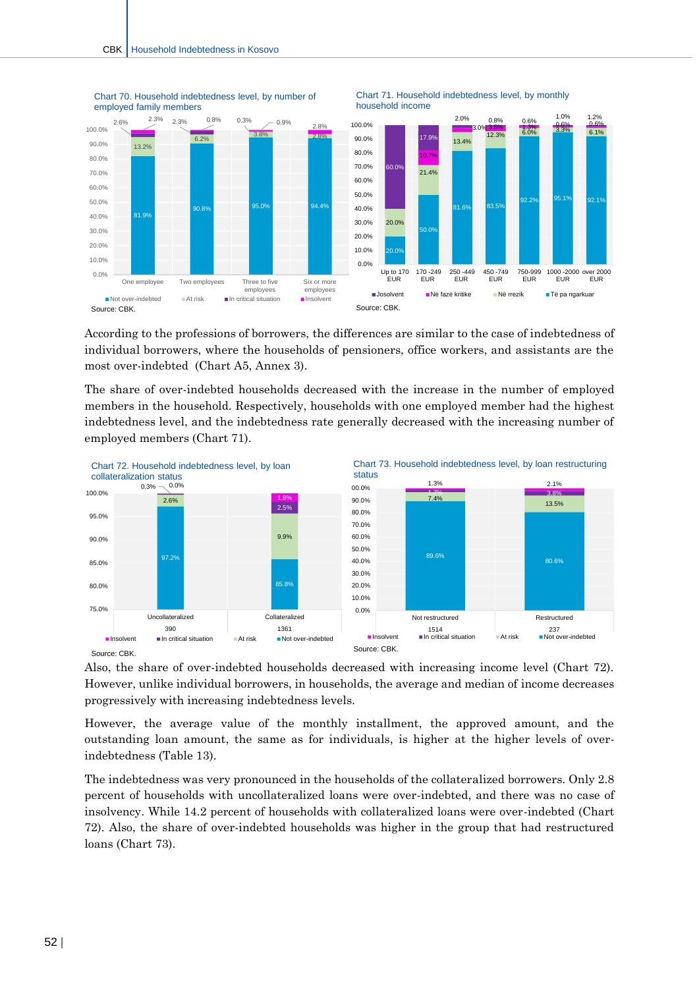

Chart 71. Household indebtedness level, by monthly

Chart 70. Household indebtedness level, by number of employed family members

According to the professions of borrowers, the differences are similar to the case of indebtedness of individual borrowers, where the households of pensioners, office workers, and assistants are the most over-indebted (Chart A5, Annex 3).

The share of over-indebted households decreased with the increase in the number of employed members in the household. Respectively, households with one employed member had the highest indebtedness level, and the indebtedness rate generally decreased with the increasing number of employed members (Chart 71).



Also, the share of over-indebted households decreased with increasing income level (Chart 72). However, unlike individual borrowers, in households, the average and median of income decreases progressively with increasing indebtedness levels.

However, the average value of the monthly installment, the approved amount, and the outstanding loan amount, the same as for individuals, is higher at the higher levels of overindebtedness (Table 13).

The indebtedness was very pronounced in the households of the collateralized borrowers. Only 2.8 percent of households with uncollateralized loans were over-indebted, and there was no case of insolvency. While 14.2 percent of households with collateralized loans were over-indebted (Chart 72). Also, the share of over-indebted households was higher in the group that had restructured loans (Chart 73).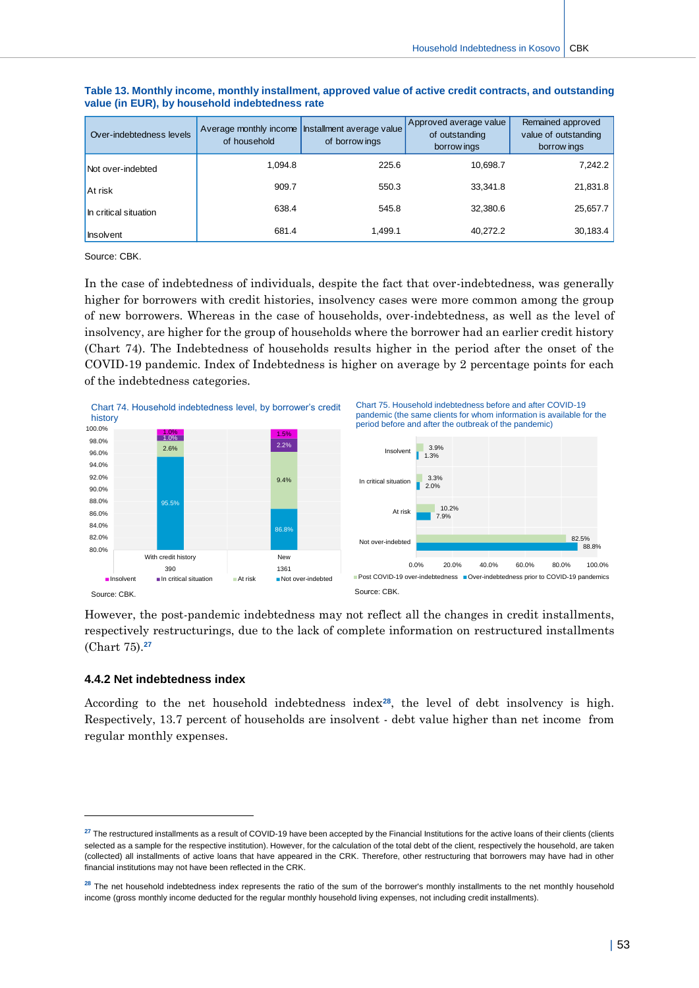| Over-indebtedness levels | of household | Average monthly income Installment average value<br>of borrow ings | Approved average value<br>of outstanding<br>borrow ings | Remained approved<br>value of outstanding<br>borrow ings |
|--------------------------|--------------|--------------------------------------------------------------------|---------------------------------------------------------|----------------------------------------------------------|
| Not over-indebted        | 1.094.8      | 225.6                                                              | 10.698.7                                                | 7,242.2                                                  |
| At risk                  | 909.7        | 550.3                                                              | 33.341.8                                                | 21,831.8                                                 |
| In critical situation    | 638.4        | 545.8                                                              | 32,380.6                                                | 25,657.7                                                 |
| Insolvent                | 681.4        | 1,499.1                                                            | 40,272.2                                                | 30,183.4                                                 |

#### **Table 13. Monthly income, monthly installment, approved value of active credit contracts, and outstanding value (in EUR), by household indebtedness rate**

Source: CBK.

In the case of indebtedness of individuals, despite the fact that over-indebtedness, was generally higher for borrowers with credit histories, insolvency cases were more common among the group of new borrowers. Whereas in the case of households, over-indebtedness, as well as the level of insolvency, are higher for the group of households where the borrower had an earlier credit history (Chart 74). The Indebtedness of households results higher in the period after the onset of the COVID-19 pandemic. Index of Indebtedness is higher on average by 2 percentage points for each of the indebtedness categories.



Source: CBK.

-

However, the post-pandemic indebtedness may not reflect all the changes in credit installments, respectively restructurings, due to the lack of complete information on restructured installments (Chart 75).**<sup>27</sup>**

#### **4.4.2 Net indebtedness index**

According to the net household indebtedness index**28**, the level of debt insolvency is high. Respectively, 13.7 percent of households are insolvent - debt value higher than net income from regular monthly expenses.

<sup>&</sup>lt;sup>27</sup> The restructured installments as a result of COVID-19 have been accepted by the Financial Institutions for the active loans of their clients (clients selected as a sample for the respective institution). However, for the calculation of the total debt of the client, respectively the household, are taken (collected) all installments of active loans that have appeared in the CRK. Therefore, other restructuring that borrowers may have had in other financial institutions may not have been reflected in the CRK.

<sup>&</sup>lt;sup>28</sup> The net household indebtedness index represents the ratio of the sum of the borrower's monthly installments to the net monthly household income (gross monthly income deducted for the regular monthly household living expenses, not including credit installments).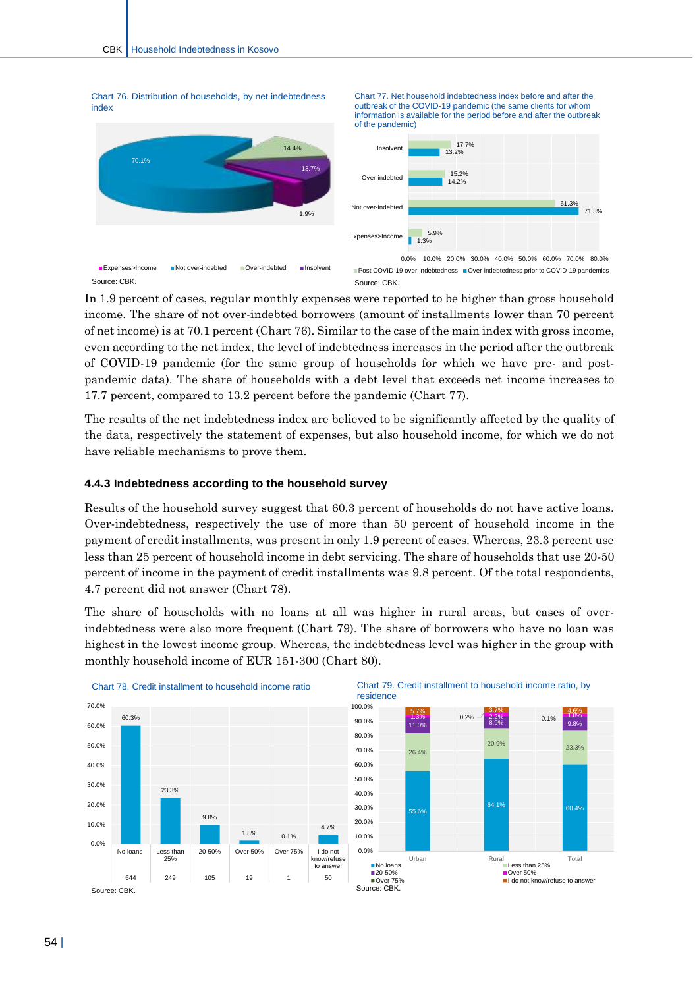

In 1.9 percent of cases, regular monthly expenses were reported to be higher than gross household income. The share of not over-indebted borrowers (amount of installments lower than 70 percent of net income) is at 70.1 percent (Chart 76). Similar to the case of the main index with gross income, even according to the net index, the level of indebtedness increases in the period after the outbreak of COVID-19 pandemic (for the same group of households for which we have pre- and postpandemic data). The share of households with a debt level that exceeds net income increases to 17.7 percent, compared to 13.2 percent before the pandemic (Chart 77).

The results of the net indebtedness index are believed to be significantly affected by the quality of the data, respectively the statement of expenses, but also household income, for which we do not have reliable mechanisms to prove them.

#### **4.4.3 Indebtedness according to the household survey**

Results of the household survey suggest that 60.3 percent of households do not have active loans. Over-indebtedness, respectively the use of more than 50 percent of household income in the payment of credit installments, was present in only 1.9 percent of cases. Whereas, 23.3 percent use less than 25 percent of household income in debt servicing. The share of households that use 20-50 percent of income in the payment of credit installments was 9.8 percent. Of the total respondents, 4.7 percent did not answer (Chart 78).

The share of households with no loans at all was higher in rural areas, but cases of overindebtedness were also more frequent (Chart 79). The share of borrowers who have no loan was highest in the lowest income group. Whereas, the indebtedness level was higher in the group with monthly household income of EUR 151-300 (Chart 80).





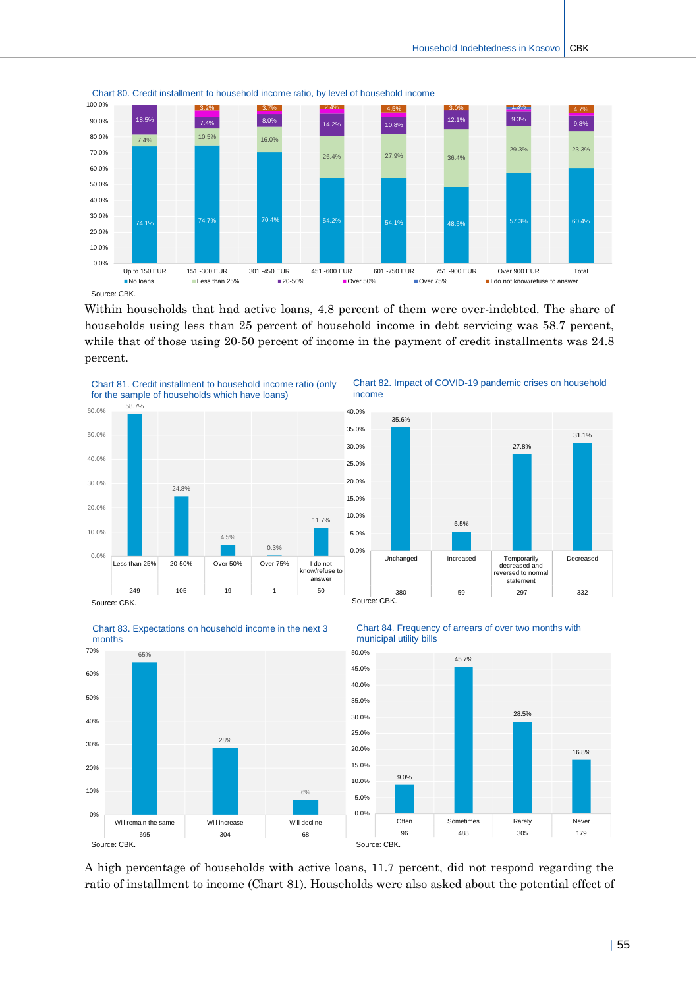

Chart 80. Credit installment to household income ratio, by level of household income

Within households that had active loans, 4.8 percent of them were over-indebted. The share of households using less than 25 percent of household income in debt servicing was 58.7 percent, while that of those using 20-50 percent of income in the payment of credit installments was 24.8 percent.

income

35.6%





Chart 82. Impact of COVID-19 pandemic crises on household











A high percentage of households with active loans, 11.7 percent, did not respond regarding the ratio of installment to income (Chart 81). Households were also asked about the potential effect of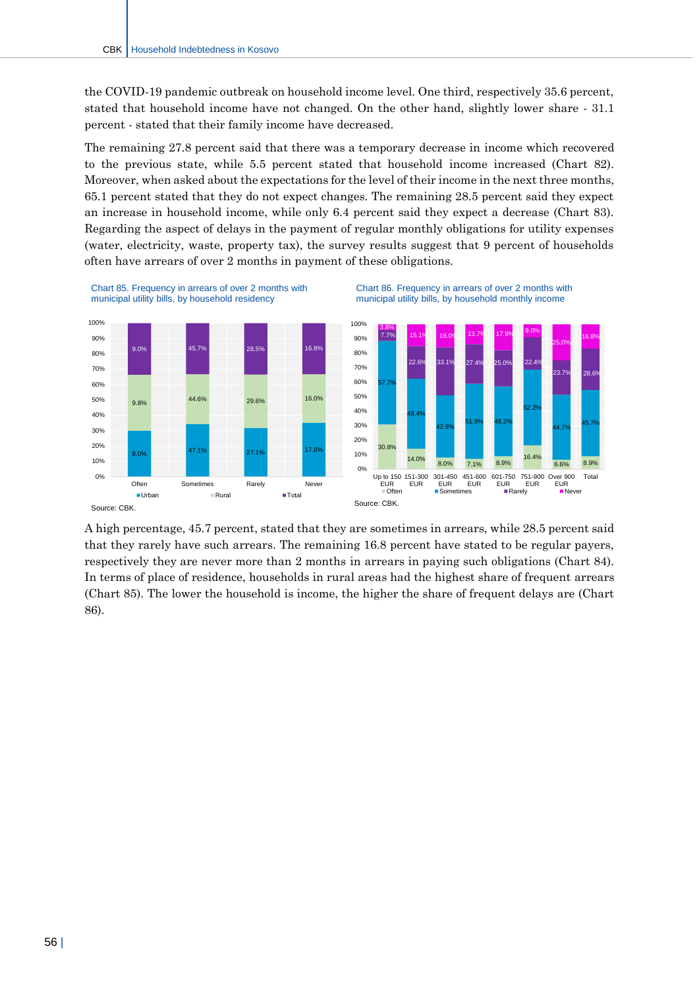the COVID-19 pandemic outbreak on household income level. One third, respectively 35.6 percent, stated that household income have not changed. On the other hand, slightly lower share - 31.1 percent - stated that their family income have decreased.

The remaining 27.8 percent said that there was a temporary decrease in income which recovered to the previous state, while 5.5 percent stated that household income increased (Chart 82). Moreover, when asked about the expectations for the level of their income in the next three months, 65.1 percent stated that they do not expect changes. The remaining 28.5 percent said they expect an increase in household income, while only 6.4 percent said they expect a decrease (Chart 83). Regarding the aspect of delays in the payment of regular monthly obligations for utility expenses (water, electricity, waste, property tax), the survey results suggest that 9 percent of households often have arrears of over 2 months in payment of these obligations.



Chart 85. Frequency in arrears of over 2 months with municipal utility bills, by household residency





Source: CBK.

A high percentage, 45.7 percent, stated that they are sometimes in arrears, while 28.5 percent said that they rarely have such arrears. The remaining 16.8 percent have stated to be regular payers, respectively they are never more than 2 months in arrears in paying such obligations (Chart 84). In terms of place of residence, households in rural areas had the highest share of frequent arrears (Chart 85). The lower the household is income, the higher the share of frequent delays are (Chart 86).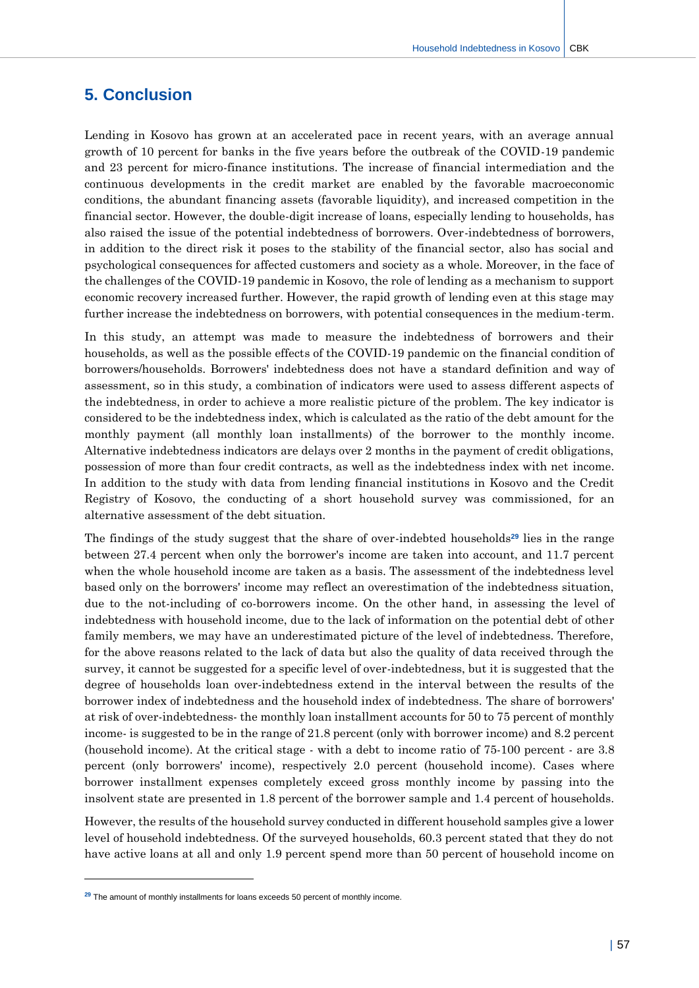## <span id="page-57-0"></span>**5. Conclusion**

Lending in Kosovo has grown at an accelerated pace in recent years, with an average annual growth of 10 percent for banks in the five years before the outbreak of the COVID-19 pandemic and 23 percent for micro-finance institutions. The increase of financial intermediation and the continuous developments in the credit market are enabled by the favorable macroeconomic conditions, the abundant financing assets (favorable liquidity), and increased competition in the financial sector. However, the double-digit increase of loans, especially lending to households, has also raised the issue of the potential indebtedness of borrowers. Over-indebtedness of borrowers, in addition to the direct risk it poses to the stability of the financial sector, also has social and psychological consequences for affected customers and society as a whole. Moreover, in the face of the challenges of the COVID-19 pandemic in Kosovo, the role of lending as a mechanism to support economic recovery increased further. However, the rapid growth of lending even at this stage may further increase the indebtedness on borrowers, with potential consequences in the medium-term.

In this study, an attempt was made to measure the indebtedness of borrowers and their households, as well as the possible effects of the COVID-19 pandemic on the financial condition of borrowers/households. Borrowers' indebtedness does not have a standard definition and way of assessment, so in this study, a combination of indicators were used to assess different aspects of the indebtedness, in order to achieve a more realistic picture of the problem. The key indicator is considered to be the indebtedness index, which is calculated as the ratio of the debt amount for the monthly payment (all monthly loan installments) of the borrower to the monthly income. Alternative indebtedness indicators are delays over 2 months in the payment of credit obligations, possession of more than four credit contracts, as well as the indebtedness index with net income. In addition to the study with data from lending financial institutions in Kosovo and the Credit Registry of Kosovo, the conducting of a short household survey was commissioned, for an alternative assessment of the debt situation.

The findings of the study suggest that the share of over-indebted households**<sup>29</sup>** lies in the range between 27.4 percent when only the borrower's income are taken into account, and 11.7 percent when the whole household income are taken as a basis. The assessment of the indebtedness level based only on the borrowers' income may reflect an overestimation of the indebtedness situation, due to the not-including of co-borrowers income. On the other hand, in assessing the level of indebtedness with household income, due to the lack of information on the potential debt of other family members, we may have an underestimated picture of the level of indebtedness. Therefore, for the above reasons related to the lack of data but also the quality of data received through the survey, it cannot be suggested for a specific level of over-indebtedness, but it is suggested that the degree of households loan over-indebtedness extend in the interval between the results of the borrower index of indebtedness and the household index of indebtedness. The share of borrowers' at risk of over-indebtedness- the monthly loan installment accounts for 50 to 75 percent of monthly income- is suggested to be in the range of 21.8 percent (only with borrower income) and 8.2 percent (household income). At the critical stage - with a debt to income ratio of 75-100 percent - are 3.8 percent (only borrowers' income), respectively 2.0 percent (household income). Cases where borrower installment expenses completely exceed gross monthly income by passing into the insolvent state are presented in 1.8 percent of the borrower sample and 1.4 percent of households.

However, the results of the household survey conducted in different household samples give a lower level of household indebtedness. Of the surveyed households, 60.3 percent stated that they do not have active loans at all and only 1.9 percent spend more than 50 percent of household income on

 $\overline{a}$ 

<sup>&</sup>lt;sup>29</sup> The amount of monthly installments for loans exceeds 50 percent of monthly income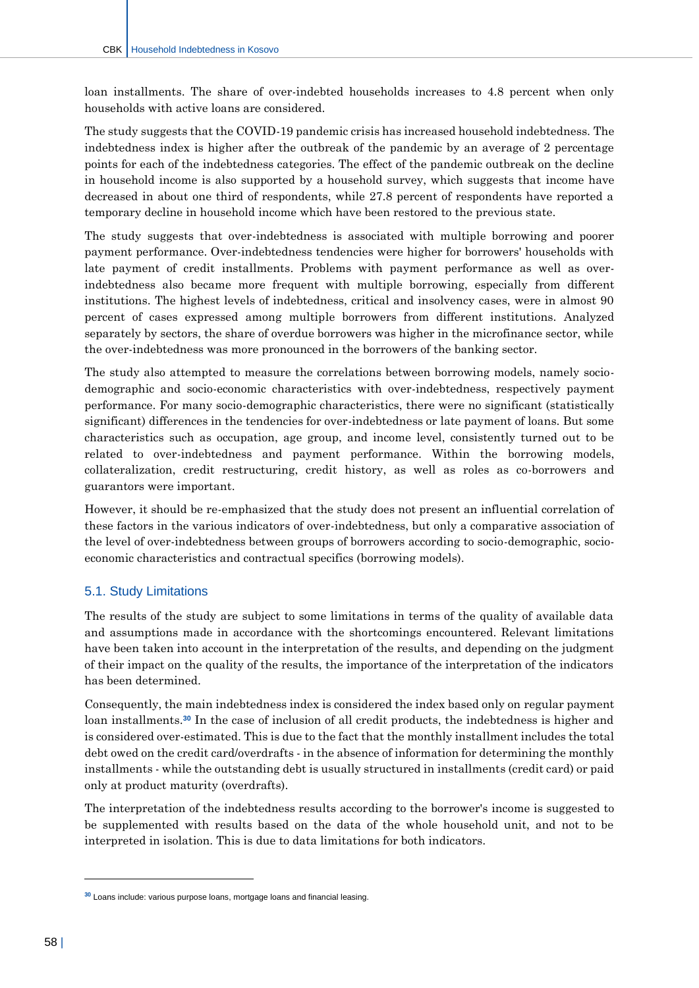loan installments. The share of over-indebted households increases to 4.8 percent when only households with active loans are considered.

The study suggests that the COVID-19 pandemic crisis has increased household indebtedness. The indebtedness index is higher after the outbreak of the pandemic by an average of 2 percentage points for each of the indebtedness categories. The effect of the pandemic outbreak on the decline in household income is also supported by a household survey, which suggests that income have decreased in about one third of respondents, while 27.8 percent of respondents have reported a temporary decline in household income which have been restored to the previous state.

The study suggests that over-indebtedness is associated with multiple borrowing and poorer payment performance. Over-indebtedness tendencies were higher for borrowers' households with late payment of credit installments. Problems with payment performance as well as overindebtedness also became more frequent with multiple borrowing, especially from different institutions. The highest levels of indebtedness, critical and insolvency cases, were in almost 90 percent of cases expressed among multiple borrowers from different institutions. Analyzed separately by sectors, the share of overdue borrowers was higher in the microfinance sector, while the over-indebtedness was more pronounced in the borrowers of the banking sector.

The study also attempted to measure the correlations between borrowing models, namely sociodemographic and socio-economic characteristics with over-indebtedness, respectively payment performance. For many socio-demographic characteristics, there were no significant (statistically significant) differences in the tendencies for over-indebtedness or late payment of loans. But some characteristics such as occupation, age group, and income level, consistently turned out to be related to over-indebtedness and payment performance. Within the borrowing models, collateralization, credit restructuring, credit history, as well as roles as co-borrowers and guarantors were important.

However, it should be re-emphasized that the study does not present an influential correlation of these factors in the various indicators of over-indebtedness, but only a comparative association of the level of over-indebtedness between groups of borrowers according to socio-demographic, socioeconomic characteristics and contractual specifics (borrowing models).

#### <span id="page-58-0"></span>5.1. Study Limitations

The results of the study are subject to some limitations in terms of the quality of available data and assumptions made in accordance with the shortcomings encountered. Relevant limitations have been taken into account in the interpretation of the results, and depending on the judgment of their impact on the quality of the results, the importance of the interpretation of the indicators has been determined.

Consequently, the main indebtedness index is considered the index based only on regular payment loan installments. **<sup>30</sup>** In the case of inclusion of all credit products, the indebtedness is higher and is considered over-estimated. This is due to the fact that the monthly installment includes the total debt owed on the credit card/overdrafts - in the absence of information for determining the monthly installments - while the outstanding debt is usually structured in installments (credit card) or paid only at product maturity (overdrafts).

The interpretation of the indebtedness results according to the borrower's income is suggested to be supplemented with results based on the data of the whole household unit, and not to be interpreted in isolation. This is due to data limitations for both indicators.

 $\overline{a}$ 

**<sup>30</sup>** Loans include: various purpose loans, mortgage loans and financial leasing.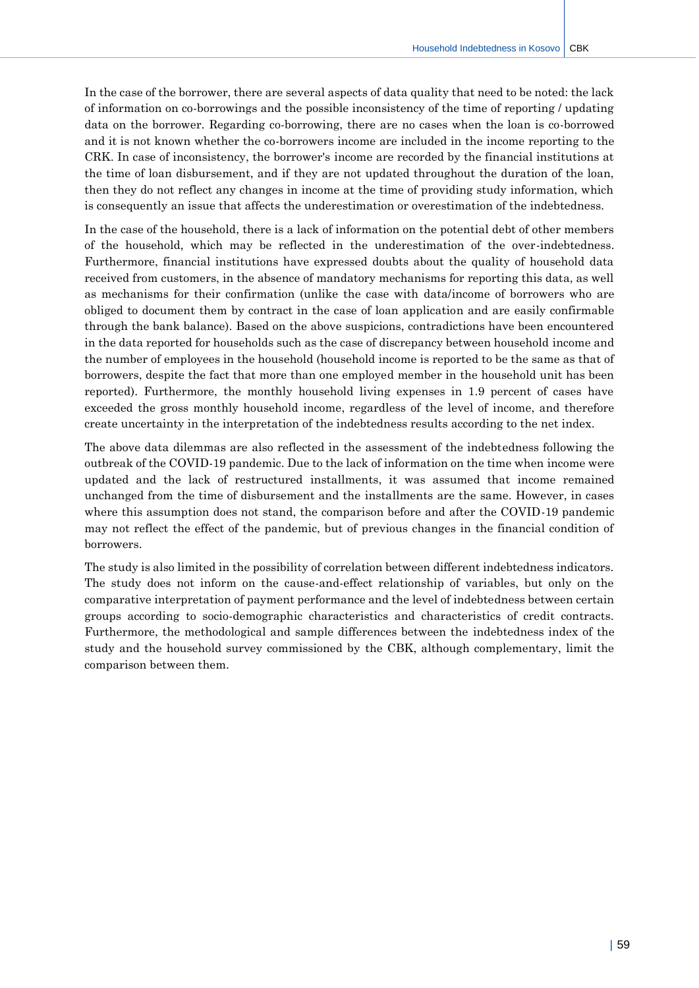In the case of the borrower, there are several aspects of data quality that need to be noted: the lack of information on co-borrowings and the possible inconsistency of the time of reporting / updating data on the borrower. Regarding co-borrowing, there are no cases when the loan is co-borrowed and it is not known whether the co-borrowers income are included in the income reporting to the CRK. In case of inconsistency, the borrower's income are recorded by the financial institutions at the time of loan disbursement, and if they are not updated throughout the duration of the loan, then they do not reflect any changes in income at the time of providing study information, which is consequently an issue that affects the underestimation or overestimation of the indebtedness.

In the case of the household, there is a lack of information on the potential debt of other members of the household, which may be reflected in the underestimation of the over-indebtedness. Furthermore, financial institutions have expressed doubts about the quality of household data received from customers, in the absence of mandatory mechanisms for reporting this data, as well as mechanisms for their confirmation (unlike the case with data/income of borrowers who are obliged to document them by contract in the case of loan application and are easily confirmable through the bank balance). Based on the above suspicions, contradictions have been encountered in the data reported for households such as the case of discrepancy between household income and the number of employees in the household (household income is reported to be the same as that of borrowers, despite the fact that more than one employed member in the household unit has been reported). Furthermore, the monthly household living expenses in 1.9 percent of cases have exceeded the gross monthly household income, regardless of the level of income, and therefore create uncertainty in the interpretation of the indebtedness results according to the net index.

The above data dilemmas are also reflected in the assessment of the indebtedness following the outbreak of the COVID-19 pandemic. Due to the lack of information on the time when income were updated and the lack of restructured installments, it was assumed that income remained unchanged from the time of disbursement and the installments are the same. However, in cases where this assumption does not stand, the comparison before and after the COVID-19 pandemic may not reflect the effect of the pandemic, but of previous changes in the financial condition of borrowers.

The study is also limited in the possibility of correlation between different indebtedness indicators. The study does not inform on the cause-and-effect relationship of variables, but only on the comparative interpretation of payment performance and the level of indebtedness between certain groups according to socio-demographic characteristics and characteristics of credit contracts. Furthermore, the methodological and sample differences between the indebtedness index of the study and the household survey commissioned by the CBK, although complementary, limit the comparison between them.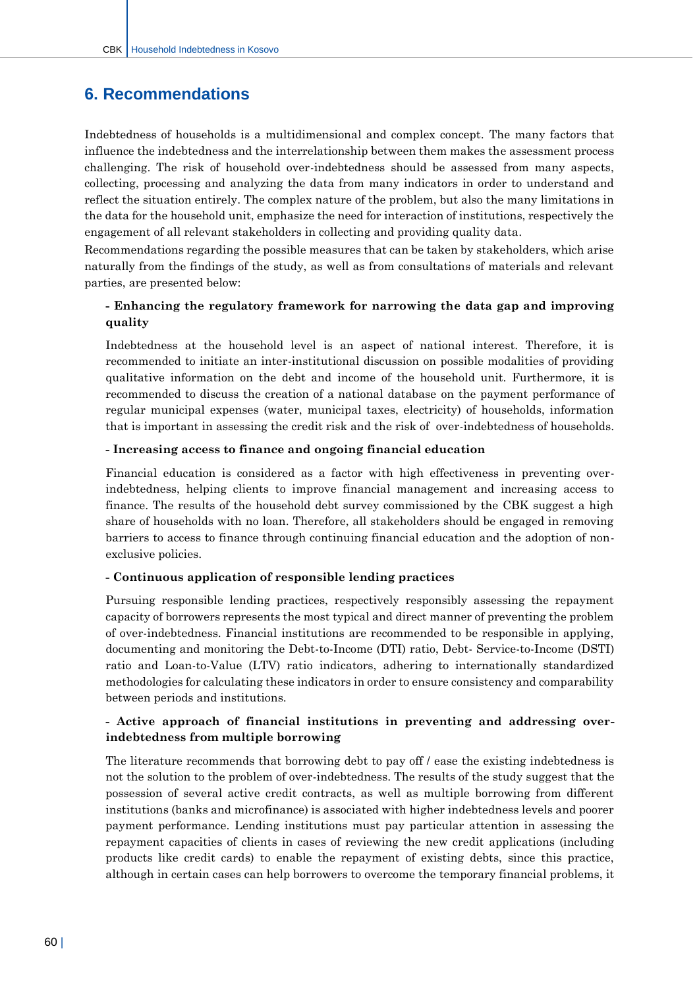## <span id="page-60-0"></span>**6. Recommendations**

Indebtedness of households is a multidimensional and complex concept. The many factors that influence the indebtedness and the interrelationship between them makes the assessment process challenging. The risk of household over-indebtedness should be assessed from many aspects, collecting, processing and analyzing the data from many indicators in order to understand and reflect the situation entirely. The complex nature of the problem, but also the many limitations in the data for the household unit, emphasize the need for interaction of institutions, respectively the engagement of all relevant stakeholders in collecting and providing quality data.

Recommendations regarding the possible measures that can be taken by stakeholders, which arise naturally from the findings of the study, as well as from consultations of materials and relevant parties, are presented below:

#### **- Enhancing the regulatory framework for narrowing the data gap and improving quality**

Indebtedness at the household level is an aspect of national interest. Therefore, it is recommended to initiate an inter-institutional discussion on possible modalities of providing qualitative information on the debt and income of the household unit. Furthermore, it is recommended to discuss the creation of a national database on the payment performance of regular municipal expenses (water, municipal taxes, electricity) of households, information that is important in assessing the credit risk and the risk of over-indebtedness of households.

#### **- Increasing access to finance and ongoing financial education**

Financial education is considered as a factor with high effectiveness in preventing overindebtedness, helping clients to improve financial management and increasing access to finance. The results of the household debt survey commissioned by the CBK suggest a high share of households with no loan. Therefore, all stakeholders should be engaged in removing barriers to access to finance through continuing financial education and the adoption of nonexclusive policies.

#### **- Continuous application of responsible lending practices**

Pursuing responsible lending practices, respectively responsibly assessing the repayment capacity of borrowers represents the most typical and direct manner of preventing the problem of over-indebtedness. Financial institutions are recommended to be responsible in applying, documenting and monitoring the Debt-to-Income (DTI) ratio, Debt- Service-to-Income (DSTI) ratio and Loan-to-Value (LTV) ratio indicators, adhering to internationally standardized methodologies for calculating these indicators in order to ensure consistency and comparability between periods and institutions.

#### **- Active approach of financial institutions in preventing and addressing overindebtedness from multiple borrowing**

The literature recommends that borrowing debt to pay off / ease the existing indebtedness is not the solution to the problem of over-indebtedness. The results of the study suggest that the possession of several active credit contracts, as well as multiple borrowing from different institutions (banks and microfinance) is associated with higher indebtedness levels and poorer payment performance. Lending institutions must pay particular attention in assessing the repayment capacities of clients in cases of reviewing the new credit applications (including products like credit cards) to enable the repayment of existing debts, since this practice, although in certain cases can help borrowers to overcome the temporary financial problems, it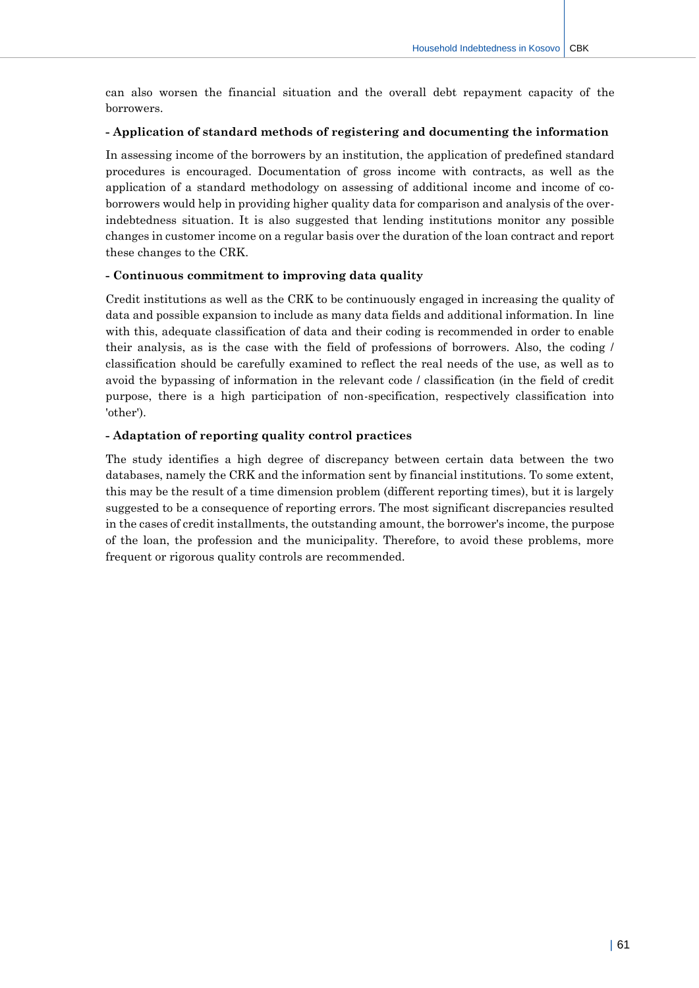can also worsen the financial situation and the overall debt repayment capacity of the borrowers.

#### **- Application of standard methods of registering and documenting the information**

In assessing income of the borrowers by an institution, the application of predefined standard procedures is encouraged. Documentation of gross income with contracts, as well as the application of a standard methodology on assessing of additional income and income of coborrowers would help in providing higher quality data for comparison and analysis of the overindebtedness situation. It is also suggested that lending institutions monitor any possible changes in customer income on a regular basis over the duration of the loan contract and report these changes to the CRK.

#### **- Continuous commitment to improving data quality**

Credit institutions as well as the CRK to be continuously engaged in increasing the quality of data and possible expansion to include as many data fields and additional information. In line with this, adequate classification of data and their coding is recommended in order to enable their analysis, as is the case with the field of professions of borrowers. Also, the coding / classification should be carefully examined to reflect the real needs of the use, as well as to avoid the bypassing of information in the relevant code / classification (in the field of credit purpose, there is a high participation of non-specification, respectively classification into 'other').

#### **- Adaptation of reporting quality control practices**

The study identifies a high degree of discrepancy between certain data between the two databases, namely the CRK and the information sent by financial institutions. To some extent, this may be the result of a time dimension problem (different reporting times), but it is largely suggested to be a consequence of reporting errors. The most significant discrepancies resulted in the cases of credit installments, the outstanding amount, the borrower's income, the purpose of the loan, the profession and the municipality. Therefore, to avoid these problems, more frequent or rigorous quality controls are recommended.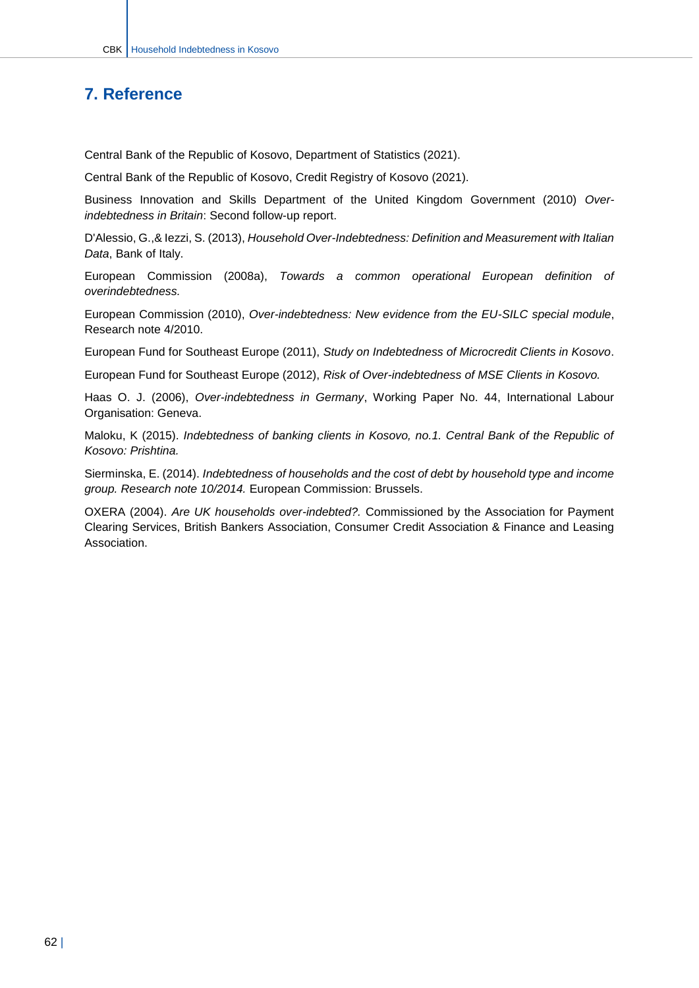## <span id="page-62-0"></span>**7. Reference**

Central Bank of the Republic of Kosovo, Department of Statistics (2021).

Central Bank of the Republic of Kosovo, Credit Registry of Kosovo (2021).

Business Innovation and Skills Department of the United Kingdom Government (2010) *Overindebtedness in Britain*: Second follow-up report.

D'Alessio, G.,& Iezzi, S. (2013), *Household Over-Indebtedness: Definition and Measurement with Italian Data*, Bank of Italy.

European Commission (2008a), *Towards a common operational European definition of overindebtedness.*

European Commission (2010), *Over-indebtedness: New evidence from the EU-SILC special module*, Research note 4/2010.

European Fund for Southeast Europe (2011), *Study on Indebtedness of Microcredit Clients in Kosovo*.

European Fund for Southeast Europe (2012), *Risk of Over-indebtedness of MSE Clients in Kosovo.*

Haas O. J. (2006), *Over-indebtedness in Germany*, Working Paper No. 44, International Labour Organisation: Geneva.

Maloku, K (2015). *Indebtedness of banking clients in Kosovo, no.1. Central Bank of the Republic of Kosovo: Prishtina.*

Sierminska, E. (2014). *Indebtedness of households and the cost of debt by household type and income group. Research note 10/2014.* European Commission: Brussels.

OXERA (2004). *Are UK households over-indebted?.* Commissioned by the Association for Payment Clearing Services, British Bankers Association, Consumer Credit Association & Finance and Leasing Association.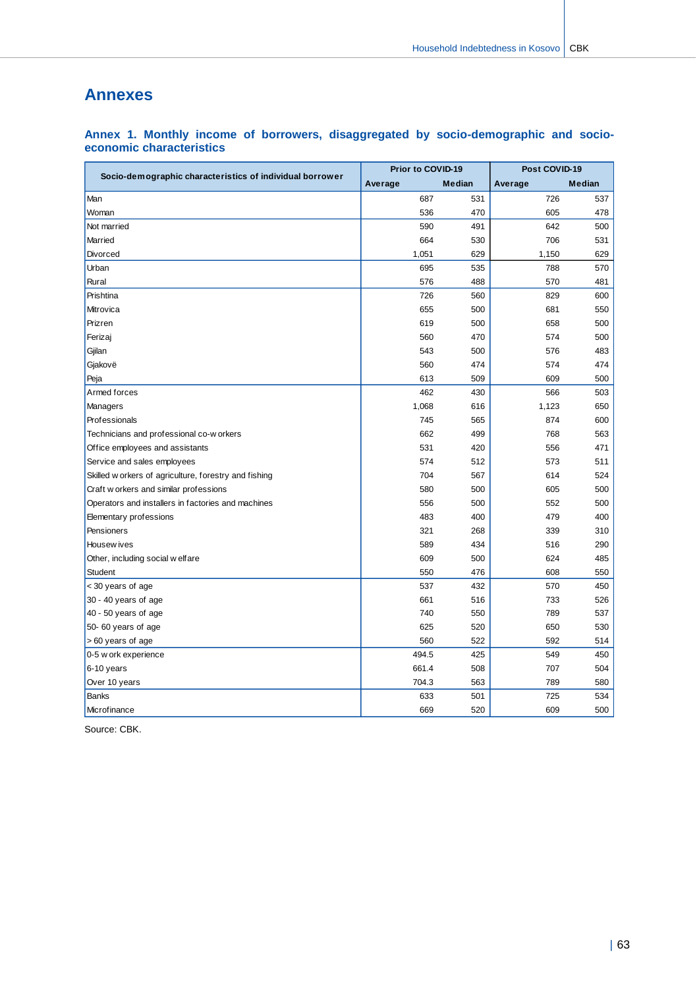## <span id="page-63-0"></span>**Annexes**

|                                                          | Prior to COVID-19 |        | Post COVID-19 |        |  |
|----------------------------------------------------------|-------------------|--------|---------------|--------|--|
| Socio-demographic characteristics of individual borrower | Average           | Median | Average       | Median |  |
| Man                                                      | 687               | 531    | 726           | 537    |  |
| Woman                                                    | 536               | 470    | 605           | 478    |  |
| Not married                                              | 590               | 491    | 642           | 500    |  |
| Married                                                  | 664               | 530    | 706           | 531    |  |
| Divorced                                                 | 1,051             | 629    | 1,150         | 629    |  |
| Urban                                                    | 695               | 535    | 788           | 570    |  |
| Rural                                                    | 576               | 488    | 570           | 481    |  |
| Prishtina                                                | 726               | 560    | 829           | 600    |  |
| Mitrovica                                                | 655               | 500    | 681           | 550    |  |
| Prizren                                                  | 619               | 500    | 658           | 500    |  |
| Ferizaj                                                  | 560               | 470    | 574           | 500    |  |
| Gjilan                                                   | 543               | 500    | 576           | 483    |  |
| Gjakovë                                                  | 560               | 474    | 574           | 474    |  |
| Peja                                                     | 613               | 509    | 609           | 500    |  |
| Armed forces                                             | 462               | 430    | 566           | 503    |  |
| Managers                                                 | 1,068             | 616    | 1,123         | 650    |  |
| Professionals                                            | 745               | 565    | 874           | 600    |  |
| Technicians and professional co-w orkers                 | 662               | 499    | 768           | 563    |  |
| Office employees and assistants                          | 531               | 420    | 556           | 471    |  |
| Service and sales employees                              | 574               | 512    | 573           | 511    |  |
| Skilled w orkers of agriculture, forestry and fishing    | 704               | 567    | 614           | 524    |  |
| Craft w orkers and similar professions                   | 580               | 500    | 605           | 500    |  |
| Operators and installers in factories and machines       | 556               | 500    | 552           | 500    |  |
| Elementary professions                                   | 483               | 400    | 479           | 400    |  |
| Pensioners                                               | 321               | 268    | 339           | 310    |  |
| Housew ives                                              | 589               | 434    | 516           | 290    |  |
| Other, including social w elfare                         | 609               | 500    | 624           | 485    |  |
| Student                                                  | 550               | 476    | 608           | 550    |  |
| < 30 years of age                                        | 537               | 432    | 570           | 450    |  |
| 30 - 40 years of age                                     | 661               | 516    | 733           | 526    |  |
| 40 - 50 years of age                                     | 740               | 550    | 789           | 537    |  |
| 50-60 years of age                                       | 625               | 520    | 650           | 530    |  |
| > 60 years of age                                        | 560               | 522    | 592           | 514    |  |
| 0-5 w ork experience                                     | 494.5             | 425    | 549           | 450    |  |
| 6-10 years                                               | 661.4             | 508    | 707           | 504    |  |
| Over 10 years                                            | 704.3             | 563    | 789           | 580    |  |
| <b>Banks</b>                                             | 633               | 501    | 725           | 534    |  |
| Microfinance                                             | 669               | 520    | 609           | 500    |  |

#### **Annex 1. Monthly income of borrowers, disaggregated by socio-demographic and socioeconomic characteristics**

Source: CBK.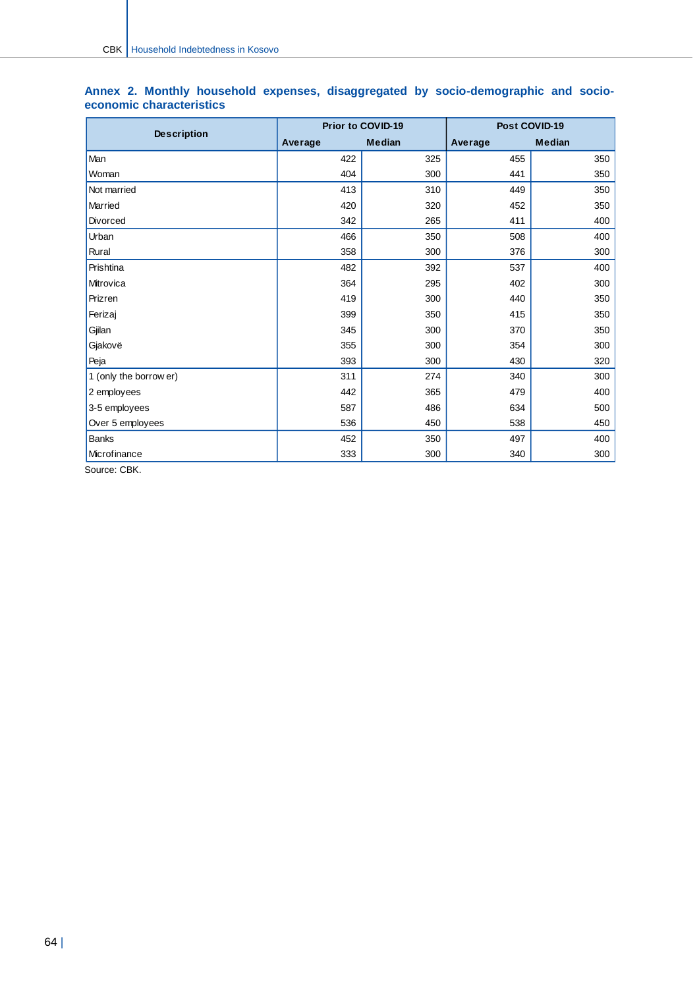|                        |         | <b>Prior to COVID-19</b> | Post COVID-19 |               |  |
|------------------------|---------|--------------------------|---------------|---------------|--|
| <b>Description</b>     | Average | <b>Median</b>            | Average       | <b>Median</b> |  |
| Man                    | 422     | 325                      | 455           | 350           |  |
| Woman                  | 404     | 300                      | 441           | 350           |  |
| Not married            | 413     | 310                      | 449           | 350           |  |
| Married                | 420     | 320                      | 452           | 350           |  |
| <b>Divorced</b>        | 342     | 265                      | 411           | 400           |  |
| Urban                  | 466     | 350                      | 508           | 400           |  |
| Rural                  | 358     | 300                      | 376           | 300           |  |
| Prishtina              | 482     | 392                      | 537           | 400           |  |
| Mitrovica              | 364     | 295                      | 402           | 300           |  |
| Prizren                | 419     | 300                      | 440           | 350           |  |
| Ferizaj                | 399     | 350                      | 415           | 350           |  |
| Gjilan                 | 345     | 300                      | 370           | 350           |  |
| Gjakovë                | 355     | 300                      | 354           | 300           |  |
| Peja                   | 393     | 300                      | 430           | 320           |  |
| 1 (only the borrow er) | 311     | 274                      | 340           | 300           |  |
| 2 employees            | 442     | 365                      | 479           | 400           |  |
| 3-5 employees          | 587     | 486                      | 634           | 500           |  |
| Over 5 employees       | 536     | 450                      | 538           | 450           |  |
| <b>Banks</b>           | 452     | 350                      | 497           | 400           |  |
| Microfinance<br>$\sim$ | 333     | 300                      | 340           | 300           |  |

#### **Annex 2. Monthly household expenses, disaggregated by socio-demographic and socioeconomic characteristics**

Source: CBK.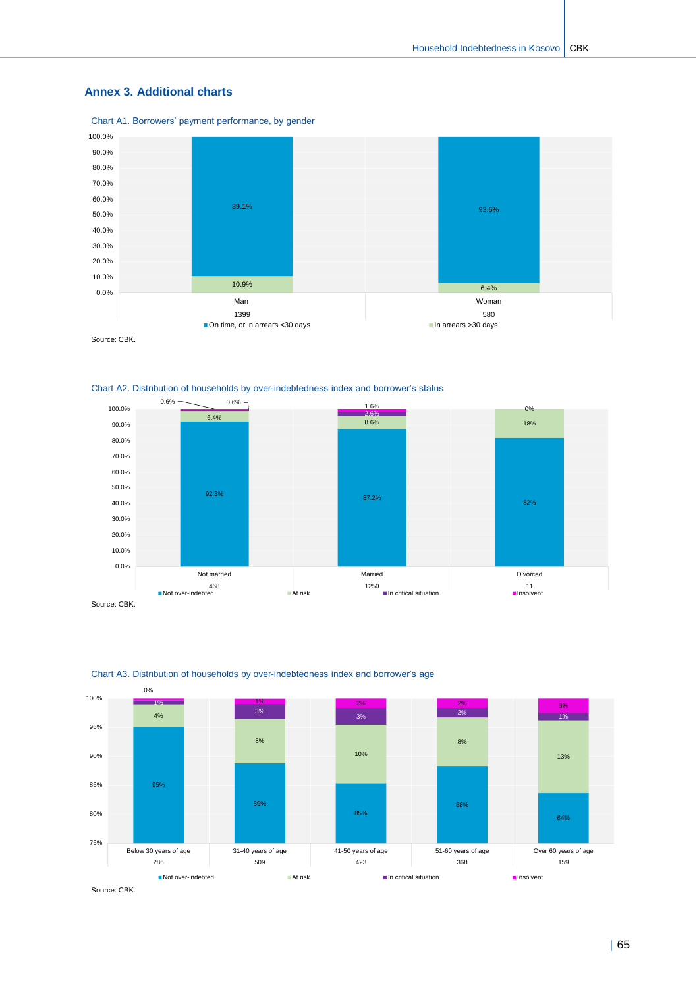#### **Annex 3. Additional charts**

Chart A1. Borrowers' payment performance, by gender



Source: CBK.





Source: CBK.



#### Chart A3. Distribution of households by over-indebtedness index and borrower's age

| 65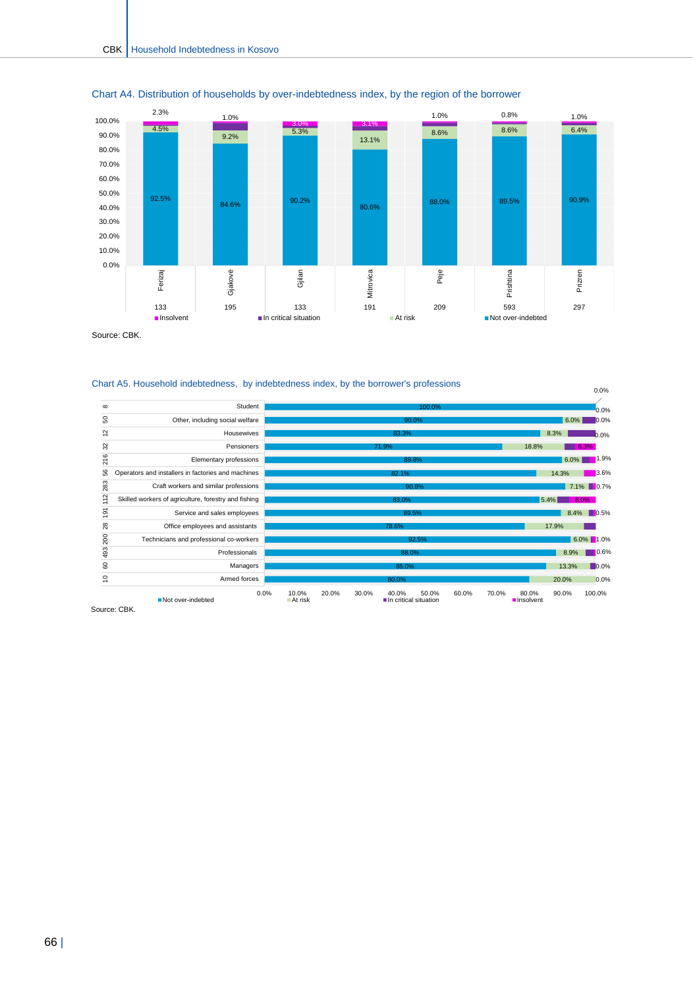



Source: CBK.

#### Chart A5. Household indebtedness, by indebtedness index, by the borrower's professions



Source: CBK.